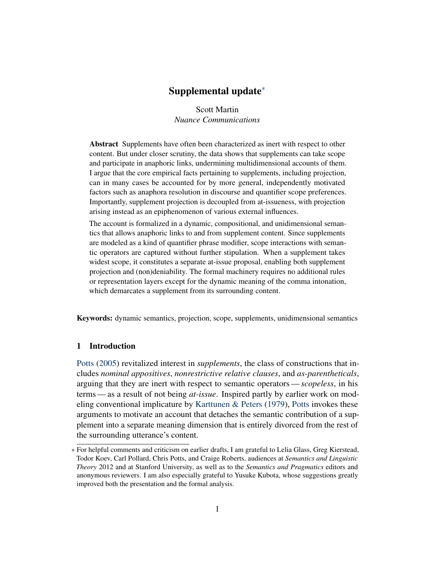Scott Martin *Nuance Communications*

<span id="page-0-0"></span>Abstract Supplements have often been characterized as inert with respect to other content. But under closer scrutiny, the data shows that supplements can take scope and participate in anaphoric links, undermining multidimensional accounts of them. I argue that the core empirical facts pertaining to supplements, including projection, can in many cases be accounted for by more general, independently motivated factors such as anaphora resolution in discourse and quantifier scope preferences. Importantly, supplement projection is decoupled from at-issueness, with projection arising instead as an epiphenomenon of various external influences.

The account is formalized in a dynamic, compositional, and unidimensional semantics that allows anaphoric links to and from supplement content. Since supplements are modeled as a kind of quantifier phrase modifier, scope interactions with semantic operators are captured without further stipulation. When a supplement takes widest scope, it constitutes a separate at-issue proposal, enabling both supplement projection and (non)deniability. The formal machinery requires no additional rules or representation layers except for the dynamic meaning of the comma intonation, which demarcates a supplement from its surrounding content.

Keywords: dynamic semantics, projection, scope, supplements, unidimensional semantics

# 1 Introduction

[Potts](#page-53-0) [\(2005\)](#page-53-0) revitalized interest in *supplements*, the class of constructions that includes *nominal appositives*, *nonrestrictive relative clauses*, and *as-parentheticals*, arguing that they are inert with respect to semantic operators—*scopeless*, in his terms— as a result of not being *at-issue*. Inspired partly by earlier work on modeling conventional implicature by [Karttunen & Peters](#page-51-0) [\(1979\)](#page-51-0), [Potts](#page-53-0) invokes these arguments to motivate an account that detaches the semantic contribution of a supplement into a separate meaning dimension that is entirely divorced from the rest of the surrounding utterance's content.

<sup>∗</sup> For helpful comments and criticism on earlier drafts, I am grateful to Lelia Glass, Greg Kierstead, Todor Koev, Carl Pollard, Chris Potts, and Craige Roberts, audiences at *Semantics and Linguistic Theory* 2012 and at Stanford University, as well as to the *Semantics and Pragmatics* editors and anonymous reviewers. I am also especially grateful to Yusuke Kubota, whose suggestions greatly improved both the presentation and the formal analysis.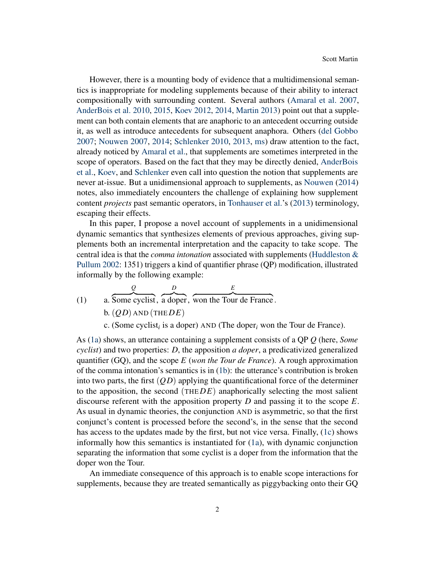However, there is a mounting body of evidence that a multidimensional semantics is inappropriate for modeling supplements because of their ability to interact compositionally with surrounding content. Several authors [\(Amaral et al.](#page-49-0) [2007,](#page-49-0) [AnderBois et al.](#page-49-1) [2010,](#page-49-1) [2015,](#page-49-2) [Koev](#page-52-0) [2012,](#page-52-0) [2014,](#page-52-1) [Martin](#page-52-2) [2013\)](#page-52-2) point out that a supplement can both contain elements that are anaphoric to an antecedent occurring outside it, as well as introduce antecedents for subsequent anaphora. Others [\(del Gobbo](#page-51-1) [2007;](#page-51-1) [Nouwen](#page-53-1) [2007,](#page-53-1) [2014;](#page-53-2) [Schlenker](#page-54-0) [2010,](#page-54-0) [2013,](#page-54-1) [ms\)](#page-54-2) draw attention to the fact, already noticed by [Amaral et al.,](#page-49-0) that supplements are sometimes interpreted in the scope of operators. Based on the fact that they may be directly denied, [AnderBois](#page-49-1) [et al.,](#page-49-1) [Koev,](#page-52-0) and [Schlenker](#page-54-2) even call into question the notion that supplements are never at-issue. But a unidimensional approach to supplements, as [Nouwen](#page-53-2) [\(2014\)](#page-53-2) notes, also immediately encounters the challenge of explaining how supplement content *projects* past semantic operators, in [Tonhauser et al.'](#page-54-3)s [\(2013\)](#page-54-3) terminology, escaping their effects.

In this paper, I propose a novel account of supplements in a unidimensional dynamic semantics that synthesizes elements of previous approaches, giving supplements both an incremental interpretation and the capacity to take scope. The central idea is that the *comma intonation* associated with supplements [\(Huddleston &](#page-51-2) [Pullum](#page-51-2) [2002:](#page-51-2) 1351) triggers a kind of quantifier phrase (QP) modification, illustrated informally by the following example:

<span id="page-1-1"></span><span id="page-1-0"></span>(1) a. Some cyclist, a doper, won the Tour de France.  
b. 
$$
(QD)
$$
 AND (THEDE)

c. (Some cyclist*<sup>i</sup>* is a doper) AND (The doper*<sup>i</sup>* won the Tour de France).

<span id="page-1-2"></span>As [\(1a\)](#page-1-0) shows, an utterance containing a supplement consists of a QP *Q* (here, *Some cyclist*) and two properties: *D*, the apposition *a doper*, a predicativized generalized quantifier (GQ), and the scope *E* (*won the Tour de France*). A rough approximation of the comma intonation's semantics is in [\(1b\)](#page-1-1): the utterance's contribution is broken into two parts, the first  $(\overline{Q}D)$  applying the quantificational force of the determiner to the apposition, the second (THE*DE*) anaphorically selecting the most salient discourse referent with the apposition property *D* and passing it to the scope *E*. As usual in dynamic theories, the conjunction AND is asymmetric, so that the first conjunct's content is processed before the second's, in the sense that the second has access to the updates made by the first, but not vice versa. Finally, [\(1c\)](#page-1-2) shows informally how this semantics is instantiated for [\(1a\)](#page-1-0), with dynamic conjunction separating the information that some cyclist is a doper from the information that the doper won the Tour.

An immediate consequence of this approach is to enable scope interactions for supplements, because they are treated semantically as piggybacking onto their GQ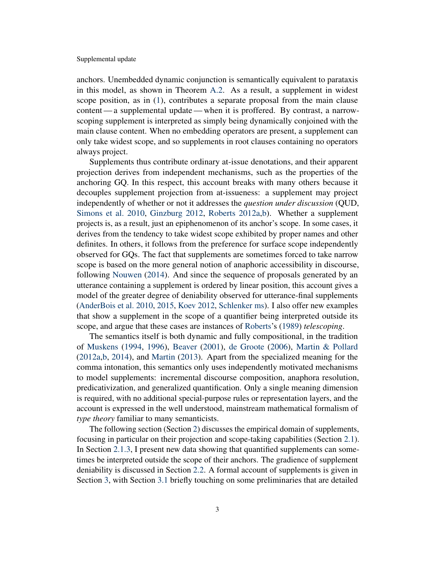anchors. Unembedded dynamic conjunction is semantically equivalent to parataxis in this model, as shown in Theorem [A.2.](#page-45-0) As a result, a supplement in widest scope position, as in [\(1\)](#page-1-0), contributes a separate proposal from the main clause content— a supplemental update— when it is proffered. By contrast, a narrowscoping supplement is interpreted as simply being dynamically conjoined with the main clause content. When no embedding operators are present, a supplement can only take widest scope, and so supplements in root clauses containing no operators always project.

Supplements thus contribute ordinary at-issue denotations, and their apparent projection derives from independent mechanisms, such as the properties of the anchoring GQ. In this respect, this account breaks with many others because it decouples supplement projection from at-issueness: a supplement may project independently of whether or not it addresses the *question under discussion* (QUD, [Simons et al.](#page-54-4) [2010,](#page-54-4) [Ginzburg](#page-50-0) [2012,](#page-50-0) [Roberts](#page-53-3) [2012a](#page-53-3)[,b\)](#page-53-4). Whether a supplement projects is, as a result, just an epiphenomenon of its anchor's scope. In some cases, it derives from the tendency to take widest scope exhibited by proper names and other definites. In others, it follows from the preference for surface scope independently observed for GQs. The fact that supplements are sometimes forced to take narrow scope is based on the more general notion of anaphoric accessibility in discourse, following [Nouwen](#page-53-2) [\(2014\)](#page-53-2). And since the sequence of proposals generated by an utterance containing a supplement is ordered by linear position, this account gives a model of the greater degree of deniability observed for utterance-final supplements [\(AnderBois et al.](#page-49-1) [2010,](#page-49-1) [2015,](#page-49-2) [Koev](#page-52-0) [2012,](#page-52-0) [Schlenker](#page-54-2) [ms\)](#page-54-2). I also offer new examples that show a supplement in the scope of a quantifier being interpreted outside its scope, and argue that these cases are instances of [Roberts'](#page-53-5)s [\(1989\)](#page-53-5) *telescoping*.

The semantics itself is both dynamic and fully compositional, in the tradition of [Muskens](#page-52-3) [\(1994,](#page-52-3) [1996\)](#page-53-6), [Beaver](#page-50-1) [\(2001\)](#page-50-1), [de Groote](#page-51-3) [\(2006\)](#page-51-3), [Martin & Pollard](#page-52-4) [\(2012a,](#page-52-4)[b,](#page-52-5) [2014\)](#page-52-6), and [Martin](#page-52-2) [\(2013\)](#page-52-2). Apart from the specialized meaning for the comma intonation, this semantics only uses independently motivated mechanisms to model supplements: incremental discourse composition, anaphora resolution, predicativization, and generalized quantification. Only a single meaning dimension is required, with no additional special-purpose rules or representation layers, and the account is expressed in the well understood, mainstream mathematical formalism of *type theory* familiar to many semanticists.

The following section (Section [2\)](#page-3-0) discusses the empirical domain of supplements, focusing in particular on their projection and scope-taking capabilities (Section [2.1\)](#page-4-0). In Section [2.1.3,](#page-11-0) I present new data showing that quantified supplements can sometimes be interpreted outside the scope of their anchors. The gradience of supplement deniability is discussed in Section [2.2.](#page-13-0) A formal account of supplements is given in Section [3,](#page-15-0) with Section [3.1](#page-15-1) briefly touching on some preliminaries that are detailed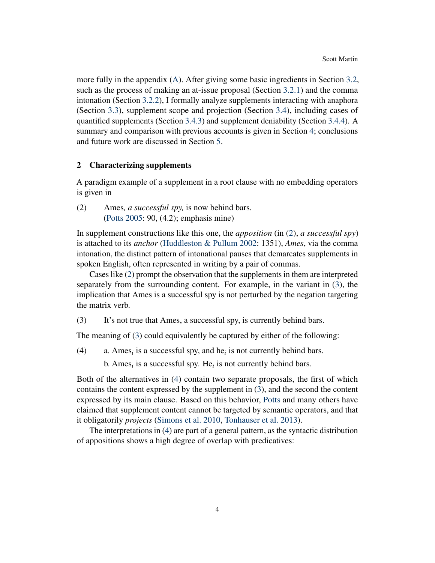more fully in the appendix [\(A\)](#page-39-0). After giving some basic ingredients in Section [3.2,](#page-16-0) such as the process of making an at-issue proposal (Section [3.2.1\)](#page-17-0) and the comma intonation (Section [3.2.2\)](#page-18-0), I formally analyze supplements interacting with anaphora (Section [3.3\)](#page-22-0), supplement scope and projection (Section [3.4\)](#page-24-0), including cases of quantified supplements (Section [3.4.3\)](#page-29-0) and supplement deniability (Section [3.4.4\)](#page-32-0). A summary and comparison with previous accounts is given in Section [4;](#page-35-0) conclusions and future work are discussed in Section [5.](#page-38-0)

# <span id="page-3-0"></span>2 Characterizing supplements

A paradigm example of a supplement in a root clause with no embedding operators is given in

<span id="page-3-1"></span>(2) Ames*, a successful spy,* is now behind bars. [\(Potts](#page-53-0) [2005:](#page-53-0) 90, (4.2); emphasis mine)

In supplement constructions like this one, the *apposition* (in [\(2\)](#page-3-1), *a successful spy*) is attached to its *anchor* [\(Huddleston & Pullum](#page-51-2) [2002:](#page-51-2) 1351), *Ames*, via the comma intonation, the distinct pattern of intonational pauses that demarcates supplements in spoken English, often represented in writing by a pair of commas.

Cases like [\(2\)](#page-3-1) prompt the observation that the supplements in them are interpreted separately from the surrounding content. For example, in the variant in [\(3\)](#page-3-2), the implication that Ames is a successful spy is not perturbed by the negation targeting the matrix verb.

<span id="page-3-2"></span>(3) It's not true that Ames, a successful spy, is currently behind bars.

The meaning of [\(3\)](#page-3-2) could equivalently be captured by either of the following:

<span id="page-3-3"></span>(4) a. Ames<sub>*i*</sub> is a successful spy, and he<sub>*i*</sub> is not currently behind bars.

b. Ames<sub>*i*</sub> is a successful spy. He<sub>*i*</sub> is not currently behind bars.

Both of the alternatives in [\(4\)](#page-3-3) contain two separate proposals, the first of which contains the content expressed by the supplement in [\(3\)](#page-3-2), and the second the content expressed by its main clause. Based on this behavior, [Potts](#page-53-0) and many others have claimed that supplement content cannot be targeted by semantic operators, and that it obligatorily *projects* [\(Simons et al.](#page-54-4) [2010,](#page-54-4) [Tonhauser et al.](#page-54-3) [2013\)](#page-54-3).

<span id="page-3-4"></span>The interpretations in [\(4\)](#page-3-3) are part of a general pattern, as the syntactic distribution of appositions shows a high degree of overlap with predicatives: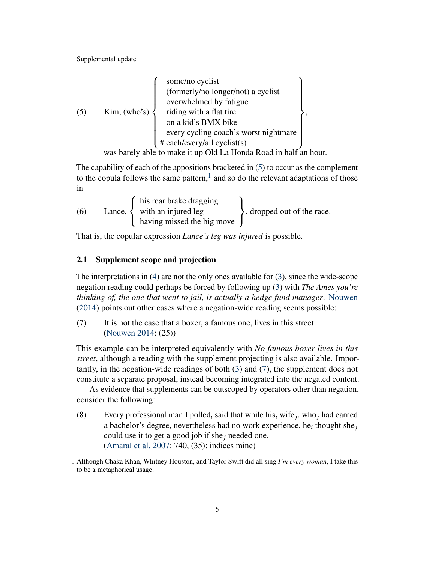(5)

\nKim, (who's)

\n
$$
\left\{\n\begin{array}{c}\n\text{some/no cyclist} \\
\text{(formerly/no longer/not) a cyclist} \\
\text{overwhelmed by fatigue} \\
\text{riding with a flat tire} \\
\text{on a kid's BMX bike} \\
\text{every cycling coach's worst nightmare} \\
\text{# each/every/all cyclist(s)}\n\end{array}\n\right\},
$$

was barely able to make it up Old La Honda Road in half an hour.

The capability of each of the appositions bracketed in [\(5\)](#page-3-4) to occur as the complement to the copula follows the same pattern, $<sup>1</sup>$  $<sup>1</sup>$  $<sup>1</sup>$  and so do the relevant adaptations of those</sup> in

(6) Lane, 
$$
\left\{\n \begin{array}{c}\n \text{his rear brake dragging} \\
 \text{with an injured leg} \\
 \text{having missed the big move}\n \end{array}\n \right\}, \text{dropped out of the race.}
$$

That is, the copular expression *Lance's leg was injured* is possible.

# <span id="page-4-0"></span>2.1 Supplement scope and projection

The interpretations in [\(4\)](#page-3-3) are not the only ones available for [\(3\)](#page-3-2), since the wide-scope negation reading could perhaps be forced by following up [\(3\)](#page-3-2) with *The Ames you're thinking of, the one that went to jail, is actually a hedge fund manager*. [Nouwen](#page-53-2) [\(2014\)](#page-53-2) points out other cases where a negation-wide reading seems possible:

<span id="page-4-1"></span>(7) It is not the case that a boxer, a famous one, lives in this street. [\(Nouwen](#page-53-2) [2014:](#page-53-2) (25))

This example can be interpreted equivalently with *No famous boxer lives in this street*, although a reading with the supplement projecting is also available. Importantly, in the negation-wide readings of both [\(3\)](#page-3-2) and [\(7\)](#page-4-1), the supplement does not constitute a separate proposal, instead becoming integrated into the negated content.

As evidence that supplements can be outscoped by operators other than negation, consider the following:

<span id="page-4-2"></span>(8) Every professional man I polled<sub>*i*</sub> said that while his<sub>*i*</sub> wife<sub>*j*</sub>, who<sub>*j*</sub> had earned a bachelor's degree, nevertheless had no work experience, he<sub>i</sub> thought she<sub>j</sub> could use it to get a good job if she  $<sub>i</sub>$  needed one.</sub> [\(Amaral et al.](#page-49-0) [2007:](#page-49-0) 740, (35); indices mine)

<sup>1</sup> Although Chaka Khan, Whitney Houston, and Taylor Swift did all sing *I'm every woman*, I take this to be a metaphorical usage.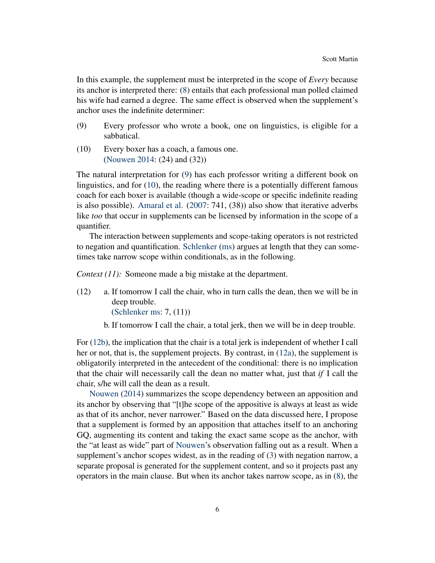In this example, the supplement must be interpreted in the scope of *Every* because its anchor is interpreted there: [\(8\)](#page-4-2) entails that each professional man polled claimed his wife had earned a degree. The same effect is observed when the supplement's anchor uses the indefinite determiner:

- <span id="page-5-0"></span>(9) Every professor who wrote a book, one on linguistics, is eligible for a sabbatical.
- <span id="page-5-1"></span>(10) Every boxer has a coach, a famous one. [\(Nouwen](#page-53-2) [2014:](#page-53-2) (24) and (32))

The natural interpretation for [\(9\)](#page-5-0) has each professor writing a different book on linguistics, and for [\(10\)](#page-5-1), the reading where there is a potentially different famous coach for each boxer is available (though a wide-scope or specific indefinite reading is also possible). [Amaral et al.](#page-49-0) [\(2007:](#page-49-0) 741, (38)) also show that iterative adverbs like *too* that occur in supplements can be licensed by information in the scope of a quantifier.

The interaction between supplements and scope-taking operators is not restricted to negation and quantification. [Schlenker](#page-54-2) [\(ms\)](#page-54-2) argues at length that they can sometimes take narrow scope within conditionals, as in the following.

<span id="page-5-4"></span>*Context (11):* Someone made a big mistake at the department.

<span id="page-5-3"></span>(12) a. If tomorrow I call the chair, who in turn calls the dean, then we will be in deep trouble.

[\(Schlenker](#page-54-2) [ms:](#page-54-2) 7, (11))

b. If tomorrow I call the chair, a total jerk, then we will be in deep trouble.

<span id="page-5-2"></span>For [\(12b\)](#page-5-2), the implication that the chair is a total jerk is independent of whether I call her or not, that is, the supplement projects. By contrast, in [\(12a\)](#page-5-3), the supplement is obligatorily interpreted in the antecedent of the conditional: there is no implication that the chair will necessarily call the dean no matter what, just that *if* I call the chair, s/he will call the dean as a result.

[Nouwen](#page-53-2) [\(2014\)](#page-53-2) summarizes the scope dependency between an apposition and its anchor by observing that "[t]he scope of the appositive is always at least as wide as that of its anchor, never narrower." Based on the data discussed here, I propose that a supplement is formed by an apposition that attaches itself to an anchoring GQ, augmenting its content and taking the exact same scope as the anchor, with the "at least as wide" part of [Nouwen'](#page-53-2)s observation falling out as a result. When a supplement's anchor scopes widest, as in the reading of [\(3\)](#page-3-2) with negation narrow, a separate proposal is generated for the supplement content, and so it projects past any operators in the main clause. But when its anchor takes narrow scope, as in [\(8\)](#page-4-2), the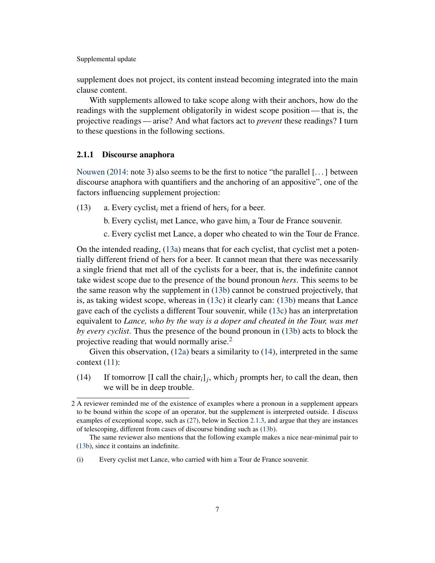supplement does not project, its content instead becoming integrated into the main clause content.

With supplements allowed to take scope along with their anchors, how do the readings with the supplement obligatorily in widest scope position— that is, the projective readings— arise? And what factors act to *prevent* these readings? I turn to these questions in the following sections.

# <span id="page-6-4"></span>2.1.1 Discourse anaphora

[Nouwen](#page-53-2) [\(2014:](#page-53-2) note 3) also seems to be the first to notice "the parallel [...] between discourse anaphora with quantifiers and the anchoring of an appositive", one of the factors influencing supplement projection:

<span id="page-6-1"></span><span id="page-6-0"></span>(13) a. Every cyclist*<sup>i</sup>* met a friend of hers*<sup>i</sup>* for a beer.

b. Every cyclist*<sup>i</sup>* met Lance, who gave him*<sup>i</sup>* a Tour de France souvenir.

c. Every cyclist met Lance, a doper who cheated to win the Tour de France.

<span id="page-6-2"></span>On the intended reading, [\(13a\)](#page-6-0) means that for each cyclist, that cyclist met a potentially different friend of hers for a beer. It cannot mean that there was necessarily a single friend that met all of the cyclists for a beer, that is, the indefinite cannot take widest scope due to the presence of the bound pronoun *hers*. This seems to be the same reason why the supplement in [\(13b\)](#page-6-1) cannot be construed projectively, that is, as taking widest scope, whereas in [\(13c\)](#page-6-2) it clearly can: [\(13b\)](#page-6-1) means that Lance gave each of the cyclists a different Tour souvenir, while [\(13c\)](#page-6-2) has an interpretation equivalent to *Lance, who by the way is a doper and cheated in the Tour, was met by every cyclist*. Thus the presence of the bound pronoun in [\(13b\)](#page-6-1) acts to block the projective reading that would normally arise. $<sup>2</sup>$  $<sup>2</sup>$  $<sup>2</sup>$ </sup>

Given this observation, [\(12a\)](#page-5-3) bears a similarity to [\(14\)](#page-6-3), interpreted in the same context  $(11)$ :

<span id="page-6-3"></span>(14) If tomorrow [I call the chair<sub>*i*</sub>]<sub>*j*</sub>, which<sub>*j*</sub> prompts her<sub>*i*</sub> to call the dean, then we will be in deep trouble.

<sup>2</sup> A reviewer reminded me of the existence of examples where a pronoun in a supplement appears to be bound within the scope of an operator, but the supplement is interpreted outside. I discuss examples of exceptional scope, such as [\(27\)](#page-11-1), below in Section [2.1.3,](#page-11-0) and argue that they are instances of telescoping, different from cases of discourse binding such as [\(13b\)](#page-6-1).

The same reviewer also mentions that the following example makes a nice near-minimal pair to [\(13b\)](#page-6-1), since it contains an indefinite.

<sup>(</sup>i) Every cyclist met Lance, who carried with him a Tour de France souvenir.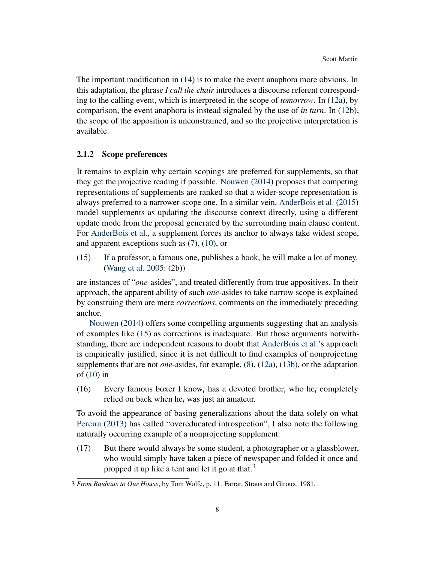The important modification in [\(14\)](#page-6-3) is to make the event anaphora more obvious. In this adaptation, the phrase *I call the chair* introduces a discourse referent corresponding to the calling event, which is interpreted in the scope of *tomorrow*. In [\(12a\)](#page-5-3), by comparison, the event anaphora is instead signaled by the use of *in turn*. In [\(12b\)](#page-5-2), the scope of the apposition is unconstrained, and so the projective interpretation is available.

# <span id="page-7-3"></span>2.1.2 Scope preferences

It remains to explain why certain scopings are preferred for supplements, so that they get the projective reading if possible. [Nouwen](#page-53-2) [\(2014\)](#page-53-2) proposes that competing representations of supplements are ranked so that a wider-scope representation is always preferred to a narrower-scope one. In a similar vein, [AnderBois et al.](#page-49-2) [\(2015\)](#page-49-2) model supplements as updating the discourse context directly, using a different update mode from the proposal generated by the surrounding main clause content. For [AnderBois et al.,](#page-49-2) a supplement forces its anchor to always take widest scope, and apparent exceptions such as [\(7\)](#page-4-1), [\(10\)](#page-5-1), or

<span id="page-7-0"></span>(15) If a professor, a famous one, publishes a book, he will make a lot of money. [\(Wang et al.](#page-54-5) [2005:](#page-54-5) (2b))

are instances of "*one*-asides", and treated differently from true appositives. In their approach, the apparent ability of such *one*-asides to take narrow scope is explained by construing them are mere *corrections*, comments on the immediately preceding anchor.

[Nouwen](#page-53-2) [\(2014\)](#page-53-2) offers some compelling arguments suggesting that an analysis of examples like [\(15\)](#page-7-0) as corrections is inadequate. But those arguments notwithstanding, there are independent reasons to doubt that [AnderBois et al.'](#page-49-2)s approach is empirically justified, since it is not difficult to find examples of nonprojecting supplements that are not *one*-asides, for example, [\(8\)](#page-4-2), [\(12a\)](#page-5-3), [\(13b\)](#page-6-1), or the adaptation of [\(10\)](#page-5-1) in

<span id="page-7-2"></span>(16) Every famous boxer I know*<sup>i</sup>* has a devoted brother, who he*<sup>i</sup>* completely relied on back when he*<sup>i</sup>* was just an amateur.

To avoid the appearance of basing generalizations about the data solely on what [Pereira](#page-53-7) [\(2013\)](#page-53-7) has called "overeducated introspection", I also note the following naturally occurring example of a nonprojecting supplement:

<span id="page-7-1"></span>(17) But there would always be some student, a photographer or a glassblower, who would simply have taken a piece of newspaper and folded it once and propped it up like a tent and let it go at that.<sup>[3](#page-0-0)</sup>

<sup>3</sup> *From Bauhaus to Our House*, by Tom Wolfe, p. 11. Farrar, Straus and Giroux, 1981.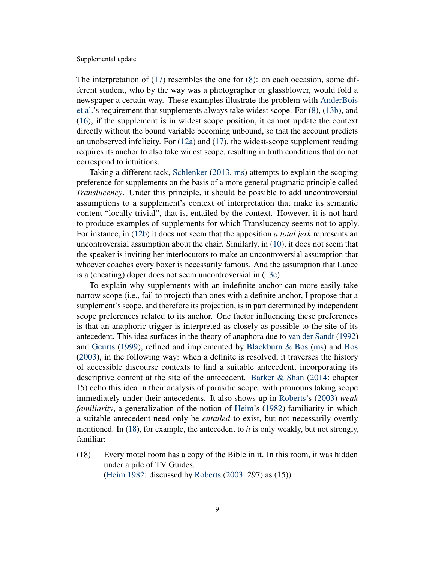The interpretation of  $(17)$  resembles the one for  $(8)$ : on each occasion, some different student, who by the way was a photographer or glassblower, would fold a newspaper a certain way. These examples illustrate the problem with [AnderBois](#page-49-2) [et al.'](#page-49-2)s requirement that supplements always take widest scope. For [\(8\)](#page-4-2), [\(13b\)](#page-6-1), and [\(16\)](#page-7-2), if the supplement is in widest scope position, it cannot update the context directly without the bound variable becoming unbound, so that the account predicts an unobserved infelicity. For [\(12a\)](#page-5-3) and [\(17\)](#page-7-1), the widest-scope supplement reading requires its anchor to also take widest scope, resulting in truth conditions that do not correspond to intuitions.

Taking a different tack, [Schlenker](#page-54-2) [\(2013,](#page-54-1) [ms\)](#page-54-2) attempts to explain the scoping preference for supplements on the basis of a more general pragmatic principle called *Translucency*. Under this principle, it should be possible to add uncontroversial assumptions to a supplement's context of interpretation that make its semantic content "locally trivial", that is, entailed by the context. However, it is not hard to produce examples of supplements for which Translucency seems not to apply. For instance, in [\(12b\)](#page-5-2) it does not seem that the apposition *a total jerk* represents an uncontroversial assumption about the chair. Similarly, in [\(10\)](#page-5-1), it does not seem that the speaker is inviting her interlocutors to make an uncontroversial assumption that whoever coaches every boxer is necessarily famous. And the assumption that Lance is a (cheating) doper does not seem uncontroversial in [\(13c\)](#page-6-2).

To explain why supplements with an indefinite anchor can more easily take narrow scope (i.e., fail to project) than ones with a definite anchor, I propose that a supplement's scope, and therefore its projection, is in part determined by independent scope preferences related to its anchor. One factor influencing these preferences is that an anaphoric trigger is interpreted as closely as possible to the site of its antecedent. This idea surfaces in the theory of anaphora due to [van der Sandt](#page-54-6) [\(1992\)](#page-54-6) and [Geurts](#page-50-2) [\(1999\)](#page-50-2), refined and implemented by Blackburn  $\&$  Bos [\(ms\)](#page-50-3) and [Bos](#page-50-4) [\(2003\)](#page-50-4), in the following way: when a definite is resolved, it traverses the history of accessible discourse contexts to find a suitable antecedent, incorporating its descriptive content at the site of the antecedent. [Barker & Shan](#page-50-5) [\(2014:](#page-50-5) chapter 15) echo this idea in their analysis of parasitic scope, with pronouns taking scope immediately under their antecedents. It also shows up in [Roberts'](#page-53-8)s [\(2003\)](#page-53-8) *weak familiarity*, a generalization of the notion of [Heim'](#page-51-4)s [\(1982\)](#page-51-4) familiarity in which a suitable antecedent need only be *entailed* to exist, but not necessarily overtly mentioned. In [\(18\)](#page-8-0), for example, the antecedent to *it* is only weakly, but not strongly, familiar:

<span id="page-8-0"></span>(18) Every motel room has a copy of the Bible in it. In this room, it was hidden under a pile of TV Guides. [\(Heim](#page-51-4) [1982:](#page-51-4) discussed by [Roberts](#page-53-8) [\(2003:](#page-53-8) 297) as (15))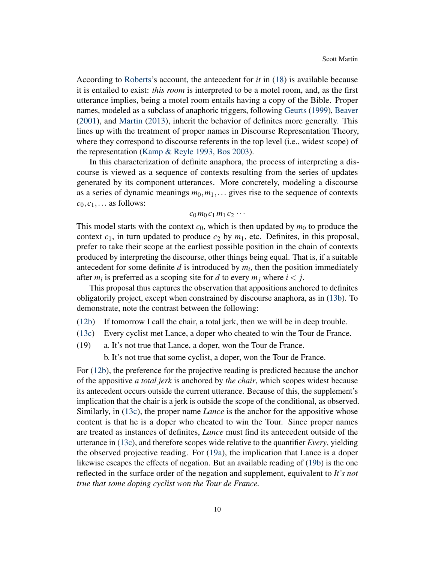According to [Roberts'](#page-53-8)s account, the antecedent for *it* in [\(18\)](#page-8-0) is available because it is entailed to exist: *this room* is interpreted to be a motel room, and, as the first utterance implies, being a motel room entails having a copy of the Bible. Proper names, modeled as a subclass of anaphoric triggers, following [Geurts](#page-50-2) [\(1999\)](#page-50-2), [Beaver](#page-50-1) [\(2001\)](#page-50-1), and [Martin](#page-52-2) [\(2013\)](#page-52-2), inherit the behavior of definites more generally. This lines up with the treatment of proper names in Discourse Representation Theory, where they correspond to discourse referents in the top level (i.e., widest scope) of the representation [\(Kamp & Reyle](#page-51-5) [1993,](#page-51-5) [Bos](#page-50-4) [2003\)](#page-50-4).

In this characterization of definite anaphora, the process of interpreting a discourse is viewed as a sequence of contexts resulting from the series of updates generated by its component utterances. More concretely, modeling a discourse as a series of dynamic meanings  $m_0, m_1, \ldots$  gives rise to the sequence of contexts  $c_0, c_1, \ldots$  as follows:

### $c_0 m_0 c_1 m_1 c_2 \cdots$

This model starts with the context  $c_0$ , which is then updated by  $m_0$  to produce the context  $c_1$ , in turn updated to produce  $c_2$  by  $m_1$ , etc. Definites, in this proposal, prefer to take their scope at the earliest possible position in the chain of contexts produced by interpreting the discourse, other things being equal. That is, if a suitable antecedent for some definite  $d$  is introduced by  $m_i$ , then the position immediately after  $m_i$  is preferred as a scoping site for *d* to every  $m_j$  where  $i < j$ .

This proposal thus captures the observation that appositions anchored to definites obligatorily project, except when constrained by discourse anaphora, as in [\(13b\)](#page-6-1). To demonstrate, note the contrast between the following:

- [\(12b\)](#page-5-2) If tomorrow I call the chair, a total jerk, then we will be in deep trouble.
- [\(13c\)](#page-6-2) Every cyclist met Lance, a doper who cheated to win the Tour de France.
- <span id="page-9-1"></span><span id="page-9-0"></span>(19) a. It's not true that Lance, a doper, won the Tour de France.
	- b. It's not true that some cyclist, a doper, won the Tour de France.

For [\(12b\)](#page-5-2), the preference for the projective reading is predicted because the anchor of the appositive *a total jerk* is anchored by *the chair*, which scopes widest because its antecedent occurs outside the current utterance. Because of this, the supplement's implication that the chair is a jerk is outside the scope of the conditional, as observed. Similarly, in [\(13c\)](#page-6-2), the proper name *Lance* is the anchor for the appositive whose content is that he is a doper who cheated to win the Tour. Since proper names are treated as instances of definites, *Lance* must find its antecedent outside of the utterance in [\(13c\)](#page-6-2), and therefore scopes wide relative to the quantifier *Every*, yielding the observed projective reading. For [\(19a\)](#page-9-0), the implication that Lance is a doper likewise escapes the effects of negation. But an available reading of [\(19b\)](#page-9-1) is the one reflected in the surface order of the negation and supplement, equivalent to *It's not true that some doping cyclist won the Tour de France.*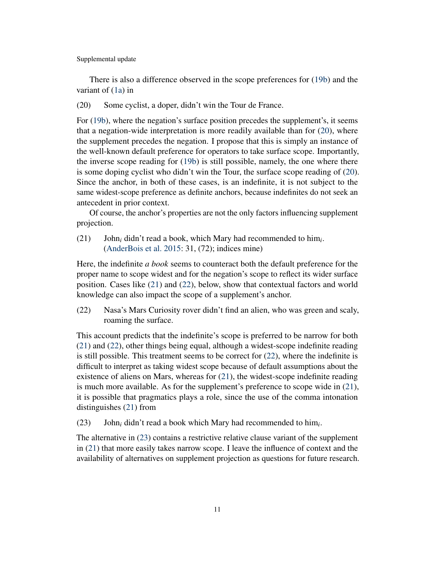There is also a difference observed in the scope preferences for [\(19b\)](#page-9-1) and the variant of [\(1a\)](#page-1-0) in

<span id="page-10-0"></span>(20) Some cyclist, a doper, didn't win the Tour de France.

For [\(19b\)](#page-9-1), where the negation's surface position precedes the supplement's, it seems that a negation-wide interpretation is more readily available than for [\(20\)](#page-10-0), where the supplement precedes the negation. I propose that this is simply an instance of the well-known default preference for operators to take surface scope. Importantly, the inverse scope reading for [\(19b\)](#page-9-1) is still possible, namely, the one where there is some doping cyclist who didn't win the Tour, the surface scope reading of [\(20\)](#page-10-0). Since the anchor, in both of these cases, is an indefinite, it is not subject to the same widest-scope preference as definite anchors, because indefinites do not seek an antecedent in prior context.

Of course, the anchor's properties are not the only factors influencing supplement projection.

<span id="page-10-1"></span>(21) John*<sup>i</sup>* didn't read a book, which Mary had recommended to him*<sup>i</sup>* . [\(AnderBois et al.](#page-49-2) [2015:](#page-49-2) 31, (72); indices mine)

Here, the indefinite *a book* seems to counteract both the default preference for the proper name to scope widest and for the negation's scope to reflect its wider surface position. Cases like [\(21\)](#page-10-1) and [\(22\)](#page-10-2), below, show that contextual factors and world knowledge can also impact the scope of a supplement's anchor.

<span id="page-10-2"></span>(22) Nasa's Mars Curiosity rover didn't find an alien, who was green and scaly, roaming the surface.

This account predicts that the indefinite's scope is preferred to be narrow for both [\(21\)](#page-10-1) and [\(22\)](#page-10-2), other things being equal, although a widest-scope indefinite reading is still possible. This treatment seems to be correct for [\(22\)](#page-10-2), where the indefinite is difficult to interpret as taking widest scope because of default assumptions about the existence of aliens on Mars, whereas for [\(21\)](#page-10-1), the widest-scope indefinite reading is much more available. As for the supplement's preference to scope wide in [\(21\)](#page-10-1), it is possible that pragmatics plays a role, since the use of the comma intonation distinguishes [\(21\)](#page-10-1) from

<span id="page-10-3"></span>(23) John*<sup>i</sup>* didn't read a book which Mary had recommended to him*<sup>i</sup>* .

The alternative in [\(23\)](#page-10-3) contains a restrictive relative clause variant of the supplement in [\(21\)](#page-10-1) that more easily takes narrow scope. I leave the influence of context and the availability of alternatives on supplement projection as questions for future research.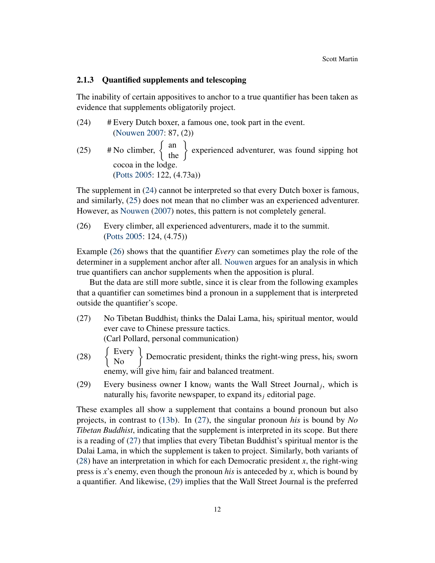# <span id="page-11-0"></span>2.1.3 Quantified supplements and telescoping

The inability of certain appositives to anchor to a true quantifier has been taken as evidence that supplements obligatorily project.

<span id="page-11-3"></span><span id="page-11-2"></span>(24) # Every Dutch boxer, a famous one, took part in the event. [\(Nouwen](#page-53-1) [2007:](#page-53-1) 87, (2)) (25) # No climber,  $\begin{Bmatrix} \text{an} \\ \text{the} \end{Bmatrix}$  experienced adventurer, was found sipping hot cocoa in the lodge. [\(Potts](#page-53-0) [2005:](#page-53-0) 122, (4.73a))

The supplement in [\(24\)](#page-11-2) cannot be interpreted so that every Dutch boxer is famous, and similarly, [\(25\)](#page-11-3) does not mean that no climber was an experienced adventurer. However, as [Nouwen](#page-53-1) [\(2007\)](#page-53-1) notes, this pattern is not completely general.

<span id="page-11-4"></span>(26) Every climber, all experienced adventurers, made it to the summit. [\(Potts](#page-53-0) [2005:](#page-53-0) 124, (4.75))

Example [\(26\)](#page-11-4) shows that the quantifier *Every* can sometimes play the role of the determiner in a supplement anchor after all. [Nouwen](#page-53-1) argues for an analysis in which true quantifiers can anchor supplements when the apposition is plural.

But the data are still more subtle, since it is clear from the following examples that a quantifier can sometimes bind a pronoun in a supplement that is interpreted outside the quantifier's scope.

<span id="page-11-1"></span>(27) No Tibetan Buddhist*<sup>i</sup>* thinks the Dalai Lama, his*<sup>i</sup>* spiritual mentor, would ever cave to Chinese pressure tactics.

(Carl Pollard, personal communication)

- <span id="page-11-5"></span>(28) Every  $\left\{\right\}$  Democratic president<sub>i</sub> thinks the right-wing press, his<sub>i</sub> sworn enemy, will give him*<sup>i</sup>* fair and balanced treatment.
- <span id="page-11-6"></span>(29) Every business owner I know<sub>i</sub> wants the Wall Street Journal<sub>j</sub>, which is naturally his*<sup>i</sup>* favorite newspaper, to expand its*<sup>j</sup>* editorial page.

These examples all show a supplement that contains a bound pronoun but also projects, in contrast to [\(13b\)](#page-6-1). In [\(27\)](#page-11-1), the singular pronoun *his* is bound by *No Tibetan Buddhist*, indicating that the supplement is interpreted in its scope. But there is a reading of [\(27\)](#page-11-1) that implies that every Tibetan Buddhist's spiritual mentor is the Dalai Lama, in which the supplement is taken to project. Similarly, both variants of [\(28\)](#page-11-5) have an interpretation in which for each Democratic president *x*, the right-wing press is *x*'s enemy, even though the pronoun *his* is anteceded by *x*, which is bound by a quantifier. And likewise, [\(29\)](#page-11-6) implies that the Wall Street Journal is the preferred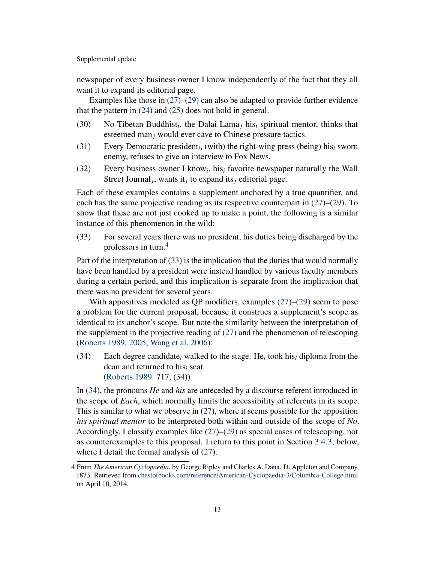newspaper of every business owner I know independently of the fact that they all want it to expand its editorial page.

Examples like those in  $(27)$ – $(29)$  can also be adapted to provide further evidence that the pattern in [\(24\)](#page-11-2) and [\(25\)](#page-11-3) does not hold in general.

- (30) No Tibetan Buddhist*<sup>i</sup>* , the Dalai Lama*<sup>j</sup>* his*<sup>i</sup>* spiritual mentor, thinks that esteemed man*<sup>j</sup>* would ever cave to Chinese pressure tactics.
- (31) Every Democratic president*<sup>i</sup>* , (with) the right-wing press (being) his*<sup>i</sup>* sworn enemy, refuses to give an interview to Fox News.
- (32) Every business owner I know<sub>*i*</sub>, his<sub>*i*</sub> favorite newspaper naturally the Wall Street Journal*<sup>j</sup>* , wants it*<sup>j</sup>* to expand its*<sup>j</sup>* editorial page.

Each of these examples contains a supplement anchored by a true quantifier, and each has the same projective reading as its respective counterpart in [\(27\)](#page-11-1)–[\(29\)](#page-11-6). To show that these are not just cooked up to make a point, the following is a similar instance of this phenomenon in the wild:

<span id="page-12-0"></span>(33) For several years there was no president, his duties being discharged by the professors in turn.[4](#page-0-0)

Part of the interpretation of [\(33\)](#page-12-0) is the implication that the duties that would normally have been handled by a president were instead handled by various faculty members during a certain period, and this implication is separate from the implication that there was no president for several years.

With appositives modeled as QP modifiers, examples  $(27)$ – $(29)$  seem to pose a problem for the current proposal, because it construes a supplement's scope as identical to its anchor's scope. But note the similarity between the interpretation of the supplement in the projective reading of [\(27\)](#page-11-1) and the phenomenon of telescoping [\(Roberts](#page-53-5) [1989,](#page-53-5) [2005,](#page-53-9) [Wang et al.](#page-54-7) [2006\)](#page-54-7):

<span id="page-12-1"></span>(34) Each degree candidate<sub>*i*</sub> walked to the stage. He<sub>*i*</sub> took his<sub>*i*</sub> diploma from the dean and returned to his*<sup>i</sup>* seat. [\(Roberts](#page-53-5) [1989:](#page-53-5) 717, (34))

In [\(34\)](#page-12-1), the pronouns *He* and *his* are anteceded by a discourse referent introduced in the scope of *Each*, which normally limits the accessibility of referents in its scope. This is similar to what we observe in [\(27\)](#page-11-1), where it seems possible for the apposition *his spiritual mentor* to be interpreted both within and outside of the scope of *No*. Accordingly, I classify examples like [\(27\)](#page-11-1)–[\(29\)](#page-11-6) as special cases of telescoping, not as counterexamples to this proposal. I return to this point in Section [3.4.3,](#page-29-0) below, where I detail the formal analysis of [\(27\)](#page-11-1).

<sup>4</sup> From *The American Cyclopaedia*, by George Ripley and Charles A. Dana. D. Appleton and Company, 1873. Retrieved from [chestofbooks.com/reference/American-Cyclopaedia-3/Columbia-College.html](http://chestofbooks.com/reference/American-Cyclopaedia-3/Columbia-College.html) on April 10, 2014.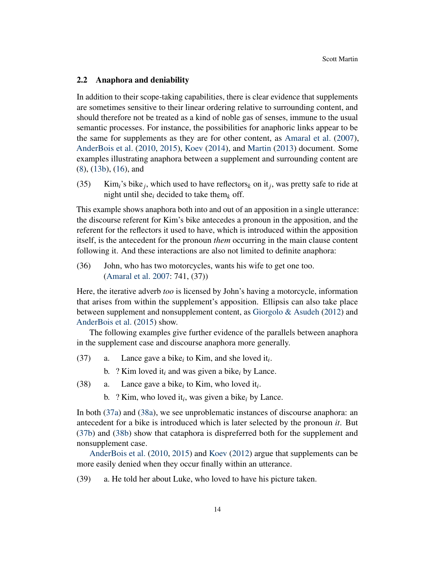#### <span id="page-13-0"></span>2.2 Anaphora and deniability

In addition to their scope-taking capabilities, there is clear evidence that supplements are sometimes sensitive to their linear ordering relative to surrounding content, and should therefore not be treated as a kind of noble gas of senses, immune to the usual semantic processes. For instance, the possibilities for anaphoric links appear to be the same for supplements as they are for other content, as [Amaral et al.](#page-49-0) [\(2007\)](#page-49-0), [AnderBois et al.](#page-49-1) [\(2010,](#page-49-1) [2015\)](#page-49-2), [Koev](#page-52-1) [\(2014\)](#page-52-1), and [Martin](#page-52-2) [\(2013\)](#page-52-2) document. Some examples illustrating anaphora between a supplement and surrounding content are [\(8\)](#page-4-2), [\(13b\)](#page-6-1), [\(16\)](#page-7-2), and

(35) Kim<sub>i</sub>'s bike<sub>j</sub>, which used to have reflectors<sub>k</sub> on it<sub>j</sub>, was pretty safe to ride at night until she*<sup>i</sup>* decided to take them*<sup>k</sup>* off.

This example shows anaphora both into and out of an apposition in a single utterance: the discourse referent for Kim's bike antecedes a pronoun in the apposition, and the referent for the reflectors it used to have, which is introduced within the apposition itself, is the antecedent for the pronoun *them* occurring in the main clause content following it. And these interactions are also not limited to definite anaphora:

(36) John, who has two motorcycles, wants his wife to get one too. [\(Amaral et al.](#page-49-0) [2007:](#page-49-0) 741, (37))

Here, the iterative adverb *too* is licensed by John's having a motorcycle, information that arises from within the supplement's apposition. Ellipsis can also take place between supplement and nonsupplement content, as [Giorgolo & Asudeh](#page-50-6) [\(2012\)](#page-50-6) and [AnderBois et al.](#page-49-2) [\(2015\)](#page-49-2) show.

The following examples give further evidence of the parallels between anaphora in the supplement case and discourse anaphora more generally.

- <span id="page-13-3"></span><span id="page-13-1"></span>(37) a. Lance gave a bike<sub>i</sub> to Kim, and she loved it<sub>*i*</sub>.
	- b. ? Kim loved it*<sup>i</sup>* and was given a bike*<sup>i</sup>* by Lance.
- <span id="page-13-4"></span><span id="page-13-2"></span>(38) a. Lance gave a bike<sub>i</sub> to Kim, who loved it<sub>i</sub>.
	- b. ? Kim, who loved it*<sup>i</sup>* , was given a bike*<sup>i</sup>* by Lance.

In both [\(37a\)](#page-13-1) and [\(38a\)](#page-13-2), we see unproblematic instances of discourse anaphora: an antecedent for a bike is introduced which is later selected by the pronoun *it*. But [\(37b\)](#page-13-3) and [\(38b\)](#page-13-4) show that cataphora is dispreferred both for the supplement and nonsupplement case.

[AnderBois et al.](#page-49-1) [\(2010,](#page-49-1) [2015\)](#page-49-2) and [Koev](#page-52-0) [\(2012\)](#page-52-0) argue that supplements can be more easily denied when they occur finally within an utterance.

<span id="page-13-5"></span>(39) a. He told her about Luke, who loved to have his picture taken.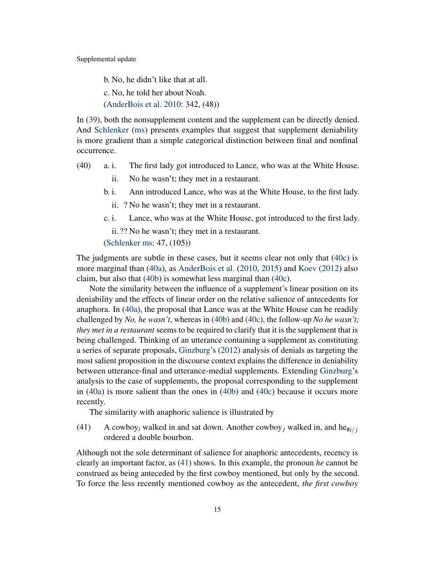b. No, he didn't like that at all. c. No, he told her about Noah. [\(AnderBois et al.](#page-49-1) [2010:](#page-49-1) 342, (48))

In [\(39\)](#page-13-5), both the nonsupplement content and the supplement can be directly denied. And [Schlenker](#page-54-2) [\(ms\)](#page-54-2) presents examples that suggest that supplement deniability is more gradient than a simple categorical distinction between final and nonfinal occurrence.

- <span id="page-14-2"></span><span id="page-14-1"></span>(40) a. i. The first lady got introduced to Lance, who was at the White House.
	- ii. No he wasn't; they met in a restaurant.
	- b. i. Ann introduced Lance, who was at the White House, to the first lady.
		- ii. ? No he wasn't; they met in a restaurant.
	- c. i. Lance, who was at the White House, got introduced to the first lady.

<span id="page-14-0"></span>ii. ?? No he wasn't; they met in a restaurant.

[\(Schlenker](#page-54-2) [ms:](#page-54-2) 47, (105))

The judgments are subtle in these cases, but it seems clear not only that [\(40c\)](#page-14-0) is more marginal than [\(40a\)](#page-14-1), as [AnderBois et al.](#page-49-1) [\(2010,](#page-49-1) [2015\)](#page-49-2) and [Koev](#page-52-0) [\(2012\)](#page-52-0) also claim, but also that [\(40b\)](#page-14-2) is somewhat less marginal than [\(40c\)](#page-14-0).

Note the similarity between the influence of a supplement's linear position on its deniability and the effects of linear order on the relative salience of antecedents for anaphora. In [\(40a\)](#page-14-1), the proposal that Lance was at the White House can be readily challenged by *No, he wasn't*, whereas in [\(40b\)](#page-14-2) and [\(40c\)](#page-14-0), the follow-up *No he wasn't; they met in a restaurant* seems to be required to clarify that it is the supplement that is being challenged. Thinking of an utterance containing a supplement as constituting a series of separate proposals, [Ginzburg'](#page-50-0)s [\(2012\)](#page-50-0) analysis of denials as targeting the most salient proposition in the discourse context explains the difference in deniability between utterance-final and utterance-medial supplements. Extending [Ginzburg'](#page-50-0)s analysis to the case of supplements, the proposal corresponding to the supplement in [\(40a\)](#page-14-1) is more salient than the ones in [\(40b\)](#page-14-2) and [\(40c\)](#page-14-0) because it occurs more recently.

The similarity with anaphoric salience is illustrated by

<span id="page-14-3"></span>(41) A cowboy<sub>*i*</sub> walked in and sat down. Another cowboy<sub>*i*</sub> walked in, and he<sub>#*i*/*i*</sub> ordered a double bourbon.

Although not the sole determinant of salience for anaphoric antecedents, recency is clearly an important factor, as [\(41\)](#page-14-3) shows. In this example, the pronoun *he* cannot be construed as being anteceded by the first cowboy mentioned, but only by the second. To force the less recently mentioned cowboy as the antecedent, *the first cowboy*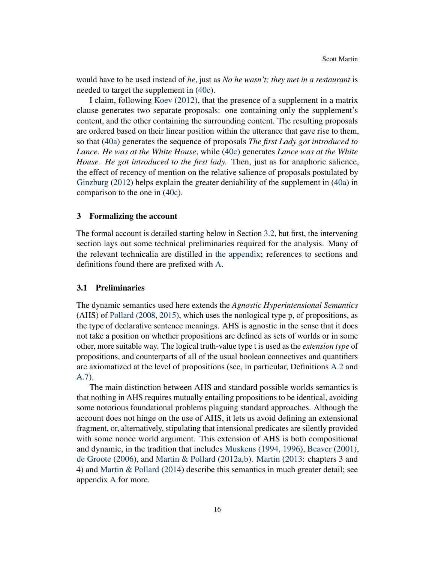would have to be used instead of *he*, just as *No he wasn't; they met in a restaurant* is needed to target the supplement in [\(40c\)](#page-14-0).

I claim, following [Koev](#page-52-0) [\(2012\)](#page-52-0), that the presence of a supplement in a matrix clause generates two separate proposals: one containing only the supplement's content, and the other containing the surrounding content. The resulting proposals are ordered based on their linear position within the utterance that gave rise to them, so that [\(40a\)](#page-14-1) generates the sequence of proposals *The first Lady got introduced to Lance. He was at the White House*, while [\(40c\)](#page-14-0) generates *Lance was at the White House. He got introduced to the first lady.* Then, just as for anaphoric salience, the effect of recency of mention on the relative salience of proposals postulated by [Ginzburg](#page-50-0) [\(2012\)](#page-50-0) helps explain the greater deniability of the supplement in [\(40a\)](#page-14-1) in comparison to the one in [\(40c\)](#page-14-0).

### <span id="page-15-0"></span>3 Formalizing the account

The formal account is detailed starting below in Section [3.2,](#page-16-0) but first, the intervening section lays out some technical preliminaries required for the analysis. Many of the relevant technicalia are distilled in [the appendix;](#page-39-0) references to sections and definitions found there are prefixed with [A.](#page-39-0)

#### <span id="page-15-1"></span>3.1 Preliminaries

The dynamic semantics used here extends the *Agnostic Hyperintensional Semantics* (AHS) of [Pollard](#page-53-10) [\(2008,](#page-53-10) [2015\)](#page-53-11), which uses the nonlogical type p, of propositions, as the type of declarative sentence meanings. AHS is agnostic in the sense that it does not take a position on whether propositions are defined as sets of worlds or in some other, more suitable way. The logical truth-value type t is used as the *extension type* of propositions, and counterparts of all of the usual boolean connectives and quantifiers are axiomatized at the level of propositions (see, in particular, Definitions [A.2](#page-41-0) and [A.7\)](#page-42-0).

The main distinction between AHS and standard possible worlds semantics is that nothing in AHS requires mutually entailing propositions to be identical, avoiding some notorious foundational problems plaguing standard approaches. Although the account does not hinge on the use of AHS, it lets us avoid defining an extensional fragment, or, alternatively, stipulating that intensional predicates are silently provided with some nonce world argument. This extension of AHS is both compositional and dynamic, in the tradition that includes [Muskens](#page-52-3) [\(1994,](#page-52-3) [1996\)](#page-53-6), [Beaver](#page-50-1) [\(2001\)](#page-50-1), [de Groote](#page-51-3) [\(2006\)](#page-51-3), and [Martin & Pollard](#page-52-4) [\(2012a,](#page-52-4)[b\)](#page-52-5). [Martin](#page-52-2) [\(2013:](#page-52-2) chapters 3 and 4) and [Martin & Pollard](#page-52-6) [\(2014\)](#page-52-6) describe this semantics in much greater detail; see appendix [A](#page-39-0) for more.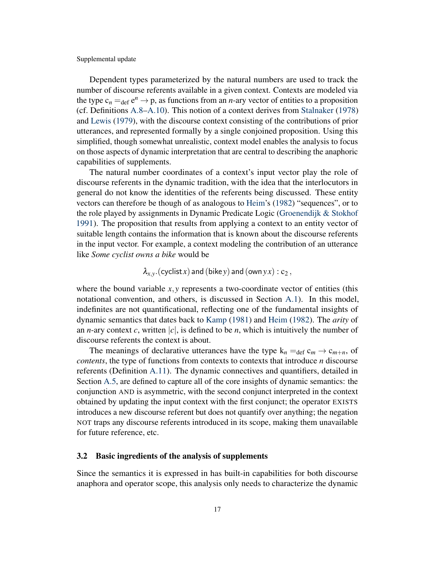Dependent types parameterized by the natural numbers are used to track the number of discourse referents available in a given context. Contexts are modeled via the type  $c_n =_{def} e^n \rightarrow p$ , as functions from an *n*-ary vector of entities to a proposition (cf. Definitions [A.8](#page-43-0)[–A.10\)](#page-43-1). This notion of a context derives from [Stalnaker](#page-54-8) [\(1978\)](#page-54-8) and [Lewis](#page-52-7) [\(1979\)](#page-52-7), with the discourse context consisting of the contributions of prior utterances, and represented formally by a single conjoined proposition. Using this simplified, though somewhat unrealistic, context model enables the analysis to focus on those aspects of dynamic interpretation that are central to describing the anaphoric capabilities of supplements.

The natural number coordinates of a context's input vector play the role of discourse referents in the dynamic tradition, with the idea that the interlocutors in general do not know the identities of the referents being discussed. These entity vectors can therefore be though of as analogous to [Heim'](#page-51-4)s [\(1982\)](#page-51-4) "sequences", or to the role played by assignments in Dynamic Predicate Logic [\(Groenendijk & Stokhof](#page-51-6) [1991\)](#page-51-6). The proposition that results from applying a context to an entity vector of suitable length contains the information that is known about the discourse referents in the input vector. For example, a context modeling the contribution of an utterance like *Some cyclist owns a bike* would be

$$
\lambda_{x,y}.(\mathsf{cyclic} x) \mathbin{\mathsf{and}} (\mathsf{bike} y) \mathbin{\mathsf{and}} (\mathsf{own} y x) : \mathsf{c}_2 \, ,
$$

where the bound variable  $x, y$  represents a two-coordinate vector of entities (this notational convention, and others, is discussed in Section [A.1\)](#page-40-0). In this model, indefinites are not quantificational, reflecting one of the fundamental insights of dynamic semantics that dates back to [Kamp](#page-51-7) [\(1981\)](#page-51-7) and [Heim](#page-51-4) [\(1982\)](#page-51-4). The *arity* of an *n*-ary context *c*, written  $|c|$ , is defined to be *n*, which is intuitively the number of discourse referents the context is about.

The meanings of declarative utterances have the type  $k_n = \text{det } c_m \rightarrow c_{m+n}$ , of *contents*, the type of functions from contexts to contexts that introduce *n* discourse referents (Definition [A.11\)](#page-43-2). The dynamic connectives and quantifiers, detailed in Section [A.5,](#page-44-0) are defined to capture all of the core insights of dynamic semantics: the conjunction AND is asymmetric, with the second conjunct interpreted in the context obtained by updating the input context with the first conjunct; the operator EXISTS introduces a new discourse referent but does not quantify over anything; the negation NOT traps any discourse referents introduced in its scope, making them unavailable for future reference, etc.

#### <span id="page-16-0"></span>3.2 Basic ingredients of the analysis of supplements

Since the semantics it is expressed in has built-in capabilities for both discourse anaphora and operator scope, this analysis only needs to characterize the dynamic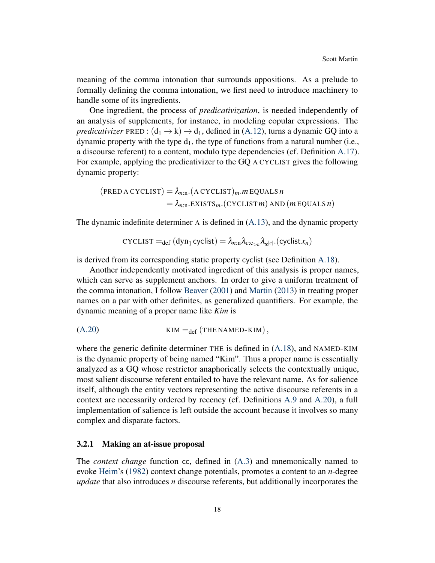meaning of the comma intonation that surrounds appositions. As a prelude to formally defining the comma intonation, we first need to introduce machinery to handle some of its ingredients.

One ingredient, the process of *predicativization*, is needed independently of an analysis of supplements, for instance, in modeling copular expressions. The *predicativizer* PRED :  $(d_1 \rightarrow k) \rightarrow d_1$ , defined in [\(A.12\)](#page-46-0), turns a dynamic GQ into a dynamic property with the type  $d_1$ , the type of functions from a natural number (i.e., a discourse referent) to a content, modulo type dependencies (cf. Definition [A.17\)](#page-45-1). For example, applying the predicativizer to the GQ A CYCLIST gives the following dynamic property:

$$
(\text{PRED A CYCLIST}) = \lambda_{n:n}.(\text{A CYCLIST})_m.m \text{ EQUALS } n
$$
  
=  $\lambda_{n:n}.\text{EXISTS}_m.(\text{CYCLIST } m) \text{ AND } (m \text{ EQUALS } n)$ 

The dynamic indefinite determiner A is defined in [\(A.13\)](#page-47-0), and the dynamic property

<span id="page-17-1"></span>
$$
\text{CYCLIST} =_{\text{def}} (\text{dyn}_1 \text{ cyclist}) = \lambda_{n:\text{n}} \lambda_{c:\text{c}_{>n}} \lambda_{\text{x}^{|c|}}.(\text{cyclic} x_n)
$$

is derived from its corresponding static property cyclist (see Definition [A.18\)](#page-46-1).

Another independently motivated ingredient of this analysis is proper names, which can serve as supplement anchors. In order to give a uniform treatment of the comma intonation, I follow [Beaver](#page-50-1) [\(2001\)](#page-50-1) and [Martin](#page-52-2) [\(2013\)](#page-52-2) in treating proper names on a par with other definites, as generalized quantifiers. For example, the dynamic meaning of a proper name like *Kim* is

[\(A.20\)](#page-48-0) KIM =def (THE NAMED-KIM),

where the generic definite determiner THE is defined in [\(A.18\)](#page-48-1), and NAMED-KIM is the dynamic property of being named "Kim". Thus a proper name is essentially analyzed as a GQ whose restrictor anaphorically selects the contextually unique, most salient discourse referent entailed to have the relevant name. As for salience itself, although the entity vectors representing the active discourse referents in a context are necessarily ordered by recency (cf. Definitions [A.9](#page-43-3) and [A.20\)](#page-46-2), a full implementation of salience is left outside the account because it involves so many complex and disparate factors.

#### <span id="page-17-0"></span>3.2.1 Making an at-issue proposal

The *context change* function cc, defined in [\(A.3\)](#page-44-1) and mnemonically named to evoke [Heim'](#page-51-4)s [\(1982\)](#page-51-4) context change potentials, promotes a content to an *n*-degree *update* that also introduces *n* discourse referents, but additionally incorporates the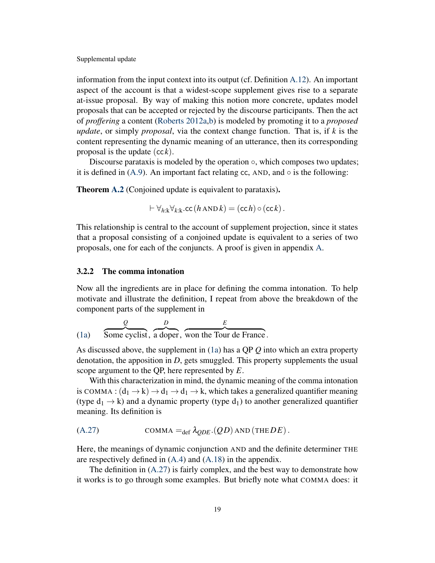information from the input context into its output (cf. Definition [A.12\)](#page-44-2). An important aspect of the account is that a widest-scope supplement gives rise to a separate at-issue proposal. By way of making this notion more concrete, updates model proposals that can be accepted or rejected by the discourse participants. Then the act of *proffering* a content [\(Roberts](#page-53-3) [2012a](#page-53-3)[,b\)](#page-53-4) is modeled by promoting it to a *proposed update*, or simply *proposal*, via the context change function. That is, if *k* is the content representing the dynamic meaning of an utterance, then its corresponding proposal is the update  $(cck)$ .

Discourse parataxis is modeled by the operation  $\circ$ , which composes two updates; it is defined in  $(A.9)$ . An important fact relating cc, AND, and  $\circ$  is the following:

**Theorem [A.2](#page-45-0)** (Conjoined update is equivalent to parataxis).

$$
\vdash \forall_{h:\mathbf{k}}\forall_{k:\mathbf{k}}.\mathtt{cc}\,(h\,\mathtt{AND}\,k)=(\mathtt{cc}\,h)\,\circ(\mathtt{cc}\,k)\,.
$$

This relationship is central to the account of supplement projection, since it states that a proposal consisting of a conjoined update is equivalent to a series of two proposals, one for each of the conjuncts. A proof is given in appendix [A.](#page-39-0)

# <span id="page-18-0"></span>3.2.2 The comma intonation

Now all the ingredients are in place for defining the comma intonation. To help motivate and illustrate the definition, I repeat from above the breakdown of the component parts of the supplement in

[\(1a\)](#page-1-0) *Q* z }| { Some cyclist, *D* z }| { a doper, *E* z }| { won the Tour de France .

As discussed above, the supplement in [\(1a\)](#page-1-0) has a QP *Q* into which an extra property denotation, the apposition in *D*, gets smuggled. This property supplements the usual scope argument to the QP, here represented by *E*.

With this characterization in mind, the dynamic meaning of the comma intonation is COMMA :  $(d_1 \rightarrow k) \rightarrow d_1 \rightarrow d_1 \rightarrow k$ , which takes a generalized quantifier meaning (type  $d_1 \rightarrow k$ ) and a dynamic property (type  $d_1$ ) to another generalized quantifier meaning. Its definition is

$$
(A.27) \t\t\t\tCOMMA =_{def} \lambda_{QDE}.(QD) \text{ AND (THEDE)}.
$$

Here, the meanings of dynamic conjunction AND and the definite determiner THE are respectively defined in [\(A.4\)](#page-44-3) and [\(A.18\)](#page-48-1) in the appendix.

The definition in [\(A.27\)](#page-49-3) is fairly complex, and the best way to demonstrate how it works is to go through some examples. But briefly note what COMMA does: it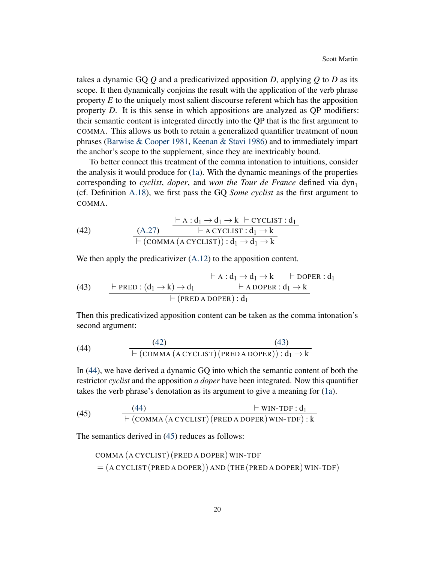takes a dynamic GQ *Q* and a predicativized apposition *D*, applying *Q* to *D* as its scope. It then dynamically conjoins the result with the application of the verb phrase property *E* to the uniquely most salient discourse referent which has the apposition property *D*. It is this sense in which appositions are analyzed as QP modifiers: their semantic content is integrated directly into the QP that is the first argument to COMMA. This allows us both to retain a generalized quantifier treatment of noun phrases [\(Barwise & Cooper](#page-50-7) [1981,](#page-50-7) [Keenan & Stavi](#page-51-8) [1986\)](#page-51-8) and to immediately impart the anchor's scope to the supplement, since they are inextricably bound.

To better connect this treatment of the comma intonation to intuitions, consider the analysis it would produce for [\(1a\)](#page-1-0). With the dynamic meanings of the properties corresponding to *cyclist*, *doper*, and *won the Tour de France* defined via  $dyn_1$ (cf. Definition [A.18\)](#page-46-1), we first pass the GQ *Some cyclist* as the first argument to COMMA.

(42) 
$$
\frac{\vdash A : d_1 \rightarrow d_1 \rightarrow k \vdash \text{CYCLIST} : d_1}{\vdash \text{ACYCLIST} : d_1 \rightarrow k} \quad \frac{\vdash A : d_1 \rightarrow d_1 \rightarrow k \vdash \text{CYCLIST} : d_1 \rightarrow k}{\vdash (\text{COMMA} (\text{ACYCLIST})) : d_1 \rightarrow d_1 \rightarrow k}
$$

<span id="page-19-0"></span>We then apply the predicativizer  $(A.12)$  to the apposition content.

(43) 
$$
\frac{\vdash \text{PRED}: (d_1 \rightarrow k) \rightarrow d_1 \qquad \qquad \vdash A: d_1 \rightarrow d_1 \rightarrow k \qquad \vdash \text{DOPER}: d_1}{\vdash \text{APOPER}: d_1 \rightarrow k} \qquad \qquad \vdash (\text{PRED A DOPER}): d_1}
$$

<span id="page-19-1"></span>Then this predicativized apposition content can be taken as the comma intonation's second argument:

(44) [\(42\)](#page-17-1) [\(43\)](#page-19-0) ` (COMMA (A CYCLIST) (PRED A DOPER)) : d<sup>1</sup> → k

In [\(44\)](#page-19-1), we have derived a dynamic GQ into which the semantic content of both the restrictor *cyclist* and the apposition *a doper* have been integrated. Now this quantifier takes the verb phrase's denotation as its argument to give a meaning for [\(1a\)](#page-1-0).

(45) 
$$
\frac{(44)}{\leftarrow (\text{COMMA} (\text{A CYCLIST}) (\text{PRED A DOPER}) \text{WIN-TDF} : d_1}
$$

The semantics derived in [\(45\)](#page-19-2) reduces as follows:

<span id="page-19-2"></span>\n
$$
\text{COMMA} \left( \text{A CYCLIST} \right) \left( \text{PRED A DOPER} \right) \text{WIN-TDF}
$$
\n

\n\n $= \left( \text{A CYCLIST} \left( \text{PRED A DOPER} \right) \text{AND} \left( \text{THE} \left( \text{PRED A DOPER} \right) \text{WIN-TDF} \right) \right)$ \n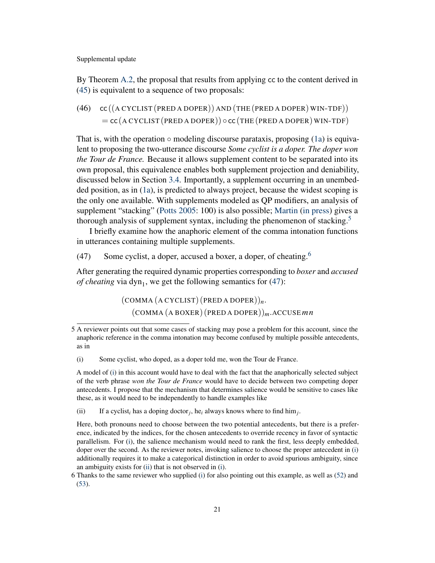By Theorem [A.2,](#page-45-0) the proposal that results from applying cc to the content derived in [\(45\)](#page-19-2) is equivalent to a sequence of two proposals:

<span id="page-20-3"></span>(46)  $cc ((ACYCLIST (PRED A DOPER)) AND (THE (PRED A DOPER) WIN-TDF))$  $=$  cc (A CYCLIST (PRED A DOPER))  $\circ$  cc (THE (PRED A DOPER) WIN-TDF)

That is, with the operation  $\circ$  modeling discourse parataxis, proposing [\(1a\)](#page-1-0) is equivalent to proposing the two-utterance discourse *Some cyclist is a doper. The doper won the Tour de France.* Because it allows supplement content to be separated into its own proposal, this equivalence enables both supplement projection and deniability, discussed below in Section [3.4.](#page-24-0) Importantly, a supplement occurring in an unembedded position, as in [\(1a\)](#page-1-0), is predicted to always project, because the widest scoping is the only one available. With supplements modeled as QP modifiers, an analysis of supplement "stacking" [\(Potts](#page-53-0) [2005:](#page-53-0) 100) is also possible; [Martin](#page-52-8) [\(in press\)](#page-52-8) gives a thorough analysis of supplement syntax, including the phenomenon of stacking.<sup>[5](#page-0-0)</sup>

I briefly examine how the anaphoric element of the comma intonation functions in utterances containing multiple supplements.

<span id="page-20-0"></span>(47) Some cyclist, a doper, accused a boxer, a doper, of cheating.<sup>[6](#page-0-0)</sup>

After generating the required dynamic properties corresponding to *boxer* and *accused of cheating* via  $dyn_1$ , we get the following semantics for  $(47)$ :

> (COMMA (A CYCLIST) (PRED A DOPER))*n*. (COMMA (A BOXER) (PRED A DOPER))*m*.ACCUSE*m n*

<span id="page-20-2"></span>(ii) If a cyclist<sub>i</sub> has a doping doctor<sub>j</sub>, he<sub>i</sub> always knows where to find him<sub>j</sub>.

Here, both pronouns need to choose between the two potential antecedents, but there is a preference, indicated by the indices, for the chosen antecedents to override recency in favor of syntactic parallelism. For [\(i\)](#page-20-1), the salience mechanism would need to rank the first, less deeply embedded, doper over the second. As the reviewer notes, invoking salience to choose the proper antecedent in [\(i\)](#page-20-1) additionally requires it to make a categorical distinction in order to avoid spurious ambiguity, since an ambiguity exists for [\(ii\)](#page-20-2) that is not observed in [\(i\)](#page-20-1).

6 Thanks to the same reviewer who supplied [\(i\)](#page-20-1) for also pointing out this example, as well as [\(52\)](#page-23-0) and [\(53\)](#page-23-1).

<sup>5</sup> A reviewer points out that some cases of stacking may pose a problem for this account, since the anaphoric reference in the comma intonation may become confused by multiple possible antecedents, as in

<span id="page-20-1"></span><sup>(</sup>i) Some cyclist, who doped, as a doper told me, won the Tour de France.

A model of [\(i\)](#page-20-1) in this account would have to deal with the fact that the anaphorically selected subject of the verb phrase *won the Tour de France* would have to decide between two competing doper antecedents. I propose that the mechanism that determines salience would be sensitive to cases like these, as it would need to be independently to handle examples like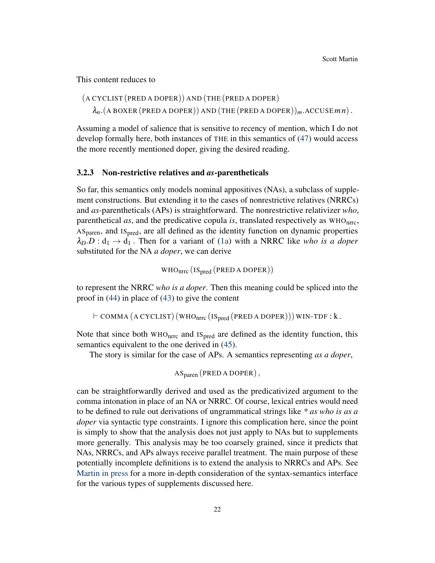This content reduces to

(A CYCLIST (PRED A DOPER)) AND (THE (PRED A DOPER)  $\lambda_n$ . (A BOXER (PRED A DOPER)) AND (THE (PRED A DOPER))<sub>*m*</sub>. ACCUSE *mn*).

Assuming a model of salience that is sensitive to recency of mention, which I do not develop formally here, both instances of THE in this semantics of [\(47\)](#page-20-0) would access the more recently mentioned doper, giving the desired reading.

#### 3.2.3 Non-restrictive relatives and *as*-parentheticals

So far, this semantics only models nominal appositives (NAs), a subclass of supplement constructions. But extending it to the cases of nonrestrictive relatives (NRRCs) and *as*-parentheticals (APs) is straightforward. The nonrestrictive relativizer *who*, parenthetical *as*, and the predicative copula *is*, translated respectively as WHOnrrc,  $AS<sub>parent</sub>$ , and  $IS<sub>pred</sub>$ , are all defined as the identity function on dynamic properties  $\lambda_D.D: d_1 \rightarrow d_1$ . Then for a variant of [\(1a\)](#page-1-0) with a NRRC like *who is a doper* substituted for the NA *a doper*, we can derive

$$
WHO_{nrrc} (IS_{pred} (PRED A DOPER))
$$

to represent the NRRC *who is a doper*. Then this meaning could be spliced into the proof in [\(44\)](#page-19-1) in place of [\(43\)](#page-19-0) to give the content

 $\vdash$  COMMA (A CYCLIST) (WHO<sub>nrrc</sub> (IS<sub>pred</sub> (PRED A DOPER))) WIN-TDF : k.

Note that since both  $WHO<sub>nrrc</sub>$  and  $IS<sub>pred</sub>$  are defined as the identity function, this semantics equivalent to the one derived in [\(45\)](#page-19-2).

The story is similar for the case of APs. A semantics representing *as a doper*,

$$
AS_{\text{parent}} \left( \text{PRED A DOPER} \right),
$$

can be straightforwardly derived and used as the predicativized argument to the comma intonation in place of an NA or NRRC. Of course, lexical entries would need to be defined to rule out derivations of ungrammatical strings like *\* as who is as a doper* via syntactic type constraints. I ignore this complication here, since the point is simply to show that the analysis does not just apply to NAs but to supplements more generally. This analysis may be too coarsely grained, since it predicts that NAs, NRRCs, and APs always receive parallel treatment. The main purpose of these potentially incomplete definitions is to extend the analysis to NRRCs and APs. See [Martin](#page-52-8) [in press](#page-52-8) for a more in-depth consideration of the syntax-semantics interface for the various types of supplements discussed here.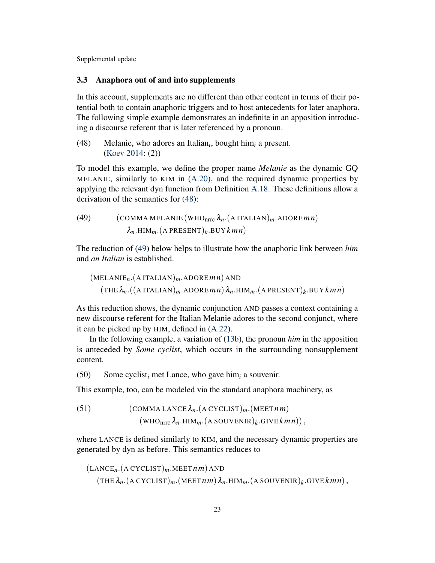### <span id="page-22-0"></span>3.3 Anaphora out of and into supplements

In this account, supplements are no different than other content in terms of their potential both to contain anaphoric triggers and to host antecedents for later anaphora. The following simple example demonstrates an indefinite in an apposition introducing a discourse referent that is later referenced by a pronoun.

<span id="page-22-1"></span>(48) Melanie, who adores an Italian*<sup>i</sup>* , bought him*<sup>i</sup>* a present. [\(Koev](#page-52-1) [2014:](#page-52-1) (2))

To model this example, we define the proper name *Melanie* as the dynamic GQ MELANIE, similarly to KIM in [\(A.20\)](#page-48-0), and the required dynamic properties by applying the relevant dyn function from Definition [A.18.](#page-46-1) These definitions allow a derivation of the semantics for [\(48\)](#page-22-1):

<span id="page-22-2"></span>(49) (COMMA MELANIE (WHO<sub>nrrc</sub> 
$$
\lambda_n
$$
. (A ITALIAN)<sub>m</sub>.ADORE*mn*)  
 $\lambda_n$ .HIM<sub>m</sub>. (A PRESENT)<sub>k</sub>. BUY *kmn*)

The reduction of [\(49\)](#page-22-2) below helps to illustrate how the anaphoric link between *him* and *an Italian* is established.

(MELANIE*n*.(A ITALIAN)*m*.ADORE*m n*) AND  $(\text{THE } \lambda_n.((\text{A ITALIAN})_m.\text{ADORE} \textit{mn})\lambda_n.\text{HIM}_m.(\text{A PRESENT})_k.\text{BUY} \textit{kmn})$ 

As this reduction shows, the dynamic conjunction AND passes a context containing a new discourse referent for the Italian Melanie adores to the second conjunct, where it can be picked up by HIM, defined in [\(A.22\)](#page-48-2).

In the following example, a variation of [\(13b\)](#page-6-1), the pronoun *him* in the apposition is anteceded by *Some cyclist*, which occurs in the surrounding nonsupplement content.

<span id="page-22-4"></span>(50) Some cyclist*<sup>i</sup>* met Lance, who gave him*<sup>i</sup>* a souvenir.

This example, too, can be modeled via the standard anaphora machinery, as

<span id="page-22-3"></span>(51) (COMMA LANCE 
$$
\lambda_n
$$
. (A CYCLIST)<sub>m</sub>. (MEET *nm*)  
(WHO<sub>nrrc</sub>  $\lambda_n$ .HIM<sub>m</sub>. (A SOUVENIR)<sub>k</sub>.GIVE *kmn*)),

where LANCE is defined similarly to KIM, and the necessary dynamic properties are generated by dyn as before. This semantics reduces to

$$
(\text{LANCE}_n.(\text{A CYCLIST})_m.\text{MEET} \,nm) \,\text{AND}
$$
\n
$$
(\text{THE } \lambda_n.(\text{A CYCLIST})_m.(\text{MEET} \,nm) \,\lambda_n.\text{HIM}_m.(\text{A SOUVENIR})_k.\text{GIVE} \,km \,n),
$$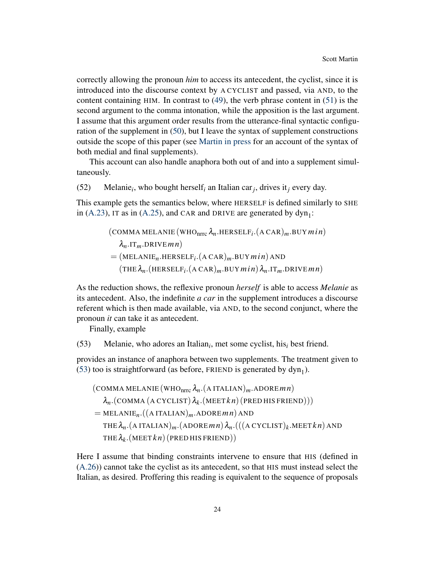correctly allowing the pronoun *him* to access its antecedent, the cyclist, since it is introduced into the discourse context by A CYCLIST and passed, via AND, to the content containing HIM. In contrast to [\(49\)](#page-22-2), the verb phrase content in [\(51\)](#page-22-3) is the second argument to the comma intonation, while the apposition is the last argument. I assume that this argument order results from the utterance-final syntactic configuration of the supplement in [\(50\)](#page-22-4), but I leave the syntax of supplement constructions outside the scope of this paper (see [Martin](#page-52-8) [in press](#page-52-8) for an account of the syntax of both medial and final supplements).

This account can also handle anaphora both out of and into a supplement simultaneously.

<span id="page-23-0"></span>(52) Melanie*<sup>i</sup>* , who bought herself*<sup>i</sup>* an Italian car*<sup>j</sup>* , drives it*<sup>j</sup>* every day.

This example gets the semantics below, where HERSELF is defined similarly to SHE in [\(A.23\)](#page-48-3), IT as in [\(A.25\)](#page-48-4), and CAR and DRIVE are generated by  $dyn_1$ :

> $(COMMA MELANIE (WHO<sub>nrrc</sub> \lambda<sub>n</sub>.HERSELF<sub>i</sub>. (ACAR)<sub>m</sub>.BUY min)$ λ*n*.IT*m*.DRIVE*m n*)  $=$  (MELANIE<sub>n</sub>.HERSELF<sub>*i*</sub></sub>. (A CAR)<sub>*m*</sub>.BUY *min*) AND  $(\text{THE } \lambda_n.(\text{HERSELF}_{i}.(\text{ACAR})_m.\text{BUY } min) \lambda_n.\text{IT}_m.\text{DRIVE } mn)$

As the reduction shows, the reflexive pronoun *herself* is able to access *Melanie* as its antecedent. Also, the indefinite *a car* in the supplement introduces a discourse referent which is then made available, via AND, to the second conjunct, where the pronoun *it* can take it as antecedent.

Finally, example

<span id="page-23-1"></span>(53) Melanie, who adores an Italian*<sup>i</sup>* , met some cyclist, his*<sup>i</sup>* best friend.

provides an instance of anaphora between two supplements. The treatment given to [\(53\)](#page-23-1) too is straightforward (as before, FRIEND is generated by  $dyn<sub>1</sub>$ ).

(COMMA MELANIE (WHO<sub>nrrc</sub> 
$$
\lambda_n
$$
. (A ITALIAN)<sub>m</sub>.ADORE*mn*)  
\n
$$
\lambda_n
$$
.(COMMA (A CYCLIST)  $\lambda_k$ . (MEET $kn$ ) (PRED HIS FRIEND)))  
\n= MELANIE<sub>n</sub>.((A ITALIAN)<sub>m</sub>.ADORE*mn*) AND  
\nTHE  $\lambda_n$ . (A ITALIAN)<sub>m</sub>.(ADORE*mn*)  $\lambda_n$ .(((A CYCLIST)<sub>k</sub>.MEET $kn$ ) AND  
\nTHE  $\lambda_k$ . (MEET $kn$ ) (PRED HIS FRIEND))

Here I assume that binding constraints intervene to ensure that HIS (defined in [\(A.26\)](#page-49-4)) cannot take the cyclist as its antecedent, so that HIS must instead select the Italian, as desired. Proffering this reading is equivalent to the sequence of proposals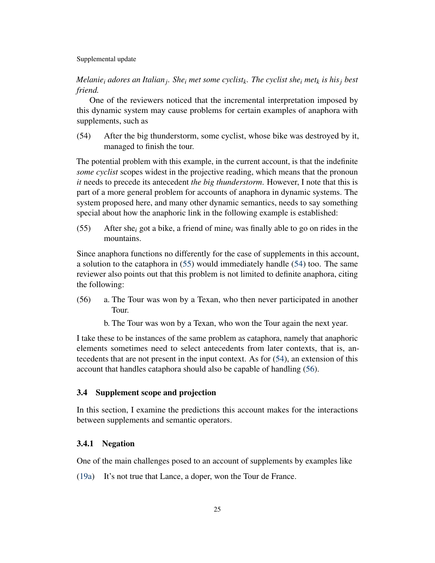*Melanie<sup>i</sup> adores an Italian<sup>j</sup> . She<sup>i</sup> met some cyclist<sup>k</sup> . The cyclist she<sup>i</sup> met<sup>k</sup> is his<sup>j</sup> best friend.*

One of the reviewers noticed that the incremental interpretation imposed by this dynamic system may cause problems for certain examples of anaphora with supplements, such as

<span id="page-24-2"></span>(54) After the big thunderstorm, some cyclist, whose bike was destroyed by it, managed to finish the tour.

The potential problem with this example, in the current account, is that the indefinite *some cyclist* scopes widest in the projective reading, which means that the pronoun *it* needs to precede its antecedent *the big thunderstorm*. However, I note that this is part of a more general problem for accounts of anaphora in dynamic systems. The system proposed here, and many other dynamic semantics, needs to say something special about how the anaphoric link in the following example is established:

<span id="page-24-1"></span>(55) After she*<sup>i</sup>* got a bike, a friend of mine*<sup>i</sup>* was finally able to go on rides in the mountains.

Since anaphora functions no differently for the case of supplements in this account, a solution to the cataphora in [\(55\)](#page-24-1) would immediately handle [\(54\)](#page-24-2) too. The same reviewer also points out that this problem is not limited to definite anaphora, citing the following:

- <span id="page-24-3"></span>(56) a. The Tour was won by a Texan, who then never participated in another Tour.
	- b. The Tour was won by a Texan, who won the Tour again the next year.

I take these to be instances of the same problem as cataphora, namely that anaphoric elements sometimes need to select antecedents from later contexts, that is, antecedents that are not present in the input context. As for [\(54\)](#page-24-2), an extension of this account that handles cataphora should also be capable of handling [\(56\)](#page-24-3).

# <span id="page-24-0"></span>3.4 Supplement scope and projection

In this section, I examine the predictions this account makes for the interactions between supplements and semantic operators.

### 3.4.1 Negation

One of the main challenges posed to an account of supplements by examples like

[\(19a\)](#page-9-0) It's not true that Lance, a doper, won the Tour de France.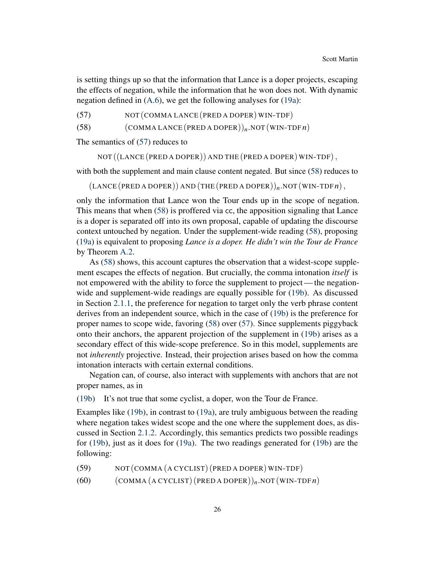is setting things up so that the information that Lance is a doper projects, escaping the effects of negation, while the information that he won does not. With dynamic negation defined in [\(A.6\)](#page-44-4), we get the following analyses for [\(19a\)](#page-9-0):

<span id="page-25-0"></span>(57) NOT (COMMA LANCE (PRED A DOPER) WIN-TDF)

<span id="page-25-1"></span>(58)  $(COMMA LANCE (PRED A DOPER))_n NOT (WIN-TDF n)$ 

The semantics of [\(57\)](#page-25-0) reduces to

NOT ((LANCE (PRED A DOPER)) AND THE (PRED A DOPER) WIN-TDF),

with both the supplement and main clause content negated. But since [\(58\)](#page-25-1) reduces to

 $(LANCE (PRED A DOPER)) AND (THE (PRED A DOPER))<sub>n</sub> NOT (WIN-TDFR),$ 

only the information that Lance won the Tour ends up in the scope of negation. This means that when [\(58\)](#page-25-1) is proffered via cc, the apposition signaling that Lance is a doper is separated off into its own proposal, capable of updating the discourse context untouched by negation. Under the supplement-wide reading [\(58\)](#page-25-1), proposing [\(19a\)](#page-9-0) is equivalent to proposing *Lance is a doper. He didn't win the Tour de France* by Theorem [A.2.](#page-45-0)

As [\(58\)](#page-25-1) shows, this account captures the observation that a widest-scope supplement escapes the effects of negation. But crucially, the comma intonation *itself* is not empowered with the ability to force the supplement to project— the negationwide and supplement-wide readings are equally possible for [\(19b\)](#page-9-1). As discussed in Section [2.1.1,](#page-6-4) the preference for negation to target only the verb phrase content derives from an independent source, which in the case of [\(19b\)](#page-9-1) is the preference for proper names to scope wide, favoring [\(58\)](#page-25-1) over [\(57\)](#page-25-0). Since supplements piggyback onto their anchors, the apparent projection of the supplement in [\(19b\)](#page-9-1) arises as a secondary effect of this wide-scope preference. So in this model, supplements are not *inherently* projective. Instead, their projection arises based on how the comma intonation interacts with certain external conditions.

Negation can, of course, also interact with supplements with anchors that are not proper names, as in

[\(19b\)](#page-9-1) It's not true that some cyclist, a doper, won the Tour de France.

Examples like [\(19b\)](#page-9-1), in contrast to [\(19a\)](#page-9-0), are truly ambiguous between the reading where negation takes widest scope and the one where the supplement does, as discussed in Section [2.1.2.](#page-7-3) Accordingly, this semantics predicts two possible readings for [\(19b\)](#page-9-1), just as it does for [\(19a\)](#page-9-0). The two readings generated for [\(19b\)](#page-9-1) are the following:

<span id="page-25-3"></span><span id="page-25-2"></span>(59) NOT (COMMA (A CYCLIST) (PRED A DOPER) WIN-TDF)

(60)  $(COMMA (ACYCLIST) (PRED A DOPER))_n. NOT (WIN-TDF n)$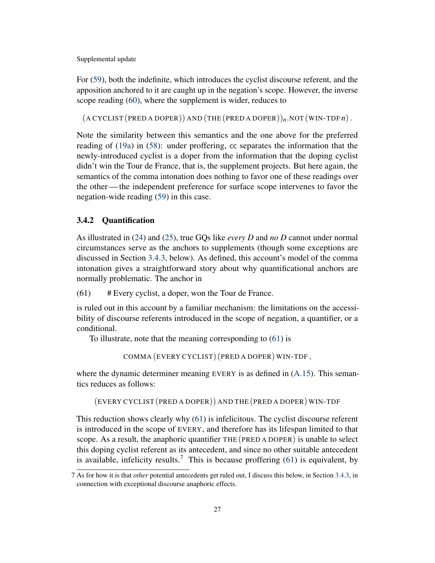For [\(59\)](#page-25-2), both the indefinite, which introduces the cyclist discourse referent, and the apposition anchored to it are caught up in the negation's scope. However, the inverse scope reading [\(60\)](#page-25-3), where the supplement is wider, reduces to

 $(A CYCLIST (PRED A DOPER))$  AND  $(THE (PRED A DOPER))$ <sub>n</sub>. NOT  $(WIN-TDFn)$ .

Note the similarity between this semantics and the one above for the preferred reading of [\(19a\)](#page-9-0) in [\(58\)](#page-25-1): under proffering, cc separates the information that the newly-introduced cyclist is a doper from the information that the doping cyclist didn't win the Tour de France, that is, the supplement projects. But here again, the semantics of the comma intonation does nothing to favor one of these readings over the other— the independent preference for surface scope intervenes to favor the negation-wide reading [\(59\)](#page-25-2) in this case.

# <span id="page-26-1"></span>3.4.2 Quantification

As illustrated in [\(24\)](#page-11-2) and [\(25\)](#page-11-3), true GQs like *every D* and *no D* cannot under normal circumstances serve as the anchors to supplements (though some exceptions are discussed in Section [3.4.3,](#page-29-0) below). As defined, this account's model of the comma intonation gives a straightforward story about why quantificational anchors are normally problematic. The anchor in

<span id="page-26-0"></span>(61) # Every cyclist, a doper, won the Tour de France.

is ruled out in this account by a familiar mechanism: the limitations on the accessibility of discourse referents introduced in the scope of negation, a quantifier, or a conditional.

To illustrate, note that the meaning corresponding to [\(61\)](#page-26-0) is

COMMA (EVERY CYCLIST) (PRED A DOPER) WIN-TDF ,

where the dynamic determiner meaning EVERY is as defined in  $(A.15)$ . This semantics reduces as follows:

(EVERY CYCLIST (PRED A DOPER)) AND THE (PRED A DOPER) WIN-TDF

This reduction shows clearly why [\(61\)](#page-26-0) is infelicitous. The cyclist discourse referent is introduced in the scope of EVERY, and therefore has its lifespan limited to that scope. As a result, the anaphoric quantifier THE (PRED A DOPER) is unable to select this doping cyclist referent as its antecedent, and since no other suitable antecedent is available, infelicity results.<sup>[7](#page-0-0)</sup> This is because proffering [\(61\)](#page-26-0) is equivalent, by

<sup>7</sup> As for how it is that *other* potential antecedents get ruled out, I discuss this below, in Section [3.4.3,](#page-29-0) in connection with exceptional discourse anaphoric effects.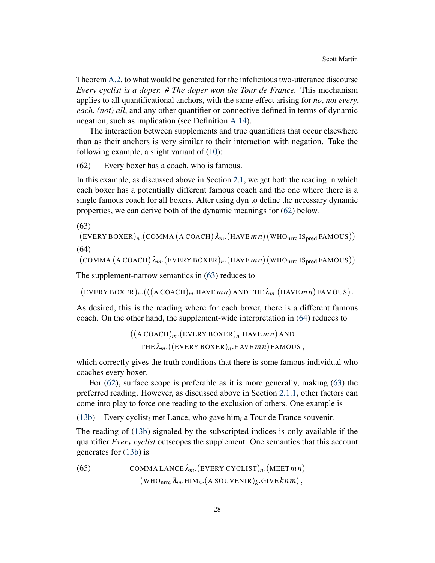Theorem [A.2,](#page-45-0) to what would be generated for the infelicitous two-utterance discourse *Every cyclist is a doper. # The doper won the Tour de France.* This mechanism applies to all quantificational anchors, with the same effect arising for *no*, *not every*, *each*, *(not) all*, and any other quantifier or connective defined in terms of dynamic negation, such as implication (see Definition [A.14\)](#page-44-5).

The interaction between supplements and true quantifiers that occur elsewhere than as their anchors is very similar to their interaction with negation. Take the following example, a slight variant of [\(10\)](#page-5-1):

<span id="page-27-0"></span>(62) Every boxer has a coach, who is famous.

In this example, as discussed above in Section [2.1,](#page-4-0) we get both the reading in which each boxer has a potentially different famous coach and the one where there is a single famous coach for all boxers. After using dyn to define the necessary dynamic properties, we can derive both of the dynamic meanings for [\(62\)](#page-27-0) below.

<span id="page-27-1"></span>(63)

<span id="page-27-2"></span>
$$
(\text{EVERT BOXER})_n \cdot (\text{COMMA} \ (\text{A COACH}) \ \lambda_m \cdot (\text{HAVE} \ m \ n) \ (\text{WHO}_{\text{nrc}} \ \text{IS}_{\text{pred}} \ \text{FAMOUS}))
$$
\n
$$
(64)
$$

 $(COMMA (A COACH) \lambda_m (EVERY BOXER)_n (HAVEmn) (WHO<sub>nrrc</sub> IS<sub>pred</sub> FAMOUS))$ 

The supplement-narrow semantics in [\(63\)](#page-27-1) reduces to

 $(EVERY BOXER)_n$ . $(((A COACH)_m.HAVEmn) AND THE  $\lambda_m$ . (HAVEM) FAMOUS).$ 

As desired, this is the reading where for each boxer, there is a different famous coach. On the other hand, the supplement-wide interpretation in [\(64\)](#page-27-2) reduces to

$$
((A COACH)m.(EVERY BOXER)n.HAVE mn) AND\nTHE  $\lambda_m$ .((EVERY BOXER)<sub>n</sub>.HAVE *mn*) FAMOUS,
$$

which correctly gives the truth conditions that there is some famous individual who coaches every boxer.

For [\(62\)](#page-27-0), surface scope is preferable as it is more generally, making [\(63\)](#page-27-1) the preferred reading. However, as discussed above in Section [2.1.1,](#page-6-4) other factors can come into play to force one reading to the exclusion of others. One example is

[\(13b\)](#page-6-1) Every cyclist*<sup>i</sup>* met Lance, who gave him*<sup>i</sup>* a Tour de France souvenir.

The reading of [\(13b\)](#page-6-1) signaled by the subscripted indices is only available if the quantifier *Every cyclist* outscopes the supplement. One semantics that this account generates for [\(13b\)](#page-6-1) is

<span id="page-27-3"></span>(65) 
$$
COMMA LANCE \lambda_m.(EVERY CYCLIST)_n.(MEETmn)
$$

$$
(WHO_{nrrc} \lambda_m.HIM_n.(A SOUVENIR)_k.GIVEknm),
$$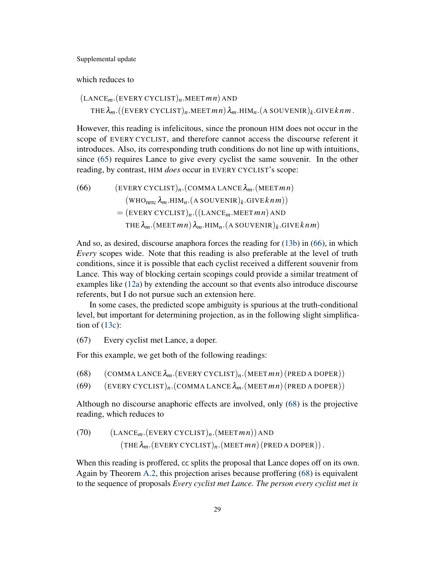which reduces to

(LANCE*m*.(EVERY CYCLIST)*n*.MEET*m n*) AND  $\tau$ HE $\lambda_m$ .((EVERY CYCLIST)<sub>n</sub>.MEET  $mn$ )  $\lambda_m$ .HIM<sub>n</sub>.(A SOUVENIR)<sub>k</sub>.GIVE  $k$ n  $m$ .

However, this reading is infelicitous, since the pronoun HIM does not occur in the scope of EVERY CYCLIST, and therefore cannot access the discourse referent it introduces. Also, its corresponding truth conditions do not line up with intuitions, since [\(65\)](#page-27-3) requires Lance to give every cyclist the same souvenir. In the other reading, by contrast, HIM *does* occur in EVERY CYCLIST's scope:

<span id="page-28-0"></span>(66) (EVERY CYCLIST)<sub>n</sub>.(COMMA LANCE
$$
\lambda_m
$$
.(MEET $mn$ )  
\n(WHO<sub>nrrc</sub> $\lambda_m$ .HIM<sub>n</sub>.(A SOUVENIR)<sub>k</sub>.GIVE $knm$ ))  
\n= (EVERY CYCLIST)<sub>n</sub>.((LANCE<sub>m</sub>.MEET $mn$ ) AND  
\nTHE $\lambda_m$ .(MEET $mn$ ) $\lambda_m$ .HIM<sub>n</sub>.(A SOUVENIR)<sub>k</sub>.GIVE $knm$ )

And so, as desired, discourse anaphora forces the reading for [\(13b\)](#page-6-1) in [\(66\)](#page-28-0), in which *Every* scopes wide. Note that this reading is also preferable at the level of truth conditions, since it is possible that each cyclist received a different souvenir from Lance. This way of blocking certain scopings could provide a similar treatment of examples like [\(12a\)](#page-5-3) by extending the account so that events also introduce discourse referents, but I do not pursue such an extension here.

In some cases, the predicted scope ambiguity is spurious at the truth-conditional level, but important for determining projection, as in the following slight simplification of  $(13c)$ :

<span id="page-28-3"></span>(67) Every cyclist met Lance, a doper.

For this example, we get both of the following readings:

<span id="page-28-1"></span>(68) (COMMA LANCE λ*m*.(EVERY CYCLIST)*n*.(MEET*m n*) (PRED A DOPER))

<span id="page-28-2"></span>(69) (EVERY CYCLIST)*n*.(COMMA LANCE λ*m*.(MEET*m n*) (PRED A DOPER))

Although no discourse anaphoric effects are involved, only [\(68\)](#page-28-1) is the projective reading, which reduces to

<span id="page-28-4"></span>(70) 
$$
(LANCEm.(EVERT CYCLIST)n.(MEET mn)) AND (THE  $\lambda_m$ .(EVERT CYCLIST)<sub>n</sub>. (MEET *mn*) (PRED A DOPER))
$$

When this reading is proffered, cc splits the proposal that Lance dopes off on its own. Again by Theorem [A.2,](#page-45-0) this projection arises because proffering [\(68\)](#page-28-1) is equivalent to the sequence of proposals *Every cyclist met Lance. The person every cyclist met is*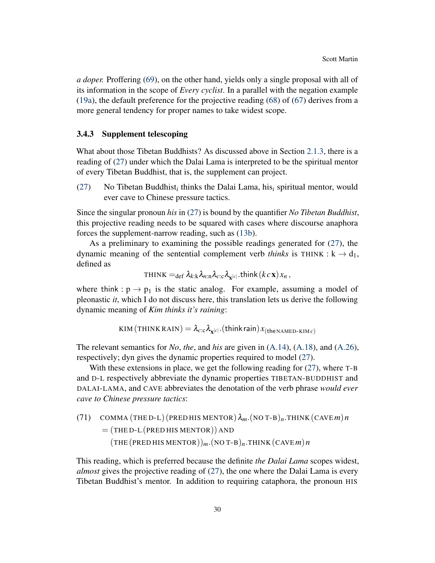*a doper.* Proffering [\(69\)](#page-28-2), on the other hand, yields only a single proposal with all of its information in the scope of *Every cyclist*. In a parallel with the negation example [\(19a\)](#page-9-0), the default preference for the projective reading [\(68\)](#page-28-1) of [\(67\)](#page-28-3) derives from a more general tendency for proper names to take widest scope.

### <span id="page-29-0"></span>3.4.3 Supplement telescoping

What about those Tibetan Buddhists? As discussed above in Section [2.1.3,](#page-11-0) there is a reading of [\(27\)](#page-11-1) under which the Dalai Lama is interpreted to be the spiritual mentor of every Tibetan Buddhist, that is, the supplement can project.

[\(27\)](#page-11-1) No Tibetan Buddhist<sub>i</sub> thinks the Dalai Lama, his<sub>i</sub> spiritual mentor, would ever cave to Chinese pressure tactics.

Since the singular pronoun *his* in [\(27\)](#page-11-1) is bound by the quantifier *No Tibetan Buddhist*, this projective reading needs to be squared with cases where discourse anaphora forces the supplement-narrow reading, such as [\(13b\)](#page-6-1).

As a preliminary to examining the possible readings generated for  $(27)$ , the dynamic meaning of the sentential complement verb *thinks* is THINK :  $k \rightarrow d_1$ , defined as

 $\tau$ HINK  $=_{\text{def}} \lambda_{k:k} \lambda_{n:\text{n}} \lambda_{c:\text{c}} \lambda_{\mathbf{x}^{|c|}}$ .think  $(k c \mathbf{x}) x_n$  ,

where think :  $p \rightarrow p_1$  is the static analog. For example, assuming a model of pleonastic *it*, which I do not discuss here, this translation lets us derive the following dynamic meaning of *Kim thinks it's raining*:

 $\textsc{kim}\left(\texttt{THINK}\,\texttt{RAIN}\right) = \lambda_{c:c}\lambda_{\textbf{x}^{\left|c\right|}}.\left(\texttt{think}\,\texttt{rain}\right) x_{\left(\texttt{the\texttt{NAMBD-KIM}}\,c\right)}$ 

The relevant semantics for *No*, *the*, and *his* are given in [\(A.14\)](#page-47-2), [\(A.18\)](#page-48-1), and [\(A.26\)](#page-49-4), respectively; dyn gives the dynamic properties required to model [\(27\)](#page-11-1).

With these extensions in place, we get the following reading for  $(27)$ , where T-B and <sup>D</sup>-<sup>L</sup> respectively abbreviate the dynamic properties TIBETAN-BUDDHIST and DALAI-LAMA, and CAVE abbreviates the denotation of the verb phrase *would ever cave to Chinese pressure tactics*:

<span id="page-29-1"></span>(71) COMMA (THED-L) (PRED HIS MENTOR) 
$$
\lambda_m
$$
. (NO T-B)<sub>n</sub>.THINK (CAVE*m*)*n*  
= (THED-L (PRED HIS MENTOR)) AND  
(THE (PRED HIS MENTOR))<sub>m</sub>. (NO T-B)<sub>n</sub>.THINK (CAVE*m*)*n*

This reading, which is preferred because the definite *the Dalai Lama* scopes widest, *almost* gives the projective reading of [\(27\)](#page-11-1), the one where the Dalai Lama is every Tibetan Buddhist's mentor. In addition to requiring cataphora, the pronoun HIS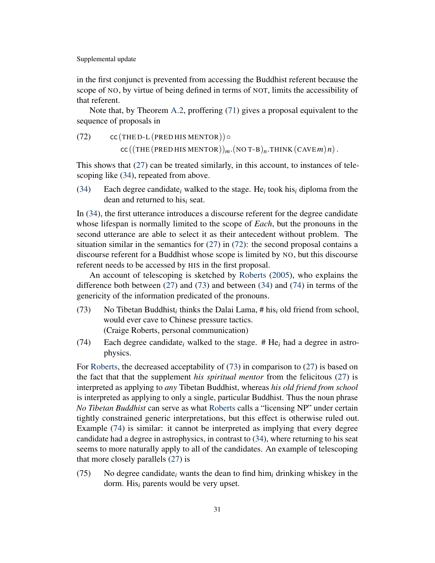in the first conjunct is prevented from accessing the Buddhist referent because the scope of NO, by virtue of being defined in terms of NOT, limits the accessibility of that referent.

Note that, by Theorem [A.2,](#page-45-0) proffering [\(71\)](#page-29-1) gives a proposal equivalent to the sequence of proposals in

<span id="page-30-0"></span> $(72)$  cc (THE D-L (PRED HIS MENTOR))  $\circ$  $cc$  ((THE (PRED HIS MENTOR))<sub>m</sub>.(NO T-B)<sub>n</sub>.THINK (CAVE *m*)*n*).

This shows that  $(27)$  can be treated similarly, in this account, to instances of telescoping like [\(34\)](#page-12-1), repeated from above.

[\(34\)](#page-12-1) Each degree candidate*<sup>i</sup>* walked to the stage. He*<sup>i</sup>* took his*<sup>i</sup>* diploma from the dean and returned to his*<sup>i</sup>* seat.

In [\(34\)](#page-12-1), the first utterance introduces a discourse referent for the degree candidate whose lifespan is normally limited to the scope of *Each*, but the pronouns in the second utterance are able to select it as their antecedent without problem. The situation similar in the semantics for  $(27)$  in  $(72)$ : the second proposal contains a discourse referent for a Buddhist whose scope is limited by NO, but this discourse referent needs to be accessed by HIS in the first proposal.

An account of telescoping is sketched by [Roberts](#page-53-9) [\(2005\)](#page-53-9), who explains the difference both between [\(27\)](#page-11-1) and [\(73\)](#page-30-1) and between [\(34\)](#page-12-1) and [\(74\)](#page-30-2) in terms of the genericity of the information predicated of the pronouns.

- <span id="page-30-1"></span>(73) No Tibetan Buddhist*<sup>i</sup>* thinks the Dalai Lama, # his*<sup>i</sup>* old friend from school, would ever cave to Chinese pressure tactics. (Craige Roberts, personal communication)
- <span id="page-30-2"></span>(74) Each degree candidate*<sup>i</sup>* walked to the stage. # He*<sup>i</sup>* had a degree in astrophysics.

For [Roberts,](#page-53-9) the decreased acceptability of [\(73\)](#page-30-1) in comparison to [\(27\)](#page-11-1) is based on the fact that that the supplement *his spiritual mentor* from the felicitous [\(27\)](#page-11-1) is interpreted as applying to *any* Tibetan Buddhist, whereas *his old friend from school* is interpreted as applying to only a single, particular Buddhist. Thus the noun phrase *No Tibetan Buddhist* can serve as what [Roberts](#page-53-9) calls a "licensing NP" under certain tightly constrained generic interpretations, but this effect is otherwise ruled out. Example [\(74\)](#page-30-2) is similar: it cannot be interpreted as implying that every degree candidate had a degree in astrophysics, in contrast to [\(34\)](#page-12-1), where returning to his seat seems to more naturally apply to all of the candidates. An example of telescoping that more closely parallels [\(27\)](#page-11-1) is

(75) No degree candidate*<sup>i</sup>* wants the dean to find him*<sup>i</sup>* drinking whiskey in the dorm. His*<sup>i</sup>* parents would be very upset.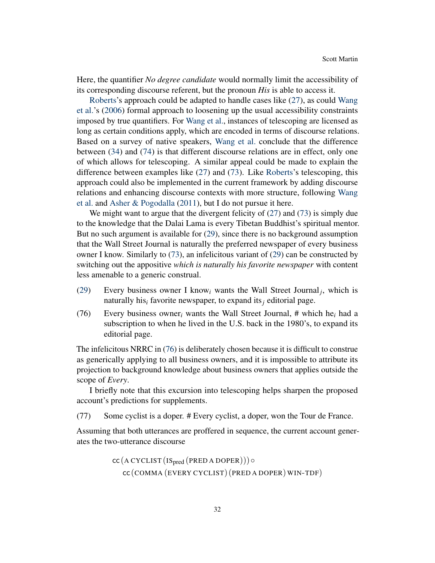Here, the quantifier *No degree candidate* would normally limit the accessibility of its corresponding discourse referent, but the pronoun *His* is able to access it.

[Roberts'](#page-53-9)s approach could be adapted to handle cases like [\(27\)](#page-11-1), as could [Wang](#page-54-7) [et al.'](#page-54-7)s [\(2006\)](#page-54-7) formal approach to loosening up the usual accessibility constraints imposed by true quantifiers. For [Wang et al.,](#page-54-7) instances of telescoping are licensed as long as certain conditions apply, which are encoded in terms of discourse relations. Based on a survey of native speakers, [Wang et al.](#page-54-7) conclude that the difference between [\(34\)](#page-12-1) and [\(74\)](#page-30-2) is that different discourse relations are in effect, only one of which allows for telescoping. A similar appeal could be made to explain the difference between examples like [\(27\)](#page-11-1) and [\(73\)](#page-30-1). Like [Roberts'](#page-53-9)s telescoping, this approach could also be implemented in the current framework by adding discourse relations and enhancing discourse contexts with more structure, following [Wang](#page-54-7) [et al.](#page-54-7) and [Asher & Pogodalla](#page-49-5) [\(2011\)](#page-49-5), but I do not pursue it here.

We might want to argue that the divergent felicity of [\(27\)](#page-11-1) and [\(73\)](#page-30-1) is simply due to the knowledge that the Dalai Lama is every Tibetan Buddhist's spiritual mentor. But no such argument is available for [\(29\)](#page-11-6), since there is no background assumption that the Wall Street Journal is naturally the preferred newspaper of every business owner I know. Similarly to [\(73\)](#page-30-1), an infelicitous variant of [\(29\)](#page-11-6) can be constructed by switching out the appositive *which is naturally his favorite newspaper* with content less amenable to a generic construal.

- [\(29\)](#page-11-6) Every business owner I know<sub>i</sub> wants the Wall Street Journal<sub>j</sub>, which is naturally his*<sup>i</sup>* favorite newspaper, to expand its*<sup>j</sup>* editorial page.
- <span id="page-31-0"></span>(76) Every business owner*<sup>i</sup>* wants the Wall Street Journal, # which he*<sup>i</sup>* had a subscription to when he lived in the U.S. back in the 1980's, to expand its editorial page.

The infelicitous NRRC in [\(76\)](#page-31-0) is deliberately chosen because it is difficult to construe as generically applying to all business owners, and it is impossible to attribute its projection to background knowledge about business owners that applies outside the scope of *Every*.

I briefly note that this excursion into telescoping helps sharpen the proposed account's predictions for supplements.

<span id="page-31-1"></span>(77) Some cyclist is a doper. # Every cyclist, a doper, won the Tour de France.

Assuming that both utterances are proffered in sequence, the current account generates the two-utterance discourse

> cc (A CYCLIST (ISpred (PRED A DOPER)))◦ cc (COMMA (EVERY CYCLIST) (PRED A DOPER) WIN-TDF)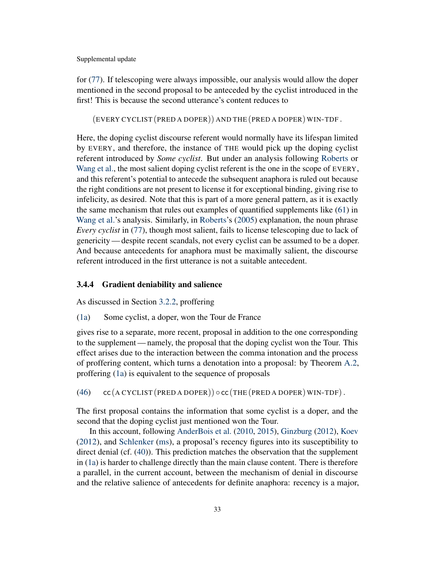for [\(77\)](#page-31-1). If telescoping were always impossible, our analysis would allow the doper mentioned in the second proposal to be anteceded by the cyclist introduced in the first! This is because the second utterance's content reduces to

(EVERY CYCLIST (PRED A DOPER)) AND THE (PRED A DOPER) WIN-TDF .

Here, the doping cyclist discourse referent would normally have its lifespan limited by EVERY, and therefore, the instance of THE would pick up the doping cyclist referent introduced by *Some cyclist*. But under an analysis following [Roberts](#page-53-9) or [Wang et al.,](#page-54-7) the most salient doping cyclist referent is the one in the scope of EVERY, and this referent's potential to antecede the subsequent anaphora is ruled out because the right conditions are not present to license it for exceptional binding, giving rise to infelicity, as desired. Note that this is part of a more general pattern, as it is exactly the same mechanism that rules out examples of quantified supplements like [\(61\)](#page-26-0) in [Wang et al.'](#page-54-7)s analysis. Similarly, in [Roberts'](#page-53-9)s [\(2005\)](#page-53-9) explanation, the noun phrase *Every cyclist* in [\(77\)](#page-31-1), though most salient, fails to license telescoping due to lack of genericity — despite recent scandals, not every cyclist can be assumed to be a doper. And because antecedents for anaphora must be maximally salient, the discourse referent introduced in the first utterance is not a suitable antecedent.

# <span id="page-32-0"></span>3.4.4 Gradient deniability and salience

As discussed in Section [3.2.2,](#page-18-0) proffering

[\(1a\)](#page-1-0) Some cyclist, a doper, won the Tour de France

gives rise to a separate, more recent, proposal in addition to the one corresponding to the supplement — namely, the proposal that the doping cyclist won the Tour. This effect arises due to the interaction between the comma intonation and the process of proffering content, which turns a denotation into a proposal: by Theorem [A.2,](#page-45-0) proffering [\(1a\)](#page-1-0) is equivalent to the sequence of proposals

<span id="page-32-1"></span>[\(46\)](#page-20-3)  $cc$  (A CYCLIST (PRED A DOPER))  $\circ$  cc (THE (PRED A DOPER) WIN-TDF).

The first proposal contains the information that some cyclist is a doper, and the second that the doping cyclist just mentioned won the Tour.

In this account, following [AnderBois et al.](#page-49-1) [\(2010,](#page-49-1) [2015\)](#page-49-2), [Ginzburg](#page-50-0) [\(2012\)](#page-50-0), [Koev](#page-52-0) [\(2012\)](#page-52-0), and [Schlenker](#page-54-2) [\(ms\)](#page-54-2), a proposal's recency figures into its susceptibility to direct denial (cf. [\(40\)](#page-14-1)). This prediction matches the observation that the supplement in [\(1a\)](#page-1-0) is harder to challenge directly than the main clause content. There is therefore a parallel, in the current account, between the mechanism of denial in discourse and the relative salience of antecedents for definite anaphora: recency is a major,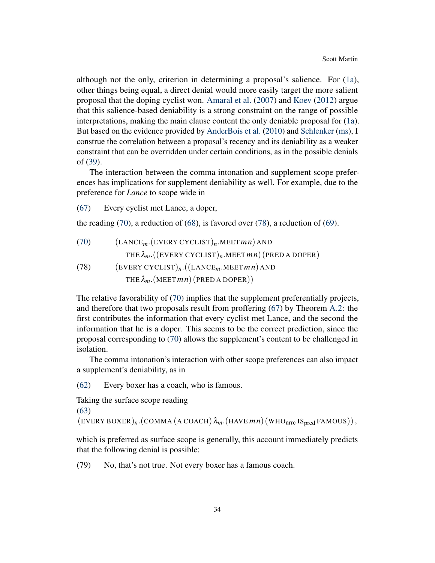although not the only, criterion in determining a proposal's salience. For [\(1a\)](#page-1-0), other things being equal, a direct denial would more easily target the more salient proposal that the doping cyclist won. [Amaral et al.](#page-49-0) [\(2007\)](#page-49-0) and [Koev](#page-52-0) [\(2012\)](#page-52-0) argue that this salience-based deniability is a strong constraint on the range of possible interpretations, making the main clause content the only deniable proposal for [\(1a\)](#page-1-0). But based on the evidence provided by [AnderBois et al.](#page-49-1) [\(2010\)](#page-49-1) and [Schlenker](#page-54-2) [\(ms\)](#page-54-2), I construe the correlation between a proposal's recency and its deniability as a weaker constraint that can be overridden under certain conditions, as in the possible denials of [\(39\)](#page-13-5).

The interaction between the comma intonation and supplement scope preferences has implications for supplement deniability as well. For example, due to the preference for *Lance* to scope wide in

[\(67\)](#page-28-3) Every cyclist met Lance, a doper,

the reading [\(70\)](#page-28-4), a reduction of [\(68\)](#page-28-1), is favored over [\(78\)](#page-32-1), a reduction of [\(69\)](#page-28-2).

[\(70\)](#page-28-4) (LANCE*m*.(EVERY CYCLIST)*n*.MEET*m n*) AND THE λ*m*.((EVERY CYCLIST)*n*.MEET*m n*) (PRED A DOPER) (78) (EVERY CYCLIST)*n*.((LANCE*m*.MEET*m n*) AND THE  $\lambda_m$ . (MEET *m n*) (PRED A DOPER))

The relative favorability of [\(70\)](#page-28-4) implies that the supplement preferentially projects, and therefore that two proposals result from proffering [\(67\)](#page-28-3) by Theorem [A.2:](#page-45-0) the first contributes the information that every cyclist met Lance, and the second the information that he is a doper. This seems to be the correct prediction, since the proposal corresponding to [\(70\)](#page-28-4) allows the supplement's content to be challenged in isolation.

The comma intonation's interaction with other scope preferences can also impact a supplement's deniability, as in

[\(62\)](#page-27-0) Every boxer has a coach, who is famous.

Taking the surface scope reading [\(63\)](#page-27-1)

 $(EVERY BOXER)_n$ .(COMMA (A COACH) $\lambda_m$ .(HAVE  $mn$ ) (WHO<sub>nrrc</sub> IS<sub>pred</sub> FAMOUS)),

which is preferred as surface scope is generally, this account immediately predicts that the following denial is possible:

<span id="page-33-0"></span>(79) No, that's not true. Not every boxer has a famous coach.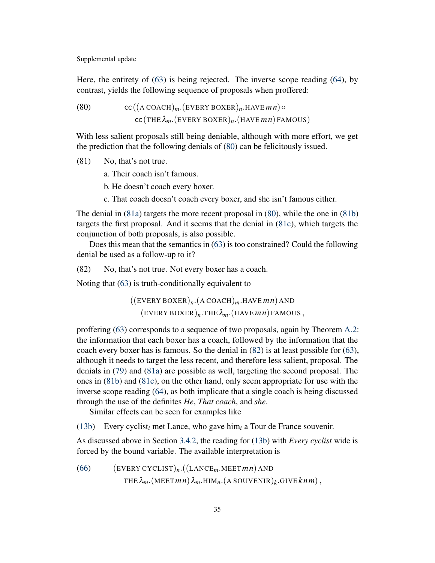Here, the entirety of [\(63\)](#page-27-1) is being rejected. The inverse scope reading [\(64\)](#page-27-2), by contrast, yields the following sequence of proposals when proffered:

<span id="page-34-0"></span>(80) cc  $((A\text{ COACH})_m$ .  $(\text{EVERY BOXER})_n$ . HAVE  $mn) \circ$  $cc$  (THE  $\lambda_m$ . (EVERY BOXER)<sub>n</sub>. (HAVE *m n*) FAMOUS)

With less salient proposals still being deniable, although with more effort, we get the prediction that the following denials of [\(80\)](#page-34-0) can be felicitously issued.

<span id="page-34-2"></span><span id="page-34-1"></span>(81) No, that's not true.

a. Their coach isn't famous.

b. He doesn't coach every boxer.

c. That coach doesn't coach every boxer, and she isn't famous either.

<span id="page-34-3"></span>The denial in [\(81a\)](#page-34-1) targets the more recent proposal in [\(80\)](#page-34-0), while the one in [\(81b\)](#page-34-2) targets the first proposal. And it seems that the denial in [\(81c\)](#page-34-3), which targets the conjunction of both proposals, is also possible.

Does this mean that the semantics in [\(63\)](#page-27-1) is too constrained? Could the following denial be used as a follow-up to it?

<span id="page-34-4"></span>(82) No, that's not true. Not every boxer has a coach.

Noting that [\(63\)](#page-27-1) is truth-conditionally equivalent to

 $((\text{EVERT BOXER})_n.(\text{A COACH})_m.\text{HAVE}~m\,n)\text{ AND}$  $(EVERY BOXER)_n$ .THE  $\lambda_m$ . (HAVE *m n*) FAMOUS,

proffering [\(63\)](#page-27-1) corresponds to a sequence of two proposals, again by Theorem [A.2:](#page-45-0) the information that each boxer has a coach, followed by the information that the coach every boxer has is famous. So the denial in [\(82\)](#page-34-4) is at least possible for [\(63\)](#page-27-1), although it needs to target the less recent, and therefore less salient, proposal. The denials in [\(79\)](#page-33-0) and [\(81a\)](#page-34-1) are possible as well, targeting the second proposal. The ones in [\(81b\)](#page-34-2) and [\(81c\)](#page-34-3), on the other hand, only seem appropriate for use with the inverse scope reading [\(64\)](#page-27-2), as both implicate that a single coach is being discussed through the use of the definites *He*, *That coach*, and *she*.

Similar effects can be seen for examples like

[\(13b\)](#page-6-1) Every cyclist*<sup>i</sup>* met Lance, who gave him*<sup>i</sup>* a Tour de France souvenir.

As discussed above in Section [3.4.2,](#page-26-1) the reading for [\(13b\)](#page-6-1) with *Every cyclist* wide is forced by the bound variable. The available interpretation is

(66) (EVERT CYCLIST)<sub>n</sub>.((LANCE<sub>m</sub>.MEET
$$
mn
$$
) AND  
THE  $\lambda_m$ .(MEET $mn$ )  $\lambda_m$ .HIM<sub>n</sub>.(A SOUVENIR)<sub>k</sub>.GIVE $kmm$ ),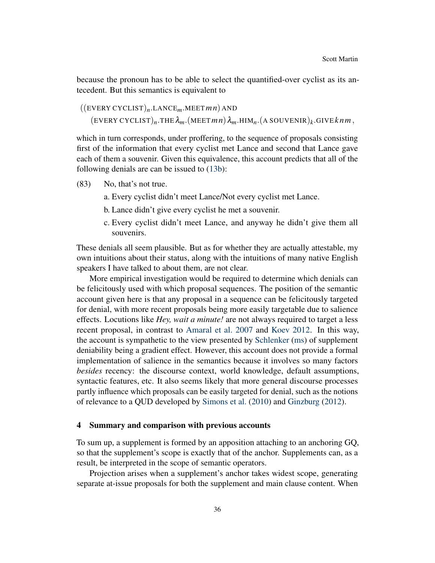because the pronoun has to be able to select the quantified-over cyclist as its antecedent. But this semantics is equivalent to

((EVERY CYCLIST)*n*.LANCE*m*.MEET*m n*) AND  $(\text{EVERY CYCLIST})_n.\text{THE } \lambda_m.(\text{MEET }mn) \lambda_m.\text{HIM}_n.(\text{A SOUVENIR})_k.\text{GIVE }km\,m,$ 

which in turn corresponds, under proffering, to the sequence of proposals consisting first of the information that every cyclist met Lance and second that Lance gave each of them a souvenir. Given this equivalence, this account predicts that all of the following denials are can be issued to [\(13b\)](#page-6-1):

- (83) No, that's not true.
	- a. Every cyclist didn't meet Lance/Not every cyclist met Lance.
	- b. Lance didn't give every cyclist he met a souvenir.
	- c. Every cyclist didn't meet Lance, and anyway he didn't give them all souvenirs.

These denials all seem plausible. But as for whether they are actually attestable, my own intuitions about their status, along with the intuitions of many native English speakers I have talked to about them, are not clear.

More empirical investigation would be required to determine which denials can be felicitously used with which proposal sequences. The position of the semantic account given here is that any proposal in a sequence can be felicitously targeted for denial, with more recent proposals being more easily targetable due to salience effects. Locutions like *Hey, wait a minute!* are not always required to target a less recent proposal, in contrast to [Amaral et al.](#page-49-0) [2007](#page-49-0) and [Koev](#page-52-0) [2012.](#page-52-0) In this way, the account is sympathetic to the view presented by [Schlenker](#page-54-2) [\(ms\)](#page-54-2) of supplement deniability being a gradient effect. However, this account does not provide a formal implementation of salience in the semantics because it involves so many factors *besides* recency: the discourse context, world knowledge, default assumptions, syntactic features, etc. It also seems likely that more general discourse processes partly influence which proposals can be easily targeted for denial, such as the notions of relevance to a QUD developed by [Simons et al.](#page-54-4) [\(2010\)](#page-54-4) and [Ginzburg](#page-50-0) [\(2012\)](#page-50-0).

#### <span id="page-35-0"></span>4 Summary and comparison with previous accounts

To sum up, a supplement is formed by an apposition attaching to an anchoring GQ, so that the supplement's scope is exactly that of the anchor. Supplements can, as a result, be interpreted in the scope of semantic operators.

Projection arises when a supplement's anchor takes widest scope, generating separate at-issue proposals for both the supplement and main clause content. When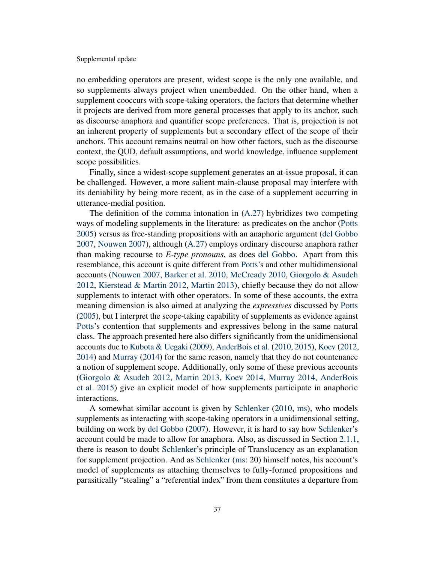no embedding operators are present, widest scope is the only one available, and so supplements always project when unembedded. On the other hand, when a supplement cooccurs with scope-taking operators, the factors that determine whether it projects are derived from more general processes that apply to its anchor, such as discourse anaphora and quantifier scope preferences. That is, projection is not an inherent property of supplements but a secondary effect of the scope of their anchors. This account remains neutral on how other factors, such as the discourse context, the QUD, default assumptions, and world knowledge, influence supplement scope possibilities.

Finally, since a widest-scope supplement generates an at-issue proposal, it can be challenged. However, a more salient main-clause proposal may interfere with its deniability by being more recent, as in the case of a supplement occurring in utterance-medial position.

The definition of the comma intonation in [\(A.27\)](#page-49-3) hybridizes two competing ways of modeling supplements in the literature: as predicates on the anchor [\(Potts](#page-53-0) [2005\)](#page-53-0) versus as free-standing propositions with an anaphoric argument [\(del Gobbo](#page-51-1) [2007,](#page-51-1) [Nouwen](#page-53-1) [2007\)](#page-53-1), although [\(A.27\)](#page-49-3) employs ordinary discourse anaphora rather than making recourse to *E-type pronouns*, as does [del Gobbo.](#page-51-1) Apart from this resemblance, this account is quite different from [Potts'](#page-53-0)s and other multidimensional accounts [\(Nouwen](#page-53-1) [2007,](#page-53-1) [Barker et al.](#page-50-8) [2010,](#page-50-8) [McCready](#page-52-9) [2010,](#page-52-9) [Giorgolo & Asudeh](#page-50-6) [2012,](#page-50-6) [Kierstead & Martin](#page-51-9) [2012,](#page-51-9) [Martin](#page-52-2) [2013\)](#page-52-2), chiefly because they do not allow supplements to interact with other operators. In some of these accounts, the extra meaning dimension is also aimed at analyzing the *expressives* discussed by [Potts](#page-53-0) [\(2005\)](#page-53-0), but I interpret the scope-taking capability of supplements as evidence against [Potts'](#page-53-0)s contention that supplements and expressives belong in the same natural class. The approach presented here also differs significantly from the unidimensional accounts due to [Kubota & Uegaki](#page-52-10) [\(2009\)](#page-52-10), [AnderBois et al.](#page-49-1) [\(2010,](#page-49-1) [2015\)](#page-49-2), [Koev](#page-52-0) [\(2012,](#page-52-0) [2014\)](#page-52-1) and [Murray](#page-52-11) [\(2014\)](#page-52-11) for the same reason, namely that they do not countenance a notion of supplement scope. Additionally, only some of these previous accounts [\(Giorgolo & Asudeh](#page-50-6) [2012,](#page-50-6) [Martin](#page-52-2) [2013,](#page-52-2) [Koev](#page-52-1) [2014,](#page-52-1) [Murray](#page-52-11) [2014,](#page-52-11) [AnderBois](#page-49-2) [et al.](#page-49-2) [2015\)](#page-49-2) give an explicit model of how supplements participate in anaphoric interactions.

A somewhat similar account is given by [Schlenker](#page-54-0) [\(2010,](#page-54-0) [ms\)](#page-54-2), who models supplements as interacting with scope-taking operators in a unidimensional setting, building on work by [del Gobbo](#page-51-1) [\(2007\)](#page-51-1). However, it is hard to say how [Schlenker'](#page-54-2)s account could be made to allow for anaphora. Also, as discussed in Section [2.1.1,](#page-6-4) there is reason to doubt [Schlenker'](#page-54-2)s principle of Translucency as an explanation for supplement projection. And as [Schlenker](#page-54-2) [\(ms:](#page-54-2) 20) himself notes, his account's model of supplements as attaching themselves to fully-formed propositions and parasitically "stealing" a "referential index" from them constitutes a departure from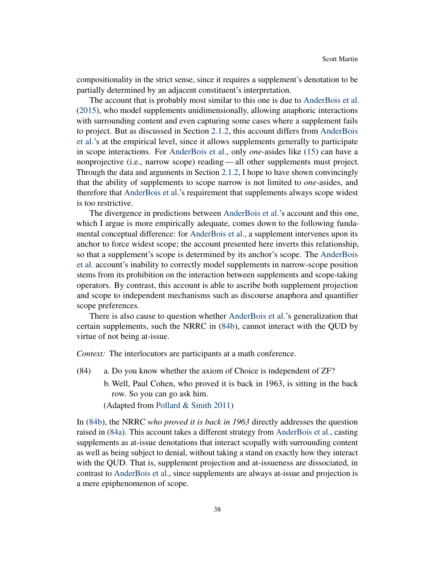compositionality in the strict sense, since it requires a supplement's denotation to be partially determined by an adjacent constituent's interpretation.

The account that is probably most similar to this one is due to [AnderBois et al.](#page-49-2) [\(2015\)](#page-49-2), who model supplements unidimensionally, allowing anaphoric interactions with surrounding content and even capturing some cases where a supplement fails to project. But as discussed in Section [2.1.2,](#page-7-3) this account differs from [AnderBois](#page-49-2) [et al.'](#page-49-2)s at the empirical level, since it allows supplements generally to participate in scope interactions. For [AnderBois et al.,](#page-49-2) only *one*-asides like [\(15\)](#page-7-0) can have a nonprojective (i.e., narrow scope) reading— all other supplements must project. Through the data and arguments in Section [2.1.2,](#page-7-3) I hope to have shown convincingly that the ability of supplements to scope narrow is not limited to *one*-asides, and therefore that [AnderBois et al.'](#page-49-2)s requirement that supplements always scope widest is too restrictive.

The divergence in predictions between [AnderBois et al.'](#page-49-2)s account and this one, which I argue is more empirically adequate, comes down to the following fundamental conceptual difference: for [AnderBois et al.,](#page-49-2) a supplement intervenes upon its anchor to force widest scope; the account presented here inverts this relationship, so that a supplement's scope is determined by its anchor's scope. The [AnderBois](#page-49-2) [et al.](#page-49-2) account's inability to correctly model supplements in narrow-scope position stems from its prohibition on the interaction between supplements and scope-taking operators. By contrast, this account is able to ascribe both supplement projection and scope to independent mechanisms such as discourse anaphora and quantifier scope preferences.

There is also cause to question whether [AnderBois et al.'](#page-49-2)s generalization that certain supplements, such the NRRC in [\(84b\)](#page-37-0), cannot interact with the QUD by virtue of not being at-issue.

*Context:* The interlocutors are participants at a math conference.

- <span id="page-37-1"></span><span id="page-37-0"></span>(84) a. Do you know whether the axiom of Choice is independent of ZF?
	- b. Well, Paul Cohen, who proved it is back in 1963, is sitting in the back row. So you can go ask him.

(Adapted from [Pollard & Smith](#page-53-12) [2011\)](#page-53-12)

In [\(84b\)](#page-37-0), the NRRC *who proved it is back in 1963* directly addresses the question raised in [\(84a\)](#page-37-1). This account takes a different strategy from [AnderBois et al.,](#page-49-2) casting supplements as at-issue denotations that interact scopally with surrounding content as well as being subject to denial, without taking a stand on exactly how they interact with the QUD. That is, supplement projection and at-issueness are dissociated, in contrast to [AnderBois et al.,](#page-49-2) since supplements are always at-issue and projection is a mere epiphenomenon of scope.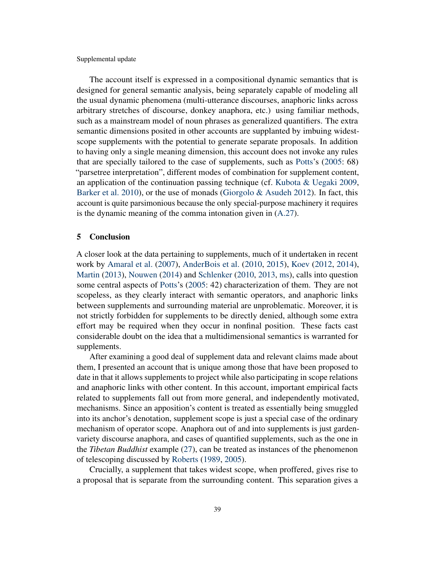The account itself is expressed in a compositional dynamic semantics that is designed for general semantic analysis, being separately capable of modeling all the usual dynamic phenomena (multi-utterance discourses, anaphoric links across arbitrary stretches of discourse, donkey anaphora, etc.) using familiar methods, such as a mainstream model of noun phrases as generalized quantifiers. The extra semantic dimensions posited in other accounts are supplanted by imbuing widestscope supplements with the potential to generate separate proposals. In addition to having only a single meaning dimension, this account does not invoke any rules that are specially tailored to the case of supplements, such as [Potts'](#page-53-0)s [\(2005:](#page-53-0) 68) "parsetree interpretation", different modes of combination for supplement content, an application of the continuation passing technique (cf. [Kubota & Uegaki](#page-52-10) [2009,](#page-52-10) [Barker et al.](#page-50-8) [2010\)](#page-50-8), or the use of monads [\(Giorgolo & Asudeh](#page-50-6) [2012\)](#page-50-6). In fact, this account is quite parsimonious because the only special-purpose machinery it requires is the dynamic meaning of the comma intonation given in [\(A.27\)](#page-49-3).

### <span id="page-38-0"></span>5 Conclusion

A closer look at the data pertaining to supplements, much of it undertaken in recent work by [Amaral et al.](#page-49-0) [\(2007\)](#page-49-0), [AnderBois et al.](#page-49-1) [\(2010,](#page-49-1) [2015\)](#page-49-2), [Koev](#page-52-0) [\(2012,](#page-52-0) [2014\)](#page-52-1), [Martin](#page-52-2) [\(2013\)](#page-52-2), [Nouwen](#page-53-2) [\(2014\)](#page-53-2) and [Schlenker](#page-54-2) [\(2010,](#page-54-0) [2013,](#page-54-1) [ms\)](#page-54-2), calls into question some central aspects of [Potts'](#page-53-0)s [\(2005:](#page-53-0) 42) characterization of them. They are not scopeless, as they clearly interact with semantic operators, and anaphoric links between supplements and surrounding material are unproblematic. Moreover, it is not strictly forbidden for supplements to be directly denied, although some extra effort may be required when they occur in nonfinal position. These facts cast considerable doubt on the idea that a multidimensional semantics is warranted for supplements.

After examining a good deal of supplement data and relevant claims made about them, I presented an account that is unique among those that have been proposed to date in that it allows supplements to project while also participating in scope relations and anaphoric links with other content. In this account, important empirical facts related to supplements fall out from more general, and independently motivated, mechanisms. Since an apposition's content is treated as essentially being smuggled into its anchor's denotation, supplement scope is just a special case of the ordinary mechanism of operator scope. Anaphora out of and into supplements is just gardenvariety discourse anaphora, and cases of quantified supplements, such as the one in the *Tibetan Buddhist* example [\(27\)](#page-11-1), can be treated as instances of the phenomenon of telescoping discussed by [Roberts](#page-53-5) [\(1989,](#page-53-5) [2005\)](#page-53-9).

Crucially, a supplement that takes widest scope, when proffered, gives rise to a proposal that is separate from the surrounding content. This separation gives a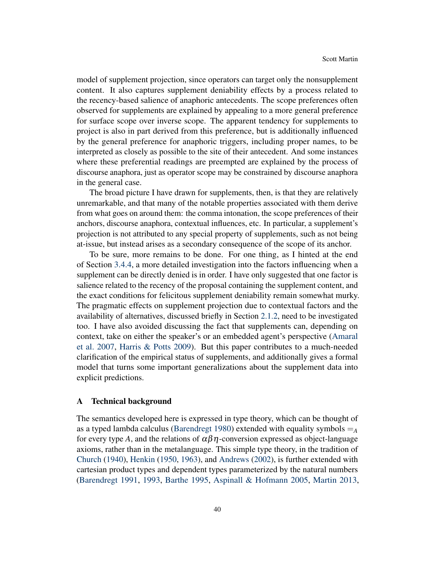model of supplement projection, since operators can target only the nonsupplement content. It also captures supplement deniability effects by a process related to the recency-based salience of anaphoric antecedents. The scope preferences often observed for supplements are explained by appealing to a more general preference for surface scope over inverse scope. The apparent tendency for supplements to project is also in part derived from this preference, but is additionally influenced by the general preference for anaphoric triggers, including proper names, to be interpreted as closely as possible to the site of their antecedent. And some instances where these preferential readings are preempted are explained by the process of discourse anaphora, just as operator scope may be constrained by discourse anaphora in the general case.

The broad picture I have drawn for supplements, then, is that they are relatively unremarkable, and that many of the notable properties associated with them derive from what goes on around them: the comma intonation, the scope preferences of their anchors, discourse anaphora, contextual influences, etc. In particular, a supplement's projection is not attributed to any special property of supplements, such as not being at-issue, but instead arises as a secondary consequence of the scope of its anchor.

To be sure, more remains to be done. For one thing, as I hinted at the end of Section [3.4.4,](#page-32-0) a more detailed investigation into the factors influencing when a supplement can be directly denied is in order. I have only suggested that one factor is salience related to the recency of the proposal containing the supplement content, and the exact conditions for felicitous supplement deniability remain somewhat murky. The pragmatic effects on supplement projection due to contextual factors and the availability of alternatives, discussed briefly in Section [2.1.2,](#page-7-3) need to be investigated too. I have also avoided discussing the fact that supplements can, depending on context, take on either the speaker's or an embedded agent's perspective [\(Amaral](#page-49-0) [et al.](#page-49-0) [2007,](#page-49-0) [Harris & Potts](#page-51-10) [2009\)](#page-51-10). But this paper contributes to a much-needed clarification of the empirical status of supplements, and additionally gives a formal model that turns some important generalizations about the supplement data into explicit predictions.

#### <span id="page-39-0"></span>A Technical background

The semantics developed here is expressed in type theory, which can be thought of as a typed lambda calculus [\(Barendregt](#page-49-6) [1980\)](#page-49-6) extended with equality symbols  $=_A$ for every type *A*, and the relations of  $\alpha\beta\eta$ -conversion expressed as object-language axioms, rather than in the metalanguage. This simple type theory, in the tradition of [Church](#page-50-9) [\(1940\)](#page-50-9), [Henkin](#page-51-11) [\(1950,](#page-51-11) [1963\)](#page-51-12), and [Andrews](#page-49-7) [\(2002\)](#page-49-7), is further extended with cartesian product types and dependent types parameterized by the natural numbers [\(Barendregt](#page-50-10) [1991,](#page-50-10) [1993,](#page-50-11) [Barthe](#page-50-12) [1995,](#page-50-12) [Aspinall & Hofmann](#page-49-8) [2005,](#page-49-8) [Martin](#page-52-2) [2013,](#page-52-2)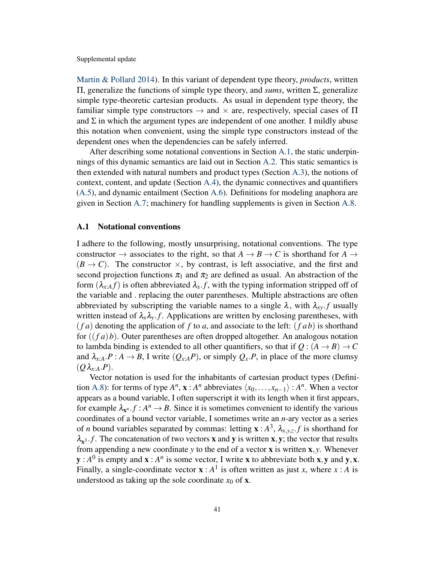[Martin & Pollard](#page-52-6) [2014\)](#page-52-6). In this variant of dependent type theory, *products*, written Π, generalize the functions of simple type theory, and *sums*, written Σ, generalize simple type-theoretic cartesian products. As usual in dependent type theory, the familiar simple type constructors  $\rightarrow$  and  $\times$  are, respectively, special cases of  $\Pi$ and  $\Sigma$  in which the argument types are independent of one another. I mildly abuse this notation when convenient, using the simple type constructors instead of the dependent ones when the dependencies can be safely inferred.

After describing some notational conventions in Section [A.1,](#page-40-0) the static underpinnings of this dynamic semantics are laid out in Section [A.2.](#page-41-1) This static semantics is then extended with natural numbers and product types (Section [A.3\)](#page-43-4), the notions of context, content, and update (Section [A.4\)](#page-43-5), the dynamic connectives and quantifiers [\(A.5\)](#page-44-0), and dynamic entailment (Section [A.6\)](#page-47-3). Definitions for modeling anaphora are given in Section [A.7;](#page-47-4) machinery for handling supplements is given in Section [A.8.](#page-49-9)

# <span id="page-40-0"></span>A.1 Notational conventions

I adhere to the following, mostly unsurprising, notational conventions. The type constructor  $\rightarrow$  associates to the right, so that  $A \rightarrow B \rightarrow C$  is shorthand for  $A \rightarrow$  $(B \to C)$ . The constructor  $\times$ , by contrast, is left associative, and the first and second projection functions  $\pi_1$  and  $\pi_2$  are defined as usual. An abstraction of the form  $(\lambda_{x:A} f)$  is often abbreviated  $\lambda_x.f$ , with the typing information stripped off of the variable and . replacing the outer parentheses. Multiple abstractions are often abbreviated by subscripting the variable names to a single  $\lambda$ , with  $\lambda_{xy}$  *f* usually written instead of  $\lambda_x \lambda_y$ . *f*. Applications are written by enclosing parentheses, with  $(f \cdot a)$  denoting the application of  $f$  to  $a$ , and associate to the left:  $(f \cdot a b)$  is shorthand for ((*f a*)*b*). Outer parentheses are often dropped altogether. An analogous notation to lambda binding is extended to all other quantifiers, so that if  $Q : (A \rightarrow B) \rightarrow C$ and  $\lambda_{x:A} \cdot P : A \to B$ , I write  $(Q_{x:A}P)$ , or simply  $Q_x \cdot P$ , in place of the more clumsy  $(Q \lambda_{x:A}.P).$ 

Vector notation is used for the inhabitants of cartesian product types (Defini-tion [A.8\)](#page-43-0): for terms of type  $A^n$ ,  $\mathbf{x}: A^n$  abbreviates  $\langle x_0, \ldots, x_{n-1} \rangle : A^n$ . When a vector appears as a bound variable, I often superscript it with its length when it first appears, for example  $\lambda_{\mathbf{x}^n}$ .  $f : A^n \to B$ . Since it is sometimes convenient to identify the various coordinates of a bound vector variable, I sometimes write an *n*-ary vector as a series of *n* bound variables separated by commas: letting  $\mathbf{x}: A^3$ ,  $\lambda_{x,y,z}$ , *f* is shorthand for  $\lambda_{\mathbf{x}^3}$ . *f*. The concatenation of two vectors **x** and **y** is written **x**, **y**; the vector that results from appending a new coordinate *y* to the end of a vector x is written x, *y*. Whenever  $y : A<sup>0</sup>$  is empty and  $x : A<sup>n</sup>$  is some vector, I write x to abbreviate both x, y and y, x. Finally, a single-coordinate vector  $\mathbf{x} : A^1$  is often written as just *x*, where *x* : *A* is understood as taking up the sole coordinate  $x_0$  of **x**.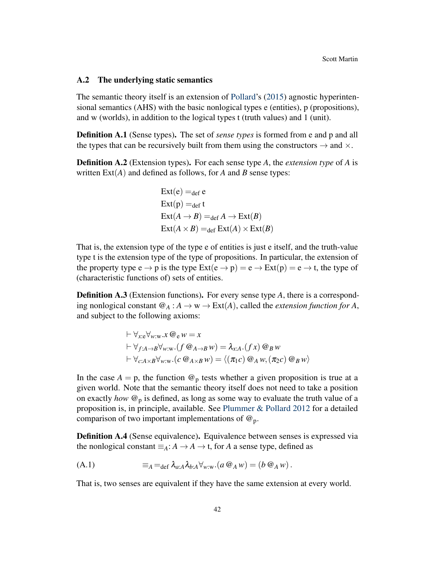#### <span id="page-41-1"></span>A.2 The underlying static semantics

The semantic theory itself is an extension of [Pollard'](#page-53-11)s [\(2015\)](#page-53-11) agnostic hyperintensional semantics (AHS) with the basic nonlogical types e (entities), p (propositions), and w (worlds), in addition to the logical types t (truth values) and 1 (unit).

Definition A.1 (Sense types). The set of *sense types* is formed from e and p and all the types that can be recursively built from them using the constructors  $\rightarrow$  and  $\times$ .

<span id="page-41-0"></span>Definition A.2 (Extension types). For each sense type *A*, the *extension type* of *A* is written  $Ext(A)$  and defined as follows, for *A* and *B* sense types:

$$
Ext(e) =_{def} e
$$
  
\n
$$
Ext(p) =_{def} t
$$
  
\n
$$
Ext(A \rightarrow B) =_{def} A \rightarrow Ext(B)
$$
  
\n
$$
Ext(A \times B) =_{def} Ext(A) \times Ext(B)
$$

That is, the extension type of the type e of entities is just e itself, and the truth-value type t is the extension type of the type of propositions. In particular, the extension of the property type  $e \rightarrow p$  is the type  $Ext(e \rightarrow p) = e \rightarrow Ext(p) = e \rightarrow t$ , the type of (characteristic functions of) sets of entities.

**Definition A.3** (Extension functions). For every sense type A, there is a corresponding nonlogical constant  $\mathcal{Q}_A : A \to \mathbf{w} \to \text{Ext}(A)$ , called the *extension function for* A, and subject to the following axioms:

$$
\vdash \forall_{x: e} \forall_{w: w} . x \mathrel{\mathcal{Q}}_{e} w = x \vdash \forall_{f: A \to B} \forall_{w: w}. (f \mathrel{\mathcal{Q}}_{A \to B} w) = \lambda_{x: A}. (f x) \mathrel{\mathcal{Q}}_{B} w \vdash \forall_{c: A \times B} \forall_{w: w}. (c \mathrel{\mathcal{Q}}_{A \times B} w) = \langle (\pi_{1} c) \mathrel{\mathcal{Q}}_{A} w, (\pi_{2} c) \mathrel{\mathcal{Q}}_{B} w \rangle
$$

In the case  $A = p$ , the function  $\mathcal{Q}_p$  tests whether a given proposition is true at a given world. Note that the semantic theory itself does not need to take a position on exactly *how*  $\mathcal{Q}_p$  is defined, as long as some way to evaluate the truth value of a proposition is, in principle, available. See [Plummer & Pollard](#page-53-13) [2012](#page-53-13) for a detailed comparison of two important implementations of  $\omega_p$ .

<span id="page-41-2"></span>Definition A.4 (Sense equivalence). Equivalence between senses is expressed via the nonlogical constant  $\equiv_A: A \to A \to t$ , for *A* a sense type, defined as

$$
(A.1) \qquad \qquad \equiv_A =_{\text{def}} \lambda_{a:A} \lambda_{b:A} \forall_{w:w}. (a \otimes_A w) = (b \otimes_A w).
$$

<span id="page-41-3"></span>That is, two senses are equivalent if they have the same extension at every world.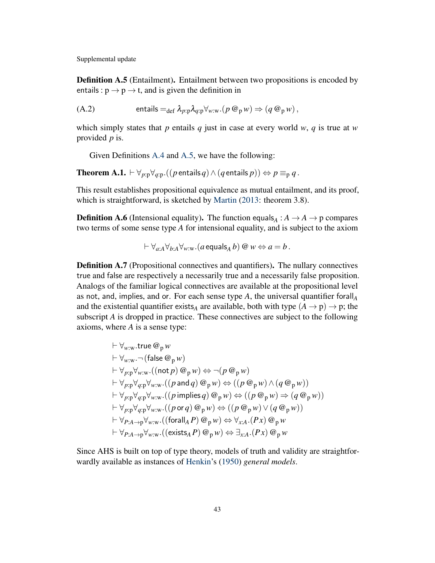Definition A.5 (Entailment). Entailment between two propositions is encoded by entails :  $p \rightarrow p \rightarrow t$ , and is given the definition in

(A.2) 
$$
\text{entails} =_{\text{def}} \lambda_{p:p} \lambda_{q:p} \forall_{w:w}. (p \otimes_p w) \Rightarrow (q \otimes_p w),
$$

which simply states that *p* entails *q* just in case at every world *w*, *q* is true at *w* provided *p* is.

Given Definitions [A.4](#page-41-2) and [A.5,](#page-41-3) we have the following:

**Theorem A.1.**  $\vdash \forall_{p:p} \forall_{q:p} \ ( (p \text{ entails } q) \land (q \text{ entails } p) ) \Leftrightarrow p \equiv_p q$ .

This result establishes propositional equivalence as mutual entailment, and its proof, which is straightforward, is sketched by [Martin](#page-52-2) [\(2013:](#page-52-2) theorem 3.8).

**Definition A.6** (Intensional equality). The function equals<sub>*A*</sub>:  $A \rightarrow A \rightarrow p$  compares two terms of some sense type *A* for intensional equality, and is subject to the axiom

$$
\vdash \forall_{a:A} \forall_{b:A} \forall_{w:w}. (a \text{ equals}_A b) \ @ \ w \Leftrightarrow a = b \ .
$$

<span id="page-42-0"></span>Definition A.7 (Propositional connectives and quantifiers). The nullary connectives true and false are respectively a necessarily true and a necessarily false proposition. Analogs of the familiar logical connectives are available at the propositional level as not, and, implies, and or. For each sense type  $A$ , the universal quantifier forall<sub> $A$ </sub> and the existential quantifier exists<sub>A</sub> are available, both with type  $(A \rightarrow p) \rightarrow p$ ; the subscript *A* is dropped in practice. These connectives are subject to the following axioms, where *A* is a sense type:

$$
\vdash \forall_{w:w}. \text{true } @_{p} w \n\vdash \forall_{w:w}. \neg (\text{false } @_{p} w) \n\vdash \forall_{p:p} \forall_{w:w}. ((\text{not } p) @_{p} w) \Leftrightarrow \neg (p @_{p} w) \n\vdash \forall_{p:p} \forall_{q:p} \forall_{w:w}. ((p \text{ and } q) @_{p} w) \Leftrightarrow ((p @_{p} w) \land (q @_{p} w)) \n\vdash \forall_{p:p} \forall_{q:p} \forall_{w:w}. ((p \text{ implies } q) @_{p} w) \Leftrightarrow ((p @_{p} w) \Rightarrow (q @_{p} w)) \n\vdash \forall_{p:p} \forall_{q:p} \forall_{w:w}. ((p \text{ or } q) @_{p} w) \Leftrightarrow ((p @_{p} w) \lor (q @_{p} w)) \n\vdash \forall_{p:A \rightarrow p} \forall_{w:w}. ((\text{forall } A P) @_{p} w) \Leftrightarrow \forall_{x:A}. (Px) @_{p} w \n\vdash \forall_{p:A \rightarrow p} \forall_{w:w}. ((\text{exists } A P) @_{p} w) \Leftrightarrow \exists_{x:A}. (Px) @_{p} w
$$

Since AHS is built on top of type theory, models of truth and validity are straightforwardly available as instances of [Henkin'](#page-51-11)s [\(1950\)](#page-51-11) *general models*.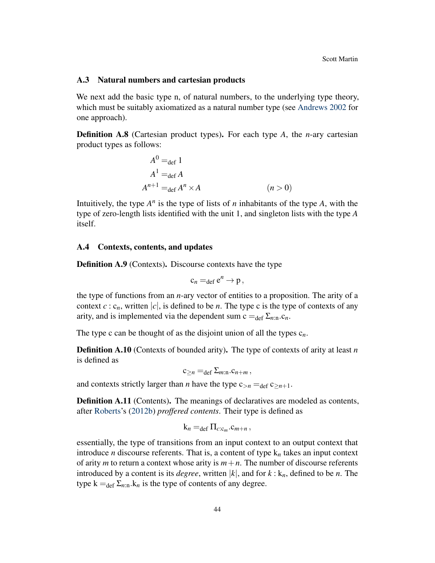#### <span id="page-43-4"></span>A.3 Natural numbers and cartesian products

We next add the basic type n, of natural numbers, to the underlying type theory, which must be suitably axiomatized as a natural number type (see [Andrews](#page-49-7) [2002](#page-49-7) for one approach).

<span id="page-43-0"></span>Definition A.8 (Cartesian product types). For each type *A*, the *n*-ary cartesian product types as follows:

$$
A^{0} =_{def} 1
$$
  
\n
$$
A^{1} =_{def} A
$$
  
\n
$$
A^{n+1} =_{def} A^{n} \times A
$$
 (*n* > 0)

Intuitively, the type  $A^n$  is the type of lists of *n* inhabitants of the type *A*, with the type of zero-length lists identified with the unit 1, and singleton lists with the type *A* itself.

#### <span id="page-43-5"></span>A.4 Contexts, contents, and updates

<span id="page-43-3"></span>Definition A.9 (Contexts). Discourse contexts have the type

$$
c_n =_{def} e^n \rightarrow p,
$$

the type of functions from an *n*-ary vector of entities to a proposition. The arity of a context  $c : c_n$ , written |c|, is defined to be *n*. The type c is the type of contexts of any arity, and is implemented via the dependent sum  $c =_{def} \sum_{n:n} c_n$ .

<span id="page-43-1"></span>The type c can be thought of as the disjoint union of all the types  $c_n$ .

Definition A.10 (Contexts of bounded arity). The type of contexts of arity at least *n* is defined as

$$
c_{\geq n} =_{def} \Sigma_{m:n}.c_{n+m},
$$

and contexts strictly larger than *n* have the type  $c_{>n} = \text{def } c_{>n+1}$ .

<span id="page-43-2"></span>Definition A.11 (Contents). The meanings of declaratives are modeled as contents, after [Roberts'](#page-53-4)s [\(2012b\)](#page-53-4) *proffered contents*. Their type is defined as

$$
k_n =_{def} \Pi_{c:c_m}.c_{m+n},
$$

essentially, the type of transitions from an input context to an output context that introduce *n* discourse referents. That is, a content of type k*<sup>n</sup>* takes an input context of arity *m* to return a context whose arity is  $m+n$ . The number of discourse referents introduced by a content is its *degree*, written  $|k|$ , and for  $k : k_n$ , defined to be *n*. The type  $k =_{def} \sum_{n:n} k_n$  is the type of contents of any degree.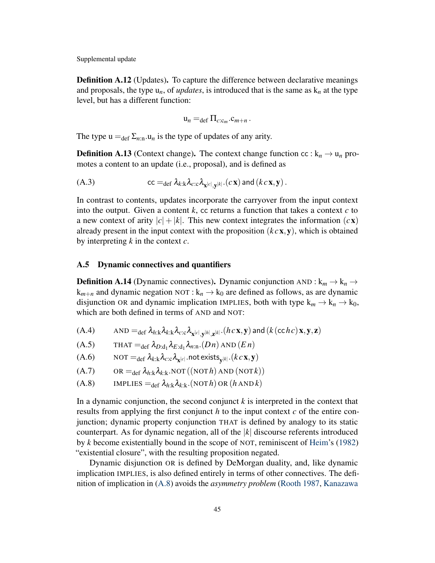<span id="page-44-2"></span>**Definition A.12** (Updates). To capture the difference between declarative meanings and proposals, the type  $u_n$ , of *updates*, is introduced that is the same as  $k_n$  at the type level, but has a different function:

<span id="page-44-1"></span>
$$
\mathbf{u}_n =_{\text{def}} \Pi_{c:c_m}.c_{m+n}.
$$

The type  $u =_{def} \Sigma_{n:n} u_n$  is the type of updates of any arity.

**Definition A.13** (Context change). The context change function cc :  $k_n \rightarrow u_n$  promotes a content to an update (i.e., proposal), and is defined as

(A.3) 
$$
cc =_{def} \lambda_{k:k} \lambda_{c:c} \lambda_{\mathbf{x}^{[c]},\mathbf{y}^{[k]}}(c\mathbf{x}) \text{ and } (kc\mathbf{x},\mathbf{y}).
$$

In contrast to contents, updates incorporate the carryover from the input context into the output. Given a content  $k$ , cc returns a function that takes a context  $c$  to a new context of arity  $|c| + |k|$ . This new context integrates the information  $(cx)$ already present in the input context with the proposition (*k c*x,y), which is obtained by interpreting *k* in the context *c*.

#### <span id="page-44-0"></span>A.5 Dynamic connectives and quantifiers

<span id="page-44-5"></span>**Definition A.14** (Dynamic connectives). Dynamic conjunction AND :  $k_m \rightarrow k_n \rightarrow$  $k_{m+n}$  and dynamic negation NOT :  $k_n \rightarrow k_0$  are defined as follows, as are dynamic disjunction OR and dynamic implication IMPLIES, both with type  $k_m \to k_n \to k_0$ , which are both defined in terms of AND and NOT:

- <span id="page-44-3"></span> $(A.4)$   $\quad \text{AND} =_{\text{def}} \lambda_{h:k} \lambda_{k:k} \lambda_{c:c} \lambda_{\mathbf{x}^{[c]},\mathbf{y}^{[h]},\mathbf{z}^{[k]}} \cdot (h \, c \, \mathbf{x}, \mathbf{y})$  and  $(k (\text{c} c h c) \mathbf{x}, \mathbf{y}, \mathbf{z})$
- (A.5)  $\qquad \text{THAT} =_{\text{def}} \lambda_{D:\text{d}_1} \lambda_{E:\text{d}_1} \lambda_{n:\text{n}}. (D n) \text{ AND } (E n)$
- <span id="page-44-4"></span> $(A.6)$   $\qquad \text{NOT} =_{\text{def}} \lambda_{k:k} \lambda_{c:c} \lambda_{\mathbf{x}^{[c]}}$  .not exists  $_{\mathbf{y}^{[k]}}.(kc\mathbf{x}, \mathbf{y})$
- $( A.7)$  OR =  $_{def} \lambda_{h:k} \lambda_{k:k}$ . NOT  $((NOT h)$  AND  $(NOT k))$
- <span id="page-44-6"></span> $(A.8)$  IMPLIES =  $\partial_{\text{def}} \lambda_{h:k} \lambda_{k:k}$ .(NOT *h*) OR (*h* AND *k*)

In a dynamic conjunction, the second conjunct *k* is interpreted in the context that results from applying the first conjunct *h* to the input context *c* of the entire conjunction; dynamic property conjunction THAT is defined by analogy to its static counterpart. As for dynamic negation, all of the |*k*| discourse referents introduced by *k* become existentially bound in the scope of NOT, reminiscent of [Heim'](#page-51-4)s [\(1982\)](#page-51-4) "existential closure", with the resulting proposition negated.

Dynamic disjunction OR is defined by DeMorgan duality, and, like dynamic implication IMPLIES, is also defined entirely in terms of other connectives. The definition of implication in [\(A.8\)](#page-44-6) avoids the *asymmetry problem* [\(Rooth](#page-54-9) [1987,](#page-54-9) [Kanazawa](#page-51-13)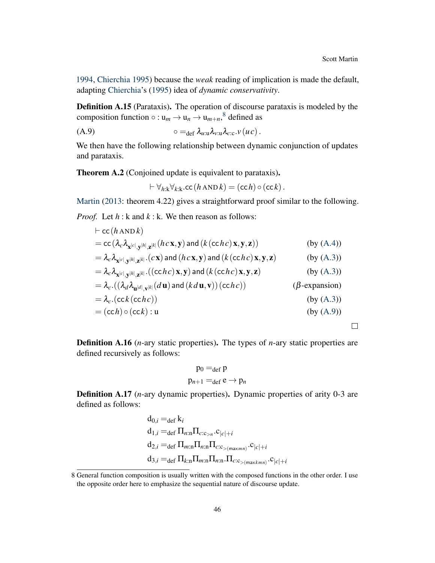$\Box$ 

[1994,](#page-51-13) [Chierchia](#page-50-13) [1995\)](#page-50-13) because the *weak* reading of implication is made the default, adapting [Chierchia'](#page-50-13)s [\(1995\)](#page-50-13) idea of *dynamic conservativity*.

Definition A.15 (Parataxis). The operation of discourse parataxis is modeled by the composition function  $\circ : \mathbf{u}_m \to \mathbf{u}_n \to \mathbf{u}_{m+n}$ ,<sup>[8](#page-0-0)</sup> defined as

$$
\circ =_{\text{def}} \lambda_{u:u} \lambda_{v:u} \lambda_{c:c} \cdot v(uc).
$$

We then have the following relationship between dynamic conjunction of updates and parataxis.

<span id="page-45-0"></span>Theorem A.2 (Conjoined update is equivalent to parataxis).

<span id="page-45-2"></span>
$$
\vdash \forall_{h:\mathbf{k}}\forall_{k:\mathbf{k}}.\mathtt{cc}(h\,\mathtt{AND}\,k)=(\mathtt{cc}\,h)\,\circ(\mathtt{cc}\,k)\,.
$$

[Martin](#page-52-2) [\(2013:](#page-52-2) theorem 4.22) gives a straightforward proof similar to the following.

*Proof.* Let *h* : k and *k* : k. We then reason as follows:

$$
\begin{aligned}\n&\vdash \mathsf{cc}(h \mathsf{AND} k) \\
&= \mathsf{cc}(\lambda_c \lambda_{\mathbf{x}^{[c]}, \mathbf{y}^{[h]}, \mathbf{z}^{[k]}}(hc\mathbf{x}, \mathbf{y}) \mathsf{and} (k(\mathsf{c}chc)\mathbf{x}, \mathbf{y}, \mathbf{z})) \qquad \qquad (\text{by (A.4)}) \\
&= \lambda_c \lambda_{\mathbf{x}^{[c]}, \mathbf{y}^{[h]}, \mathbf{z}^{[k]}}(c\mathbf{x}) \mathsf{and} (hc\mathbf{x}, \mathbf{y}) \mathsf{and} (k(\mathsf{c}chc)\mathbf{x}, \mathbf{y}, \mathbf{z}) \qquad \qquad (\text{by (A.3)}) \\
&= \lambda_c \lambda_{\mathbf{x}^{[c]}, \mathbf{y}^{[h]}, \mathbf{z}^{[k]}}((\mathsf{c}chc)\mathbf{x}, \mathbf{y}) \mathsf{and} (k(\mathsf{c}chc)\mathbf{x}, \mathbf{y}, \mathbf{z}) \qquad \qquad (\text{by (A.3)}) \\
&= \lambda_c \cdot ((\lambda_d \lambda_{\mathbf{u}^{[d]}, \mathbf{v}^{[k]}}(d\mathbf{u}) \mathsf{and} (kd\mathbf{u}, \mathbf{v}))(\mathsf{c}chc)) \qquad (\beta\text{-expansion}) \\
&= \lambda_c \cdot (\mathsf{c}c(k(\mathsf{c}chc)) \qquad \qquad (\text{by (A.3)}) \\
&= (\mathsf{c}ch) \circ (\mathsf{c}ck) : \mathbf{u} \qquad \qquad (\text{by (A.9)})\n\end{aligned}
$$

Definition A.16 (*n*-ary static properties). The types of *n*-ary static properties are defined recursively as follows:

$$
p_0 =_{def} p
$$
  

$$
p_{n+1} =_{def} e \rightarrow p_n
$$

<span id="page-45-1"></span>**Definition A.17** (*n*-ary dynamic properties). Dynamic properties of arity 0-3 are defined as follows:

$$
d_{0,i} =_{def} k_i
$$
  
\n
$$
d_{1,i} =_{def} \Pi_{n:n} \Pi_{c:c_{>n}} . c_{|c|+i}
$$
  
\n
$$
d_{2,i} =_{def} \Pi_{m:n} \Pi_{n:n} \Pi_{c:c_{>(maxmn)}} . c_{|c|+i}
$$
  
\n
$$
d_{3,i} =_{def} \Pi_{k:n} \Pi_{m:n} \Pi_{n:n} . \Pi_{c:c_{>(maxkmn)}} . c_{|c|+i}
$$

<sup>8</sup> General function composition is usually written with the composed functions in the other order. I use the opposite order here to emphasize the sequential nature of discourse update.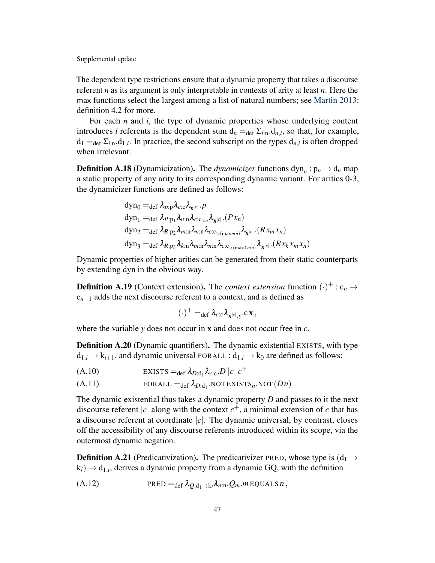The dependent type restrictions ensure that a dynamic property that takes a discourse referent *n* as its argument is only interpretable in contexts of arity at least *n*. Here the max functions select the largest among a list of natural numbers; see [Martin](#page-52-2) [2013:](#page-52-2) definition 4.2 for more.

For each *n* and *i*, the type of dynamic properties whose underlying content introduces *i* referents is the dependent sum  $d_n = \text{def } \Sigma_{i:n} d_{n,i}$ , so that, for example,  $d_1 =_{def} \Sigma_{i:n}.d_{1,i}$ . In practice, the second subscript on the types  $d_{n,i}$  is often dropped when irrelevant.

<span id="page-46-1"></span>**Definition A.18** (Dynamicization). The *dynamicizer* functions  $\text{dyn}_n : \text{p}_n \to \text{d}_n$  map a static property of any arity to its corresponding dynamic variant. For arities 0-3, the dynamicizer functions are defined as follows:

$$
\begin{aligned}\ndyn_0 &=_{def} \lambda_{p:p} \lambda_{c:c} \lambda_{\mathbf{x}^{[c]}} \cdot p \\
\ndyn_1 &=_{def} \lambda_{p:p_1} \lambda_{n:n} \lambda_{c:c_{>n}} \lambda_{\mathbf{x}^{[c]}} \cdot (Px_n) \\
\ndyn_2 &=_{def} \lambda_{R:p_2} \lambda_{m:n} \lambda_{n:n} \lambda_{c:c_{>m} \times m:n} \lambda_{\mathbf{x}^{[c]}} \cdot (Rx_m x_n) \\
\ndyn_3 &=_{def} \lambda_{R:p_3} \lambda_{k:n} \lambda_{m:n} \lambda_{n:n} \lambda_{c:c_{>m} \times kmn} \lambda_{\mathbf{x}^{[c]}} \cdot (Rx_k x_m x_n)\n\end{aligned}
$$

Dynamic properties of higher arities can be generated from their static counterparts by extending dyn in the obvious way.

**Definition A.19** (Context extension). The *context extension* function  $(\cdot)^+$ :  $c_n \rightarrow$  $c_{n+1}$  adds the next discourse referent to a context, and is defined as

<span id="page-46-0"></span>
$$
(\cdot)^+ =_{def} \lambda_{c:c} \lambda_{\mathbf{x}^{[c]},y}.c \mathbf{x}\,,
$$

where the variable *y* does not occur in x and does not occur free in *c*.

<span id="page-46-2"></span>**Definition A.20** (Dynamic quantifiers). The dynamic existential EXISTS, with type  $d_{1,i} \rightarrow k_{i+1}$ , and dynamic universal FORALL :  $d_{1,i} \rightarrow k_0$  are defined as follows:

$$
(A.10) \t\t\t EXISTS =_{def} \lambda_{D:d_1} \lambda_{c:c} . D |c| c+
$$

(A.11) 
$$
FORALL =_{def} \lambda_{D:d_1}.NOT EXISTS_n. NOT(Dn)
$$

The dynamic existential thus takes a dynamic property *D* and passes to it the next discourse referent |c| along with the context  $c^+$ , a minimal extension of c that has a discourse referent at coordinate  $|c|$ . The dynamic universal, by contrast, closes off the accessibility of any discourse referents introduced within its scope, via the outermost dynamic negation.

**Definition A.21** (Predicativization). The predicativizer PRED, whose type is  $(d_1 \rightarrow$  $(k_i) \rightarrow d_{1,i}$ , derives a dynamic property from a dynamic GQ, with the definition

(A.12) PRED =def λ*Q*:d1→k*<sup>i</sup>* λ*n*:n.*Qm*.*m* EQUALS *n* ,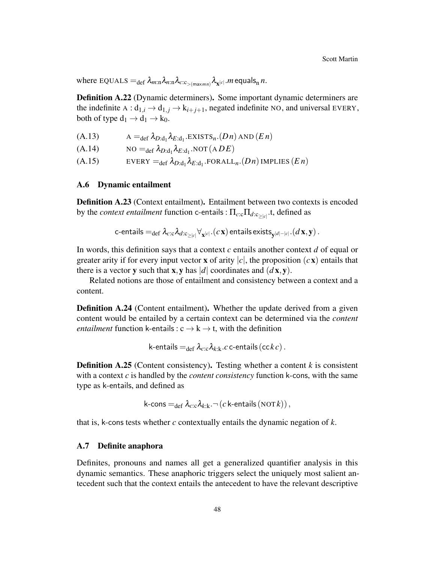$\kappa$  where  ${\rm EQUALS} =_{\rm def} \lambda_{m:{\rm in}} \lambda_{n:{\rm in}} \lambda_{c:\rm c_{>(max\,})} \lambda_{{\bf x}^{[c]}}.$   $m$  equals  $_n$   $n.$ 

Definition A.22 (Dynamic determiners). Some important dynamic determiners are the indefinite  $A: d_{1,i} \rightarrow d_{1,j} \rightarrow k_{i+j+1}$ , negated indefinite NO, and universal EVERY, both of type  $d_1 \rightarrow d_1 \rightarrow k_0$ .

<span id="page-47-2"></span><span id="page-47-0"></span>(A.13)  $A =_{def} \lambda_{D:d_1} \lambda_{E:d_1}$ . EXISTS<sub>n</sub>.(*Dn*) AND (*En*)

<span id="page-47-1"></span>(A.14)  $NO =_{def} \lambda_{D:d_1} \lambda_{E:d_1} NOT(ADE)$ 

(A.15)  $EVERY =_{def} \lambda_{D:d_1} \lambda_{E:d_1}$ .FORALL<sub>n</sub>.(*Dn*) IMPLIES (*En*)

# <span id="page-47-3"></span>A.6 Dynamic entailment

Definition A.23 (Context entailment). Entailment between two contexts is encoded by the *context entailment* function c-entails :  $\Pi_{c:c}\Pi_{d:c_{\geq |c|}}$ .t, defined as

$$
\textsf{c-entails} =_{\textsf{def}} \lambda_{c:\textsf{c}} \lambda_{d:\textsf{c}_{\geq |c|}} \forall_{\mathbf{x}^{|c|}}. (c\, \mathbf{x}) \, \textsf{entails exists}_{\mathbf{y}^{|d|-|c|}}. (d\, \mathbf{x},\mathbf{y}) \, .
$$

In words, this definition says that a context *c* entails another context *d* of equal or greater arity if for every input vector **x** of arity  $|c|$ , the proposition  $(c\mathbf{x})$  entails that there is a vector **y** such that **x**, **y** has |*d*| coordinates and  $(d\mathbf{x}, \mathbf{y})$ .

Related notions are those of entailment and consistency between a context and a content.

**Definition A.24** (Content entailment). Whether the update derived from a given content would be entailed by a certain context can be determined via the *content entailment* function k-entails :  $c \rightarrow k \rightarrow t$ , with the definition

k-entails = 
$$
\det \lambda_{c:c} \lambda_{k:k}.c
$$
 c-entails ( $\csc k c$ ).

**Definition A.25** (Content consistency). Testing whether a content  $k$  is consistent with a context *c* is handled by the *content consistency* function k-cons, with the same type as k-entails, and defined as

k-cons =
$$
\det \lambda_{c:c} \lambda_{k:k} \cdot \neg (c \text{ k-entails} (\text{NOT} k)),
$$

that is, k-cons tests whether *c* contextually entails the dynamic negation of *k*.

### <span id="page-47-4"></span>A.7 Definite anaphora

Definites, pronouns and names all get a generalized quantifier analysis in this dynamic semantics. These anaphoric triggers select the uniquely most salient antecedent such that the context entails the antecedent to have the relevant descriptive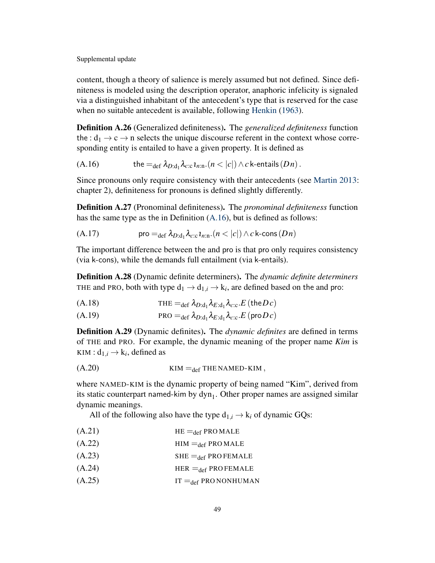content, though a theory of salience is merely assumed but not defined. Since definiteness is modeled using the description operator, anaphoric infelicity is signaled via a distinguished inhabitant of the antecedent's type that is reserved for the case when no suitable antecedent is available, following [Henkin](#page-51-12) [\(1963\)](#page-51-12).

<span id="page-48-5"></span>Definition A.26 (Generalized definiteness). The *generalized definiteness* function the :  $d_1 \rightarrow c \rightarrow n$  selects the unique discourse referent in the context whose corresponding entity is entailed to have a given property. It is defined as

(A.16) the =<sub>def</sub> 
$$
\lambda_{D:d_1} \lambda_{c:c} \mathbf{1}_{n:\text{n}}.(n < |c|) \wedge c
$$
 k-entails  $(Dn)$ .

Since pronouns only require consistency with their antecedents (see [Martin](#page-52-2) [2013:](#page-52-2) chapter 2), definiteness for pronouns is defined slightly differently.

Definition A.27 (Pronominal definiteness). The *pronominal definiteness* function has the same type as the in Definition [\(A.16\)](#page-48-5), but is defined as follows:

(A.17) 
$$
\text{pro} =_{\text{def}} \lambda_{D:\text{d}_1} \lambda_{c:\text{c}} \iota_{n:\text{n}}.(n < |c|) \wedge c \text{ k-cons}(Dn)
$$

The important difference between the and pro is that pro only requires consistency (via k-cons), while the demands full entailment (via k-entails).

Definition A.28 (Dynamic definite determiners). The *dynamic definite determiners* THE and PRO, both with type  $d_1 \rightarrow d_{1,i} \rightarrow k_i$ , are defined based on the and pro:

<span id="page-48-1"></span>THE =def λ*D*:d<sup>1</sup> λ*E*:d<sup>1</sup> (A.18) λ*c*:c.*E* (the*D c*)

$$
(A.19) \t\t\t\t PRO =_{def} \lambda_{D:d_1} \lambda_{E:d_1} \lambda_{c:c}.E(\text{prob } c)
$$

Definition A.29 (Dynamic definites). The *dynamic definites* are defined in terms of THE and PRO. For example, the dynamic meaning of the proper name *Kim* is  $KIM: d_{1,i} \rightarrow k_i$ , defined as

<span id="page-48-0"></span>(A.20) KIM =def THE NAMED-KIM ,

where NAMED-KIM is the dynamic property of being named "Kim", derived from its static counterpart named-kim by  $dyn_1$ . Other proper names are assigned similar dynamic meanings.

All of the following also have the type  $d_{1,i} \rightarrow k_i$  of dynamic GQs:

- $( A.21)$  HE  $=_{def}$  PRO MALE
- <span id="page-48-3"></span><span id="page-48-2"></span> $(H.22)$  HIM  $=_{def}$  PRO MALE
- $(A.23)$  SHE =def PRO FEMALE
- <span id="page-48-4"></span> $(A.24)$  HER =def PRO FEMALE
- $( A.25)$  IT =  $_{def}$  PRO NONHUMAN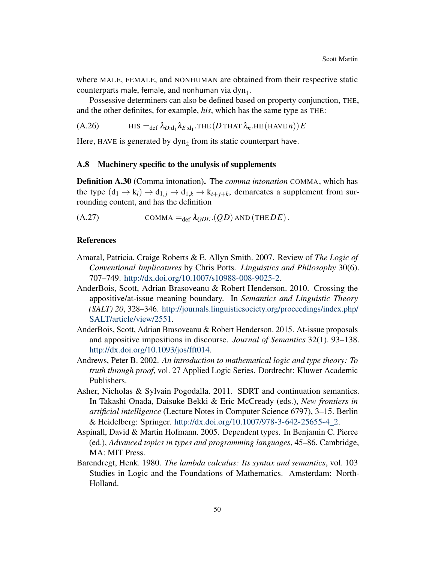where MALE, FEMALE, and NONHUMAN are obtained from their respective static counterparts male, female, and nonhuman via  $dyn_1$ .

Possessive determiners can also be defined based on property conjunction, THE, and the other definites, for example, *his*, which has the same type as THE:

<span id="page-49-4"></span>(A.26)  $\qquad \qquad \text{HIS} =_{\text{def}} \lambda_{D:\text{d}_1} \lambda_{E:\text{d}_1}.\text{THE} (D \text{ THAT } \lambda_n.\text{HE} (\text{HAVE } n)) E$ 

Here, HAVE is generated by  $dyn_2$  from its static counterpart have.

# <span id="page-49-9"></span>A.8 Machinery specific to the analysis of supplements

<span id="page-49-3"></span>Definition A.30 (Comma intonation). The *comma intonation* COMMA, which has the type  $(d_1 \rightarrow k_i) \rightarrow d_{1,j} \rightarrow d_{1,k} \rightarrow k_{i+j+k}$ , demarcates a supplement from surrounding content, and has the definition

 $(CA.27)$  COMMA = $_{def} \lambda_{ODE}$ . $(QD)$  AND (THE*DE*).

#### References

- <span id="page-49-0"></span>Amaral, Patricia, Craige Roberts & E. Allyn Smith. 2007. Review of *The Logic of Conventional Implicatures* by Chris Potts. *Linguistics and Philosophy* 30(6). 707–749. [http://dx.doi.org/10.1007/s10988-008-9025-2.](http://dx.doi.org/10.1007/s10988-008-9025-2)
- <span id="page-49-1"></span>AnderBois, Scott, Adrian Brasoveanu & Robert Henderson. 2010. Crossing the appositive/at-issue meaning boundary. In *Semantics and Linguistic Theory (SALT) 20*, 328–346. [http://journals.linguisticsociety.org/proceedings/index.php/](http://journals.linguisticsociety.org/proceedings/index.php/SALT/article/view/2551) [SALT/article/view/2551.](http://journals.linguisticsociety.org/proceedings/index.php/SALT/article/view/2551)
- <span id="page-49-2"></span>AnderBois, Scott, Adrian Brasoveanu & Robert Henderson. 2015. At-issue proposals and appositive impositions in discourse. *Journal of Semantics* 32(1). 93–138. [http://dx.doi.org/10.1093/jos/fft014.](http://dx.doi.org/10.1093/jos/fft014)
- <span id="page-49-7"></span>Andrews, Peter B. 2002. *An introduction to mathematical logic and type theory: To truth through proof*, vol. 27 Applied Logic Series. Dordrecht: Kluwer Academic Publishers.
- <span id="page-49-5"></span>Asher, Nicholas & Sylvain Pogodalla. 2011. SDRT and continuation semantics. In Takashi Onada, Daisuke Bekki & Eric McCready (eds.), *New frontiers in artificial intelligence* (Lecture Notes in Computer Science 6797), 3–15. Berlin & Heidelberg: Springer. [http://dx.doi.org/10.1007/978-3-642-25655-4\\_2.](http://dx.doi.org/10.1007/978-3-642-25655-4_2)
- <span id="page-49-8"></span>Aspinall, David & Martin Hofmann. 2005. Dependent types. In Benjamin C. Pierce (ed.), *Advanced topics in types and programming languages*, 45–86. Cambridge, MA: MIT Press.
- <span id="page-49-6"></span>Barendregt, Henk. 1980. *The lambda calculus: Its syntax and semantics*, vol. 103 Studies in Logic and the Foundations of Mathematics. Amsterdam: North-Holland.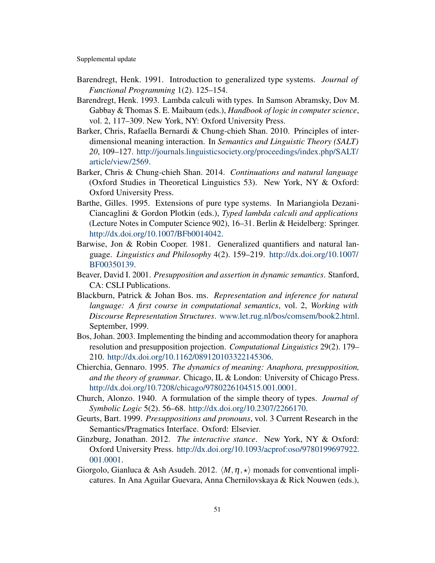- <span id="page-50-10"></span>Barendregt, Henk. 1991. Introduction to generalized type systems. *Journal of Functional Programming* 1(2). 125–154.
- <span id="page-50-11"></span>Barendregt, Henk. 1993. Lambda calculi with types. In Samson Abramsky, Dov M. Gabbay & Thomas S. E. Maibaum (eds.), *Handbook of logic in computer science*, vol. 2, 117–309. New York, NY: Oxford University Press.
- <span id="page-50-8"></span>Barker, Chris, Rafaella Bernardi & Chung-chieh Shan. 2010. Principles of interdimensional meaning interaction. In *Semantics and Linguistic Theory (SALT) 20*, 109–127. [http://journals.linguisticsociety.org/proceedings/index.php/SALT/](http://journals.linguisticsociety.org/proceedings/index.php/SALT/article/view/2569) [article/view/2569.](http://journals.linguisticsociety.org/proceedings/index.php/SALT/article/view/2569)
- <span id="page-50-5"></span>Barker, Chris & Chung-chieh Shan. 2014. *Continuations and natural language* (Oxford Studies in Theoretical Linguistics 53). New York, NY & Oxford: Oxford University Press.
- <span id="page-50-12"></span>Barthe, Gilles. 1995. Extensions of pure type systems. In Mariangiola Dezani-Ciancaglini & Gordon Plotkin (eds.), *Typed lambda calculi and applications* (Lecture Notes in Computer Science 902), 16–31. Berlin & Heidelberg: Springer. [http://dx.doi.org/10.1007/BFb0014042.](http://dx.doi.org/10.1007/BFb0014042)
- <span id="page-50-7"></span>Barwise, Jon & Robin Cooper. 1981. Generalized quantifiers and natural language. *Linguistics and Philosophy* 4(2). 159–219. [http://dx.doi.org/10.1007/](http://dx.doi.org/10.1007/BF00350139) [BF00350139.](http://dx.doi.org/10.1007/BF00350139)
- <span id="page-50-1"></span>Beaver, David I. 2001. *Presupposition and assertion in dynamic semantics*. Stanford, CA: CSLI Publications.
- <span id="page-50-3"></span>Blackburn, Patrick & Johan Bos. ms. *Representation and inference for natural language: A first course in computational semantics*, vol. 2, *Working with Discourse Representation Structures*. [www.let.rug.nl/bos/comsem/book2.html.](www.let.rug.nl/bos/comsem/book2.html) September, 1999.
- <span id="page-50-4"></span>Bos, Johan. 2003. Implementing the binding and accommodation theory for anaphora resolution and presupposition projection. *Computational Linguistics* 29(2). 179– 210. [http://dx.doi.org/10.1162/089120103322145306.](http://dx.doi.org/10.1162/089120103322145306)
- <span id="page-50-13"></span>Chierchia, Gennaro. 1995. *The dynamics of meaning: Anaphora, presupposition, and the theory of grammar*. Chicago, IL & London: University of Chicago Press. [http://dx.doi.org/10.7208/chicago/9780226104515.001.0001.](http://dx.doi.org/10.7208/chicago/9780226104515.001.0001)
- <span id="page-50-9"></span>Church, Alonzo. 1940. A formulation of the simple theory of types. *Journal of Symbolic Logic* 5(2). 56–68. [http://dx.doi.org/10.2307/2266170.](http://dx.doi.org/10.2307/2266170)
- <span id="page-50-2"></span>Geurts, Bart. 1999. *Presuppositions and pronouns*, vol. 3 Current Research in the Semantics/Pragmatics Interface. Oxford: Elsevier.
- <span id="page-50-0"></span>Ginzburg, Jonathan. 2012. *The interactive stance*. New York, NY & Oxford: Oxford University Press. [http://dx.doi.org/10.1093/acprof:oso/9780199697922.](http://dx.doi.org/10.1093/acprof:oso/9780199697922.001.0001) [001.0001.](http://dx.doi.org/10.1093/acprof:oso/9780199697922.001.0001)
- <span id="page-50-6"></span>Giorgolo, Gianluca & Ash Asudeh. 2012.  $\langle M, \eta, \star \rangle$  monads for conventional implicatures. In Ana Aguilar Guevara, Anna Chernilovskaya & Rick Nouwen (eds.),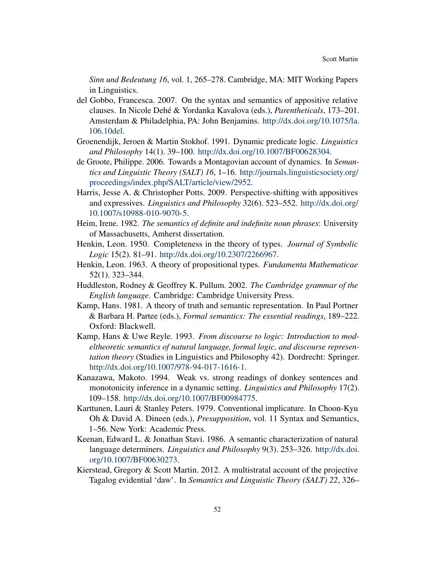*Sinn und Bedeutung 16*, vol. 1, 265–278. Cambridge, MA: MIT Working Papers in Linguistics.

- <span id="page-51-1"></span>del Gobbo, Francesca. 2007. On the syntax and semantics of appositive relative clauses. In Nicole Dehé & Yordanka Kavalova (eds.), *Parentheticals*, 173–201. Amsterdam & Philadelphia, PA: John Benjamins. [http://dx.doi.org/10.1075/la.](http://dx.doi.org/10.1075/la.106.10del) [106.10del.](http://dx.doi.org/10.1075/la.106.10del)
- <span id="page-51-6"></span>Groenendijk, Jeroen & Martin Stokhof. 1991. Dynamic predicate logic. *Linguistics and Philosophy* 14(1). 39–100. [http://dx.doi.org/10.1007/BF00628304.](http://dx.doi.org/10.1007/BF00628304)
- <span id="page-51-3"></span>de Groote, Philippe. 2006. Towards a Montagovian account of dynamics. In *Semantics and Linguistic Theory (SALT) 16*, 1–16. [http://journals.linguisticsociety.org/](http://journals.linguisticsociety.org/proceedings/index.php/SALT/article/view/2952) [proceedings/index.php/SALT/article/view/2952.](http://journals.linguisticsociety.org/proceedings/index.php/SALT/article/view/2952)
- <span id="page-51-10"></span>Harris, Jesse A. & Christopher Potts. 2009. Perspective-shifting with appositives and expressives. *Linguistics and Philosophy* 32(6). 523–552. [http://dx.doi.org/](http://dx.doi.org/10.1007/s10988-010-9070-5) [10.1007/s10988-010-9070-5.](http://dx.doi.org/10.1007/s10988-010-9070-5)
- <span id="page-51-4"></span>Heim, Irene. 1982. *The semantics of definite and indefinite noun phrases*: University of Massachusetts, Amherst dissertation.
- <span id="page-51-11"></span>Henkin, Leon. 1950. Completeness in the theory of types. *Journal of Symbolic Logic* 15(2). 81–91. [http://dx.doi.org/10.2307/2266967.](http://dx.doi.org/10.2307/2266967)
- <span id="page-51-12"></span>Henkin, Leon. 1963. A theory of propositional types. *Fundamenta Mathematicae* 52(1). 323–344.
- <span id="page-51-2"></span>Huddleston, Rodney & Geoffrey K. Pullum. 2002. *The Cambridge grammar of the English language*. Cambridge: Cambridge University Press.
- <span id="page-51-7"></span>Kamp, Hans. 1981. A theory of truth and semantic representation. In Paul Portner & Barbara H. Partee (eds.), *Formal semantics: The essential readings*, 189–222. Oxford: Blackwell.
- <span id="page-51-5"></span>Kamp, Hans & Uwe Reyle. 1993. *From discourse to logic: Introduction to modeltheoretic semantics of natural language, formal logic, and discourse representation theory* (Studies in Linguistics and Philosophy 42). Dordrecht: Springer. [http://dx.doi.org/10.1007/978-94-017-1616-1.](http://dx.doi.org/10.1007/978-94-017-1616-1)
- <span id="page-51-13"></span>Kanazawa, Makoto. 1994. Weak vs. strong readings of donkey sentences and monotonicity inference in a dynamic setting. *Linguistics and Philosophy* 17(2). 109–158. [http://dx.doi.org/10.1007/BF00984775.](http://dx.doi.org/10.1007/BF00984775)
- <span id="page-51-0"></span>Karttunen, Lauri & Stanley Peters. 1979. Conventional implicature. In Choon-Kyu Oh & David A. Dineen (eds.), *Presupposition*, vol. 11 Syntax and Semantics, 1–56. New York: Academic Press.
- <span id="page-51-8"></span>Keenan, Edward L. & Jonathan Stavi. 1986. A semantic characterization of natural language determiners. *Linguistics and Philosophy* 9(3). 253–326. [http://dx.doi.](http://dx.doi.org/10.1007/BF00630273) [org/10.1007/BF00630273.](http://dx.doi.org/10.1007/BF00630273)
- <span id="page-51-9"></span>Kierstead, Gregory & Scott Martin. 2012. A multistratal account of the projective Tagalog evidential 'daw'. In *Semantics and Linguistic Theory (SALT) 22*, 326–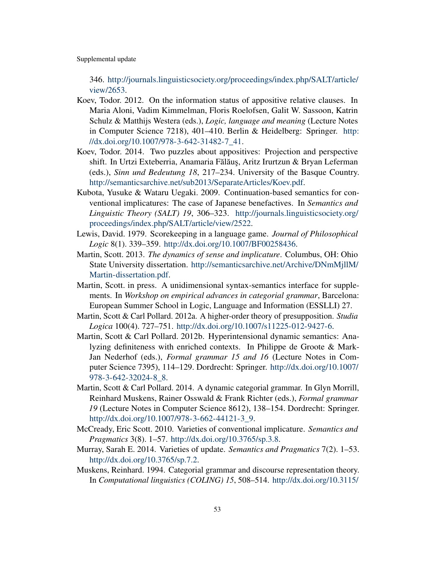346. [http://journals.linguisticsociety.org/proceedings/index.php/SALT/article/](http://journals.linguisticsociety.org/proceedings/index.php/SALT/article/view/2653) [view/2653.](http://journals.linguisticsociety.org/proceedings/index.php/SALT/article/view/2653)

- <span id="page-52-0"></span>Koev, Todor. 2012. On the information status of appositive relative clauses. In Maria Aloni, Vadim Kimmelman, Floris Roelofsen, Galit W. Sassoon, Katrin Schulz & Matthijs Westera (eds.), *Logic, language and meaning* (Lecture Notes in Computer Science 7218), 401–410. Berlin & Heidelberg: Springer. [http:](http://dx.doi.org/10.1007/978-3-642-31482-7_41) [//dx.doi.org/10.1007/978-3-642-31482-7\\_41.](http://dx.doi.org/10.1007/978-3-642-31482-7_41)
- <span id="page-52-1"></span>Koev, Todor. 2014. Two puzzles about appositives: Projection and perspective shift. In Urtzi Exteberria, Anamaria Fălăuș, Aritz Irurtzun & Bryan Leferman (eds.), *Sinn und Bedeutung 18*, 217–234. University of the Basque Country. [http://semanticsarchive.net/sub2013/SeparateArticles/Koev.pdf.](http://semanticsarchive.net/sub2013/SeparateArticles/Koev.pdf)
- <span id="page-52-10"></span>Kubota, Yusuke & Wataru Uegaki. 2009. Continuation-based semantics for conventional implicatures: The case of Japanese benefactives. In *Semantics and Linguistic Theory (SALT) 19*, 306–323. [http://journals.linguisticsociety.org/](http://journals.linguisticsociety.org/proceedings/index.php/SALT/article/view/2522) [proceedings/index.php/SALT/article/view/2522.](http://journals.linguisticsociety.org/proceedings/index.php/SALT/article/view/2522)
- <span id="page-52-7"></span>Lewis, David. 1979. Scorekeeping in a language game. *Journal of Philosophical Logic* 8(1). 339–359. [http://dx.doi.org/10.1007/BF00258436.](http://dx.doi.org/10.1007/BF00258436)
- <span id="page-52-2"></span>Martin, Scott. 2013. *The dynamics of sense and implicature*. Columbus, OH: Ohio State University dissertation. [http://semanticsarchive.net/Archive/DNmMjllM/](http://semanticsarchive.net/Archive/DNmMjllM/Martin-dissertation.pdf) [Martin-dissertation.pdf.](http://semanticsarchive.net/Archive/DNmMjllM/Martin-dissertation.pdf)
- <span id="page-52-8"></span>Martin, Scott. in press. A unidimensional syntax-semantics interface for supplements. In *Workshop on empirical advances in categorial grammar*, Barcelona: European Summer School in Logic, Language and Information (ESSLLI) 27.
- <span id="page-52-4"></span>Martin, Scott & Carl Pollard. 2012a. A higher-order theory of presupposition. *Studia Logica* 100(4). 727–751. [http://dx.doi.org/10.1007/s11225-012-9427-6.](http://dx.doi.org/10.1007/s11225-012-9427-6)
- <span id="page-52-5"></span>Martin, Scott & Carl Pollard. 2012b. Hyperintensional dynamic semantics: Analyzing definiteness with enriched contexts. In Philippe de Groote & Mark-Jan Nederhof (eds.), *Formal grammar 15 and 16* (Lecture Notes in Computer Science 7395), 114–129. Dordrecht: Springer. [http://dx.doi.org/10.1007/](http://dx.doi.org/10.1007/978-3-642-32024-8_8) [978-3-642-32024-8\\_8.](http://dx.doi.org/10.1007/978-3-642-32024-8_8)
- <span id="page-52-6"></span>Martin, Scott & Carl Pollard. 2014. A dynamic categorial grammar. In Glyn Morrill, Reinhard Muskens, Rainer Osswald & Frank Richter (eds.), *Formal grammar 19* (Lecture Notes in Computer Science 8612), 138–154. Dordrecht: Springer. [http://dx.doi.org/10.1007/978-3-662-44121-3\\_9.](http://dx.doi.org/10.1007/978-3-662-44121-3_9)
- <span id="page-52-9"></span>McCready, Eric Scott. 2010. Varieties of conventional implicature. *Semantics and Pragmatics* 3(8). 1–57. [http://dx.doi.org/10.3765/sp.3.8.](http://dx.doi.org/10.3765/sp.3.8)
- <span id="page-52-11"></span>Murray, Sarah E. 2014. Varieties of update. *Semantics and Pragmatics* 7(2). 1–53. [http://dx.doi.org/10.3765/sp.7.2.](http://dx.doi.org/10.3765/sp.7.2)
- <span id="page-52-3"></span>Muskens, Reinhard. 1994. Categorial grammar and discourse representation theory. In *Computational linguistics (COLING) 15*, 508–514. [http://dx.doi.org/10.3115/](http://dx.doi.org/10.3115/991886.991974)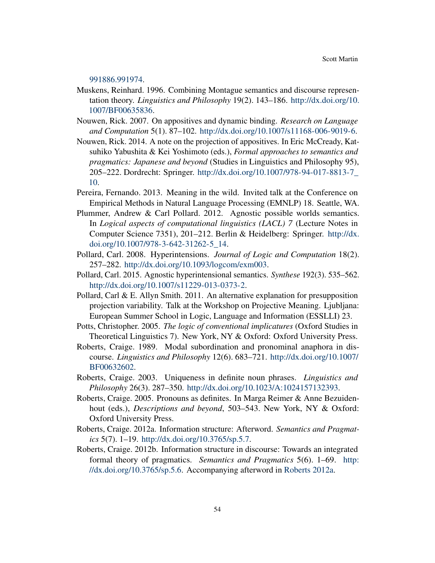[991886.991974.](http://dx.doi.org/10.3115/991886.991974)

- <span id="page-53-6"></span>Muskens, Reinhard. 1996. Combining Montague semantics and discourse representation theory. *Linguistics and Philosophy* 19(2). 143–186. [http://dx.doi.org/10.](http://dx.doi.org/10.1007/BF00635836) [1007/BF00635836.](http://dx.doi.org/10.1007/BF00635836)
- <span id="page-53-1"></span>Nouwen, Rick. 2007. On appositives and dynamic binding. *Research on Language and Computation* 5(1). 87–102. [http://dx.doi.org/10.1007/s11168-006-9019-6.](http://dx.doi.org/10.1007/s11168-006-9019-6)
- <span id="page-53-2"></span>Nouwen, Rick. 2014. A note on the projection of appositives. In Eric McCready, Katsuhiko Yabushita & Kei Yoshimoto (eds.), *Formal approaches to semantics and pragmatics: Japanese and beyond* (Studies in Linguistics and Philosophy 95), 205–222. Dordrecht: Springer. [http://dx.doi.org/10.1007/978-94-017-8813-7\\_](http://dx.doi.org/10.1007/978-94-017-8813-7_10) [10.](http://dx.doi.org/10.1007/978-94-017-8813-7_10)
- <span id="page-53-7"></span>Pereira, Fernando. 2013. Meaning in the wild. Invited talk at the Conference on Empirical Methods in Natural Language Processing (EMNLP) 18. Seattle, WA.
- <span id="page-53-13"></span>Plummer, Andrew & Carl Pollard. 2012. Agnostic possible worlds semantics. In *Logical aspects of computational linguistics (LACL) 7* (Lecture Notes in Computer Science 7351), 201–212. Berlin & Heidelberg: Springer. [http://dx.](http://dx.doi.org/10.1007/978-3-642-31262-5_14) [doi.org/10.1007/978-3-642-31262-5\\_14.](http://dx.doi.org/10.1007/978-3-642-31262-5_14)
- <span id="page-53-10"></span>Pollard, Carl. 2008. Hyperintensions. *Journal of Logic and Computation* 18(2). 257–282. [http://dx.doi.org/10.1093/logcom/exm003.](http://dx.doi.org/10.1093/logcom/exm003)
- <span id="page-53-11"></span>Pollard, Carl. 2015. Agnostic hyperintensional semantics. *Synthese* 192(3). 535–562. [http://dx.doi.org/10.1007/s11229-013-0373-2.](http://dx.doi.org/10.1007/s11229-013-0373-2)
- <span id="page-53-12"></span>Pollard, Carl & E. Allyn Smith. 2011. An alternative explanation for presupposition projection variability. Talk at the Workshop on Projective Meaning. Ljubljana: European Summer School in Logic, Language and Information (ESSLLI) 23.
- <span id="page-53-0"></span>Potts, Christopher. 2005. *The logic of conventional implicatures* (Oxford Studies in Theoretical Linguistics 7). New York, NY & Oxford: Oxford University Press.
- <span id="page-53-5"></span>Roberts, Craige. 1989. Modal subordination and pronominal anaphora in discourse. *Linguistics and Philosophy* 12(6). 683–721. [http://dx.doi.org/10.1007/](http://dx.doi.org/10.1007/BF00632602) [BF00632602.](http://dx.doi.org/10.1007/BF00632602)
- <span id="page-53-8"></span>Roberts, Craige. 2003. Uniqueness in definite noun phrases. *Linguistics and Philosophy* 26(3). 287–350. [http://dx.doi.org/10.1023/A:1024157132393.](http://dx.doi.org/10.1023/A:1024157132393)
- <span id="page-53-9"></span>Roberts, Craige. 2005. Pronouns as definites. In Marga Reimer & Anne Bezuidenhout (eds.), *Descriptions and beyond*, 503–543. New York, NY & Oxford: Oxford University Press.
- <span id="page-53-3"></span>Roberts, Craige. 2012a. Information structure: Afterword. *Semantics and Pragmatics* 5(7). 1–19. [http://dx.doi.org/10.3765/sp.5.7.](http://dx.doi.org/10.3765/sp.5.7)
- <span id="page-53-4"></span>Roberts, Craige. 2012b. Information structure in discourse: Towards an integrated formal theory of pragmatics. *Semantics and Pragmatics* 5(6). 1–69. [http:](http://dx.doi.org/10.3765/sp.5.6) [//dx.doi.org/10.3765/sp.5.6.](http://dx.doi.org/10.3765/sp.5.6) Accompanying afterword in [Roberts](#page-53-3) [2012a.](#page-53-3)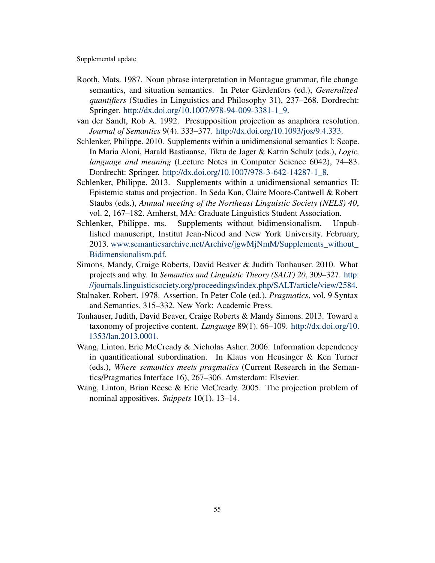- <span id="page-54-9"></span>Rooth, Mats. 1987. Noun phrase interpretation in Montague grammar, file change semantics, and situation semantics. In Peter Gärdenfors (ed.), *Generalized quantifiers* (Studies in Linguistics and Philosophy 31), 237–268. Dordrecht: Springer. [http://dx.doi.org/10.1007/978-94-009-3381-1\\_9.](http://dx.doi.org/10.1007/978-94-009-3381-1_9)
- <span id="page-54-6"></span>van der Sandt, Rob A. 1992. Presupposition projection as anaphora resolution. *Journal of Semantics* 9(4). 333–377. [http://dx.doi.org/10.1093/jos/9.4.333.](http://dx.doi.org/10.1093/jos/9.4.333)
- <span id="page-54-0"></span>Schlenker, Philippe. 2010. Supplements within a unidimensional semantics I: Scope. In Maria Aloni, Harald Bastiaanse, Tiktu de Jager & Katrin Schulz (eds.), *Logic, language and meaning* (Lecture Notes in Computer Science 6042), 74–83. Dordrecht: Springer. [http://dx.doi.org/10.1007/978-3-642-14287-1\\_8.](http://dx.doi.org/10.1007/978-3-642-14287-1_8)
- <span id="page-54-1"></span>Schlenker, Philippe. 2013. Supplements within a unidimensional semantics II: Epistemic status and projection. In Seda Kan, Claire Moore-Cantwell & Robert Staubs (eds.), *Annual meeting of the Northeast Linguistic Society (NELS) 40*, vol. 2, 167–182. Amherst, MA: Graduate Linguistics Student Association.
- <span id="page-54-2"></span>Schlenker, Philippe. ms. Supplements without bidimensionalism. Unpublished manuscript, Institut Jean-Nicod and New York University. February, 2013. [www.semanticsarchive.net/Archive/jgwMjNmM/Supplements\\_without\\_](http://www.semanticsarchive.net/Archive/jgwMjNmM/Supplements_without_Bidimensionalism.pdf) [Bidimensionalism.pdf.](http://www.semanticsarchive.net/Archive/jgwMjNmM/Supplements_without_Bidimensionalism.pdf)
- <span id="page-54-4"></span>Simons, Mandy, Craige Roberts, David Beaver & Judith Tonhauser. 2010. What projects and why. In *Semantics and Linguistic Theory (SALT) 20*, 309–327. [http:](http://journals.linguisticsociety.org/proceedings/index.php/SALT/article/view/2584) [//journals.linguisticsociety.org/proceedings/index.php/SALT/article/view/2584.](http://journals.linguisticsociety.org/proceedings/index.php/SALT/article/view/2584)
- <span id="page-54-8"></span>Stalnaker, Robert. 1978. Assertion. In Peter Cole (ed.), *Pragmatics*, vol. 9 Syntax and Semantics, 315–332. New York: Academic Press.
- <span id="page-54-3"></span>Tonhauser, Judith, David Beaver, Craige Roberts & Mandy Simons. 2013. Toward a taxonomy of projective content. *Language* 89(1). 66–109. [http://dx.doi.org/10.](http://dx.doi.org/10.1353/lan.2013.0001) [1353/lan.2013.0001.](http://dx.doi.org/10.1353/lan.2013.0001)
- <span id="page-54-7"></span>Wang, Linton, Eric McCready & Nicholas Asher. 2006. Information dependency in quantificational subordination. In Klaus von Heusinger & Ken Turner (eds.), *Where semantics meets pragmatics* (Current Research in the Semantics/Pragmatics Interface 16), 267–306. Amsterdam: Elsevier.
- <span id="page-54-5"></span>Wang, Linton, Brian Reese & Eric McCready. 2005. The projection problem of nominal appositives. *Snippets* 10(1). 13–14.